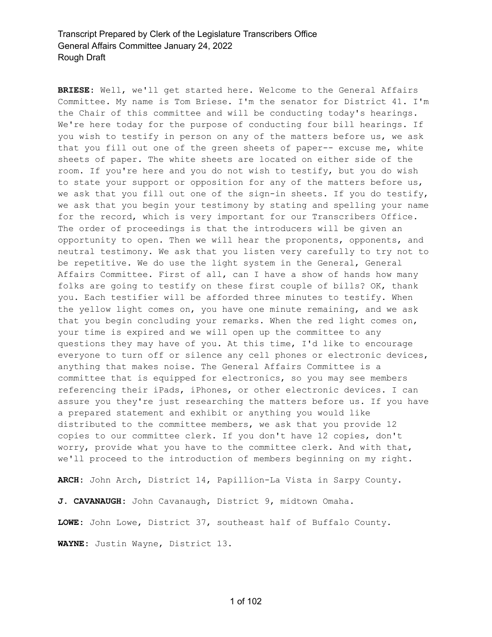**BRIESE:** Well, we'll get started here. Welcome to the General Affairs Committee. My name is Tom Briese. I'm the senator for District 41. I'm the Chair of this committee and will be conducting today's hearings. We're here today for the purpose of conducting four bill hearings. If you wish to testify in person on any of the matters before us, we ask that you fill out one of the green sheets of paper-- excuse me, white sheets of paper. The white sheets are located on either side of the room. If you're here and you do not wish to testify, but you do wish to state your support or opposition for any of the matters before us, we ask that you fill out one of the sign-in sheets. If you do testify, we ask that you begin your testimony by stating and spelling your name for the record, which is very important for our Transcribers Office. The order of proceedings is that the introducers will be given an opportunity to open. Then we will hear the proponents, opponents, and neutral testimony. We ask that you listen very carefully to try not to be repetitive. We do use the light system in the General, General Affairs Committee. First of all, can I have a show of hands how many folks are going to testify on these first couple of bills? OK, thank you. Each testifier will be afforded three minutes to testify. When the yellow light comes on, you have one minute remaining, and we ask that you begin concluding your remarks. When the red light comes on, your time is expired and we will open up the committee to any questions they may have of you. At this time, I'd like to encourage everyone to turn off or silence any cell phones or electronic devices, anything that makes noise. The General Affairs Committee is a committee that is equipped for electronics, so you may see members referencing their iPads, iPhones, or other electronic devices. I can assure you they're just researching the matters before us. If you have a prepared statement and exhibit or anything you would like distributed to the committee members, we ask that you provide 12 copies to our committee clerk. If you don't have 12 copies, don't worry, provide what you have to the committee clerk. And with that, we'll proceed to the introduction of members beginning on my right.

**ARCH:** John Arch, District 14, Papillion-La Vista in Sarpy County.

**J. CAVANAUGH:** John Cavanaugh, District 9, midtown Omaha.

**LOWE:** John Lowe, District 37, southeast half of Buffalo County.

**WAYNE:** Justin Wayne, District 13.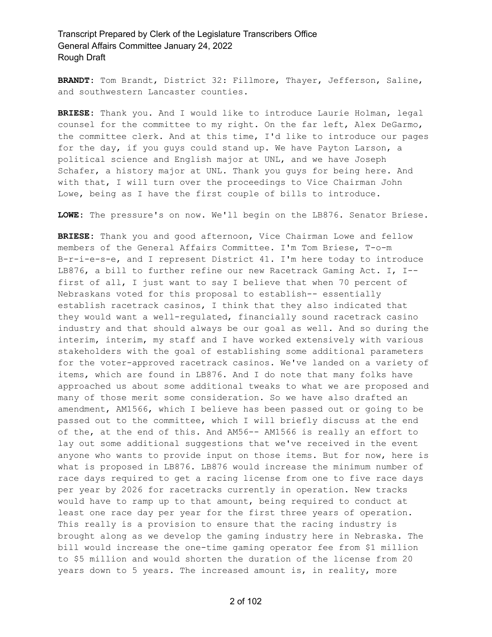**BRANDT:** Tom Brandt, District 32: Fillmore, Thayer, Jefferson, Saline, and southwestern Lancaster counties.

**BRIESE:** Thank you. And I would like to introduce Laurie Holman, legal counsel for the committee to my right. On the far left, Alex DeGarmo, the committee clerk. And at this time, I'd like to introduce our pages for the day, if you guys could stand up. We have Payton Larson, a political science and English major at UNL, and we have Joseph Schafer, a history major at UNL. Thank you guys for being here. And with that, I will turn over the proceedings to Vice Chairman John Lowe, being as I have the first couple of bills to introduce.

**LOWE:** The pressure's on now. We'll begin on the LB876. Senator Briese.

**BRIESE:** Thank you and good afternoon, Vice Chairman Lowe and fellow members of the General Affairs Committee. I'm Tom Briese, T-o-m B-r-i-e-s-e, and I represent District 41. I'm here today to introduce LB876, a bill to further refine our new Racetrack Gaming Act. I, I- first of all, I just want to say I believe that when 70 percent of Nebraskans voted for this proposal to establish-- essentially establish racetrack casinos, I think that they also indicated that they would want a well-regulated, financially sound racetrack casino industry and that should always be our goal as well. And so during the interim, interim, my staff and I have worked extensively with various stakeholders with the goal of establishing some additional parameters for the voter-approved racetrack casinos. We've landed on a variety of items, which are found in LB876. And I do note that many folks have approached us about some additional tweaks to what we are proposed and many of those merit some consideration. So we have also drafted an amendment, AM1566, which I believe has been passed out or going to be passed out to the committee, which I will briefly discuss at the end of the, at the end of this. And AM56-- AM1566 is really an effort to lay out some additional suggestions that we've received in the event anyone who wants to provide input on those items. But for now, here is what is proposed in LB876. LB876 would increase the minimum number of race days required to get a racing license from one to five race days per year by 2026 for racetracks currently in operation. New tracks would have to ramp up to that amount, being required to conduct at least one race day per year for the first three years of operation. This really is a provision to ensure that the racing industry is brought along as we develop the gaming industry here in Nebraska. The bill would increase the one-time gaming operator fee from \$1 million to \$5 million and would shorten the duration of the license from 20 years down to 5 years. The increased amount is, in reality, more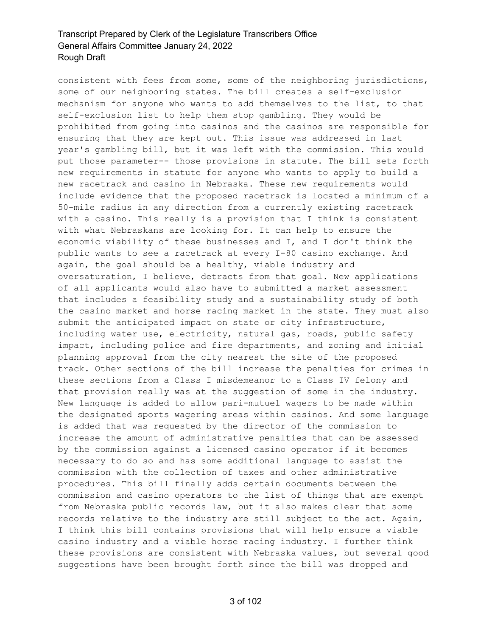consistent with fees from some, some of the neighboring jurisdictions, some of our neighboring states. The bill creates a self-exclusion mechanism for anyone who wants to add themselves to the list, to that self-exclusion list to help them stop gambling. They would be prohibited from going into casinos and the casinos are responsible for ensuring that they are kept out. This issue was addressed in last year's gambling bill, but it was left with the commission. This would put those parameter-- those provisions in statute. The bill sets forth new requirements in statute for anyone who wants to apply to build a new racetrack and casino in Nebraska. These new requirements would include evidence that the proposed racetrack is located a minimum of a 50-mile radius in any direction from a currently existing racetrack with a casino. This really is a provision that I think is consistent with what Nebraskans are looking for. It can help to ensure the economic viability of these businesses and I, and I don't think the public wants to see a racetrack at every I-80 casino exchange. And again, the goal should be a healthy, viable industry and oversaturation, I believe, detracts from that goal. New applications of all applicants would also have to submitted a market assessment that includes a feasibility study and a sustainability study of both the casino market and horse racing market in the state. They must also submit the anticipated impact on state or city infrastructure, including water use, electricity, natural gas, roads, public safety impact, including police and fire departments, and zoning and initial planning approval from the city nearest the site of the proposed track. Other sections of the bill increase the penalties for crimes in these sections from a Class I misdemeanor to a Class IV felony and that provision really was at the suggestion of some in the industry. New language is added to allow pari-mutuel wagers to be made within the designated sports wagering areas within casinos. And some language is added that was requested by the director of the commission to increase the amount of administrative penalties that can be assessed by the commission against a licensed casino operator if it becomes necessary to do so and has some additional language to assist the commission with the collection of taxes and other administrative procedures. This bill finally adds certain documents between the commission and casino operators to the list of things that are exempt from Nebraska public records law, but it also makes clear that some records relative to the industry are still subject to the act. Again, I think this bill contains provisions that will help ensure a viable casino industry and a viable horse racing industry. I further think these provisions are consistent with Nebraska values, but several good suggestions have been brought forth since the bill was dropped and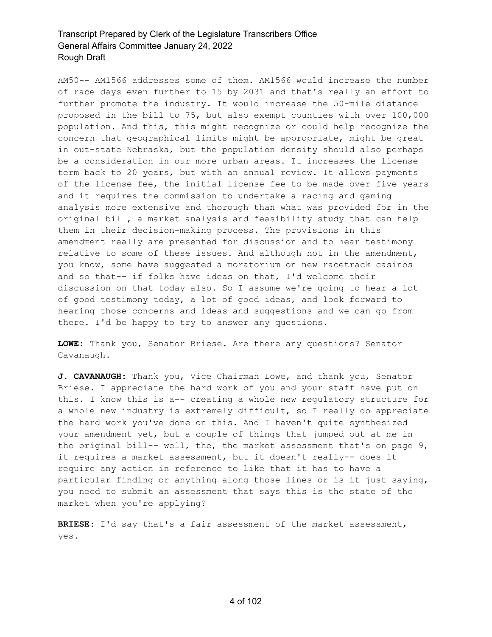AM50-- AM1566 addresses some of them. AM1566 would increase the number of race days even further to 15 by 2031 and that's really an effort to further promote the industry. It would increase the 50-mile distance proposed in the bill to 75, but also exempt counties with over 100,000 population. And this, this might recognize or could help recognize the concern that geographical limits might be appropriate, might be great in out-state Nebraska, but the population density should also perhaps be a consideration in our more urban areas. It increases the license term back to 20 years, but with an annual review. It allows payments of the license fee, the initial license fee to be made over five years and it requires the commission to undertake a racing and gaming analysis more extensive and thorough than what was provided for in the original bill, a market analysis and feasibility study that can help them in their decision-making process. The provisions in this amendment really are presented for discussion and to hear testimony relative to some of these issues. And although not in the amendment, you know, some have suggested a moratorium on new racetrack casinos and so that-- if folks have ideas on that, I'd welcome their discussion on that today also. So I assume we're going to hear a lot of good testimony today, a lot of good ideas, and look forward to hearing those concerns and ideas and suggestions and we can go from there. I'd be happy to try to answer any questions.

**LOWE:** Thank you, Senator Briese. Are there any questions? Senator Cavanaugh.

**J. CAVANAUGH:** Thank you, Vice Chairman Lowe, and thank you, Senator Briese. I appreciate the hard work of you and your staff have put on this. I know this is a-- creating a whole new regulatory structure for a whole new industry is extremely difficult, so I really do appreciate the hard work you've done on this. And I haven't quite synthesized your amendment yet, but a couple of things that jumped out at me in the original bill-- well, the, the market assessment that's on page 9, it requires a market assessment, but it doesn't really-- does it require any action in reference to like that it has to have a particular finding or anything along those lines or is it just saying, you need to submit an assessment that says this is the state of the market when you're applying?

**BRIESE:** I'd say that's a fair assessment of the market assessment, yes.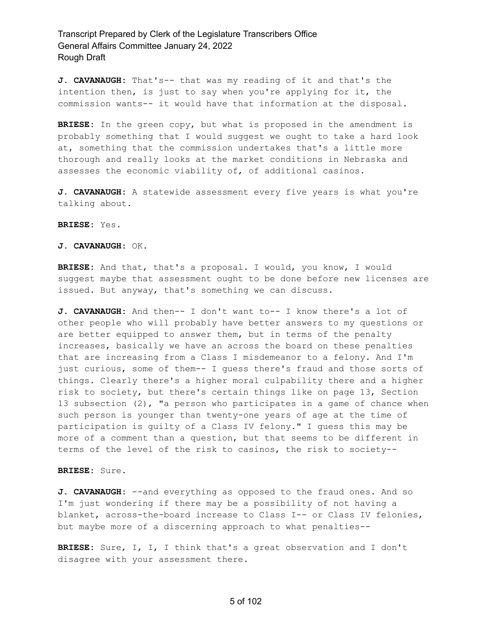**J. CAVANAUGH:** That's-- that was my reading of it and that's the intention then, is just to say when you're applying for it, the commission wants-- it would have that information at the disposal.

**BRIESE:** In the green copy, but what is proposed in the amendment is probably something that I would suggest we ought to take a hard look at, something that the commission undertakes that's a little more thorough and really looks at the market conditions in Nebraska and assesses the economic viability of, of additional casinos.

**J. CAVANAUGH:** A statewide assessment every five years is what you're talking about.

#### **BRIESE:** Yes.

#### **J. CAVANAUGH:** OK.

**BRIESE:** And that, that's a proposal. I would, you know, I would suggest maybe that assessment ought to be done before new licenses are issued. But anyway, that's something we can discuss.

**J. CAVANAUGH:** And then-- I don't want to-- I know there's a lot of other people who will probably have better answers to my questions or are better equipped to answer them, but in terms of the penalty increases, basically we have an across the board on these penalties that are increasing from a Class I misdemeanor to a felony. And I'm just curious, some of them-- I guess there's fraud and those sorts of things. Clearly there's a higher moral culpability there and a higher risk to society, but there's certain things like on page 13, Section 13 subsection (2), "a person who participates in a game of chance when such person is younger than twenty-one years of age at the time of participation is guilty of a Class IV felony." I guess this may be more of a comment than a question, but that seems to be different in terms of the level of the risk to casinos, the risk to society--

#### **BRIESE:** Sure.

**J. CAVANAUGH:** --and everything as opposed to the fraud ones. And so I'm just wondering if there may be a possibility of not having a blanket, across-the-board increase to Class I-- or Class IV felonies, but maybe more of a discerning approach to what penalties--

**BRIESE:** Sure, I, I, I think that's a great observation and I don't disagree with your assessment there.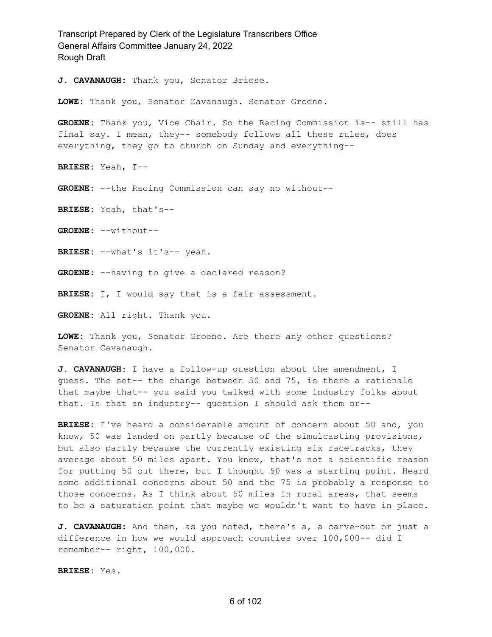**J. CAVANAUGH:** Thank you, Senator Briese.

**LOWE:** Thank you, Senator Cavanaugh. Senator Groene.

**GROENE:** Thank you, Vice Chair. So the Racing Commission is-- still has final say. I mean, they-- somebody follows all these rules, does everything, they go to church on Sunday and everything--

**BRIESE:** Yeah, I--

**GROENE:** --the Racing Commission can say no without--

**BRIESE:** Yeah, that's--

**GROENE:** --without--

**BRIESE:** --what's it's-- yeah.

**GROENE:** --having to give a declared reason?

**BRIESE:** I, I would say that is a fair assessment.

**GROENE:** All right. Thank you.

**LOWE:** Thank you, Senator Groene. Are there any other questions? Senator Cavanaugh.

**J. CAVANAUGH:** I have a follow-up question about the amendment, I guess. The set-- the change between 50 and 75, is there a rationale that maybe that-- you said you talked with some industry folks about that. Is that an industry-- question I should ask them or--

**BRIESE:** I've heard a considerable amount of concern about 50 and, you know, 50 was landed on partly because of the simulcasting provisions, but also partly because the currently existing six racetracks, they average about 50 miles apart. You know, that's not a scientific reason for putting 50 out there, but I thought 50 was a starting point. Heard some additional concerns about 50 and the 75 is probably a response to those concerns. As I think about 50 miles in rural areas, that seems to be a saturation point that maybe we wouldn't want to have in place.

**J. CAVANAUGH:** And then, as you noted, there's a, a carve-out or just a difference in how we would approach counties over 100,000-- did I remember-- right, 100,000.

**BRIESE:** Yes.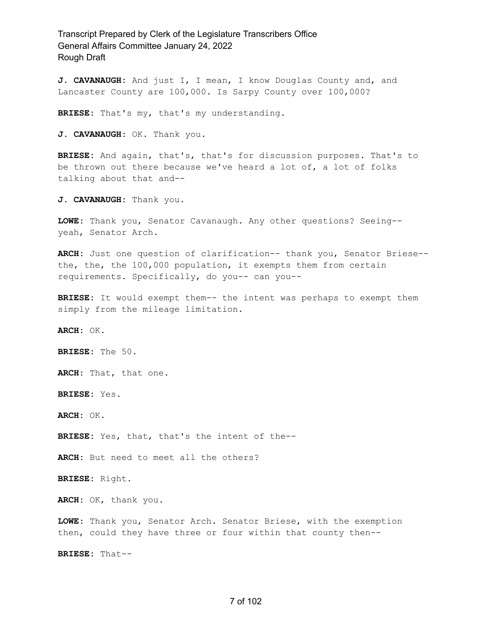**J. CAVANAUGH:** And just I, I mean, I know Douglas County and, and Lancaster County are 100,000. Is Sarpy County over 100,000?

**BRIESE:** That's my, that's my understanding.

**J. CAVANAUGH:** OK. Thank you.

**BRIESE:** And again, that's, that's for discussion purposes. That's to be thrown out there because we've heard a lot of, a lot of folks talking about that and--

**J. CAVANAUGH:** Thank you.

**LOWE:** Thank you, Senator Cavanaugh. Any other questions? Seeing- yeah, Senator Arch.

**ARCH:** Just one question of clarification-- thank you, Senator Briese- the, the, the 100,000 population, it exempts them from certain requirements. Specifically, do you-- can you--

**BRIESE:** It would exempt them-- the intent was perhaps to exempt them simply from the mileage limitation.

**ARCH:** OK.

**BRIESE:** The 50.

**ARCH:** That, that one.

**BRIESE:** Yes.

**ARCH:** OK.

**BRIESE:** Yes, that, that's the intent of the--

**ARCH:** But need to meet all the others?

**BRIESE:** Right.

**ARCH:** OK, thank you.

**LOWE:** Thank you, Senator Arch. Senator Briese, with the exemption then, could they have three or four within that county then--

**BRIESE:** That--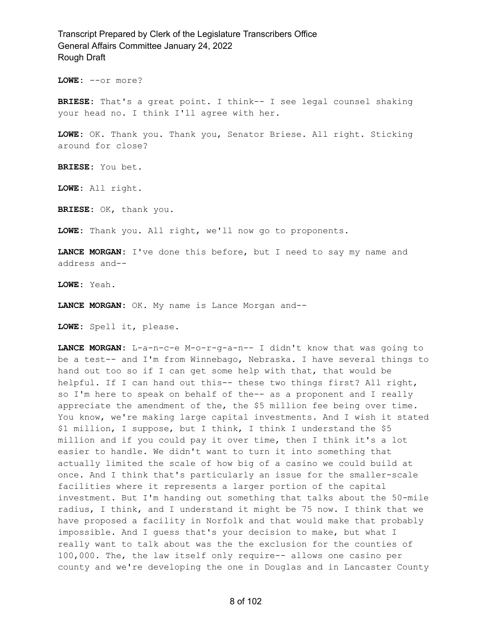**LOWE:** --or more?

**BRIESE:** That's a great point. I think-- I see legal counsel shaking your head no. I think I'll agree with her.

**LOWE:** OK. Thank you. Thank you, Senator Briese. All right. Sticking around for close?

**BRIESE:** You bet.

**LOWE:** All right.

**BRIESE:** OK, thank you.

**LOWE:** Thank you. All right, we'll now go to proponents.

**LANCE MORGAN:** I've done this before, but I need to say my name and address and--

**LOWE:** Yeah.

**LANCE MORGAN:** OK. My name is Lance Morgan and--

**LOWE:** Spell it, please.

**LANCE MORGAN:** L-a-n-c-e M-o-r-g-a-n-- I didn't know that was going to be a test-- and I'm from Winnebago, Nebraska. I have several things to hand out too so if I can get some help with that, that would be helpful. If I can hand out this-- these two things first? All right, so I'm here to speak on behalf of the-- as a proponent and I really appreciate the amendment of the, the \$5 million fee being over time. You know, we're making large capital investments. And I wish it stated \$1 million, I suppose, but I think, I think I understand the \$5 million and if you could pay it over time, then I think it's a lot easier to handle. We didn't want to turn it into something that actually limited the scale of how big of a casino we could build at once. And I think that's particularly an issue for the smaller-scale facilities where it represents a larger portion of the capital investment. But I'm handing out something that talks about the 50-mile radius, I think, and I understand it might be 75 now. I think that we have proposed a facility in Norfolk and that would make that probably impossible. And I guess that's your decision to make, but what I really want to talk about was the the exclusion for the counties of 100,000. The, the law itself only require-- allows one casino per county and we're developing the one in Douglas and in Lancaster County

8 of 102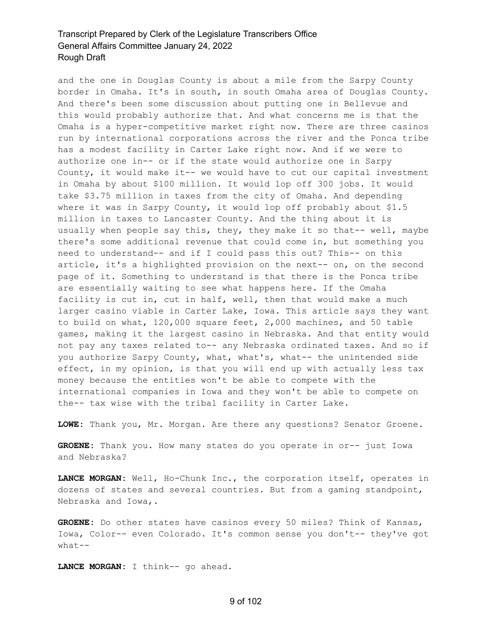and the one in Douglas County is about a mile from the Sarpy County border in Omaha. It's in south, in south Omaha area of Douglas County. And there's been some discussion about putting one in Bellevue and this would probably authorize that. And what concerns me is that the Omaha is a hyper-competitive market right now. There are three casinos run by international corporations across the river and the Ponca tribe has a modest facility in Carter Lake right now. And if we were to authorize one in-- or if the state would authorize one in Sarpy County, it would make it-- we would have to cut our capital investment in Omaha by about \$100 million. It would lop off 300 jobs. It would take \$3.75 million in taxes from the city of Omaha. And depending where it was in Sarpy County, it would lop off probably about \$1.5 million in taxes to Lancaster County. And the thing about it is usually when people say this, they, they make it so that-- well, maybe there's some additional revenue that could come in, but something you need to understand-- and if I could pass this out? This-- on this article, it's a highlighted provision on the next-- on, on the second page of it. Something to understand is that there is the Ponca tribe are essentially waiting to see what happens here. If the Omaha facility is cut in, cut in half, well, then that would make a much larger casino viable in Carter Lake, Iowa. This article says they want to build on what, 120,000 square feet, 2,000 machines, and 50 table games, making it the largest casino in Nebraska. And that entity would not pay any taxes related to-- any Nebraska ordinated taxes. And so if you authorize Sarpy County, what, what's, what-- the unintended side effect, in my opinion, is that you will end up with actually less tax money because the entities won't be able to compete with the international companies in Iowa and they won't be able to compete on the-- tax wise with the tribal facility in Carter Lake.

**LOWE:** Thank you, Mr. Morgan. Are there any questions? Senator Groene.

**GROENE:** Thank you. How many states do you operate in or-- just Iowa and Nebraska?

**LANCE MORGAN:** Well, Ho-Chunk Inc., the corporation itself, operates in dozens of states and several countries. But from a gaming standpoint, Nebraska and Iowa,.

**GROENE:** Do other states have casinos every 50 miles? Think of Kansas, Iowa, Color-- even Colorado. It's common sense you don't-- they've got what--

**LANCE MORGAN:** I think-- go ahead.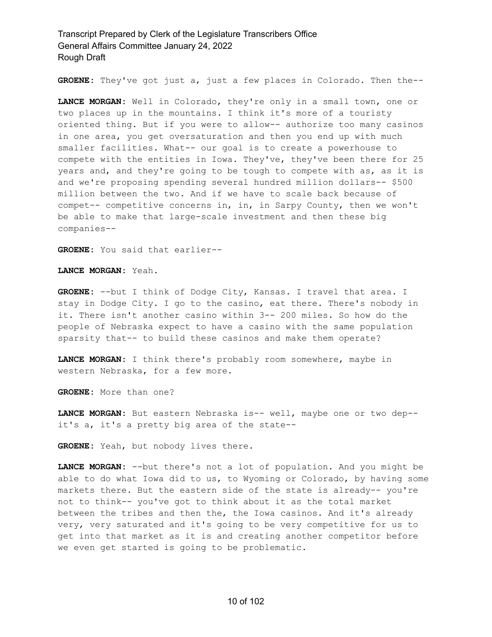**GROENE:** They've got just a, just a few places in Colorado. Then the--

**LANCE MORGAN:** Well in Colorado, they're only in a small town, one or two places up in the mountains. I think it's more of a touristy oriented thing. But if you were to allow-- authorize too many casinos in one area, you get oversaturation and then you end up with much smaller facilities. What-- our goal is to create a powerhouse to compete with the entities in Iowa. They've, they've been there for 25 years and, and they're going to be tough to compete with as, as it is and we're proposing spending several hundred million dollars-- \$500 million between the two. And if we have to scale back because of compet-- competitive concerns in, in, in Sarpy County, then we won't be able to make that large-scale investment and then these big companies--

**GROENE:** You said that earlier--

**LANCE MORGAN:** Yeah.

**GROENE:** --but I think of Dodge City, Kansas. I travel that area. I stay in Dodge City. I go to the casino, eat there. There's nobody in it. There isn't another casino within 3-- 200 miles. So how do the people of Nebraska expect to have a casino with the same population sparsity that-- to build these casinos and make them operate?

**LANCE MORGAN:** I think there's probably room somewhere, maybe in western Nebraska, for a few more.

**GROENE:** More than one?

**LANCE MORGAN:** But eastern Nebraska is-- well, maybe one or two dep- it's a, it's a pretty big area of the state--

**GROENE:** Yeah, but nobody lives there.

**LANCE MORGAN:** --but there's not a lot of population. And you might be able to do what Iowa did to us, to Wyoming or Colorado, by having some markets there. But the eastern side of the state is already-- you're not to think-- you've got to think about it as the total market between the tribes and then the, the Iowa casinos. And it's already very, very saturated and it's going to be very competitive for us to get into that market as it is and creating another competitor before we even get started is going to be problematic.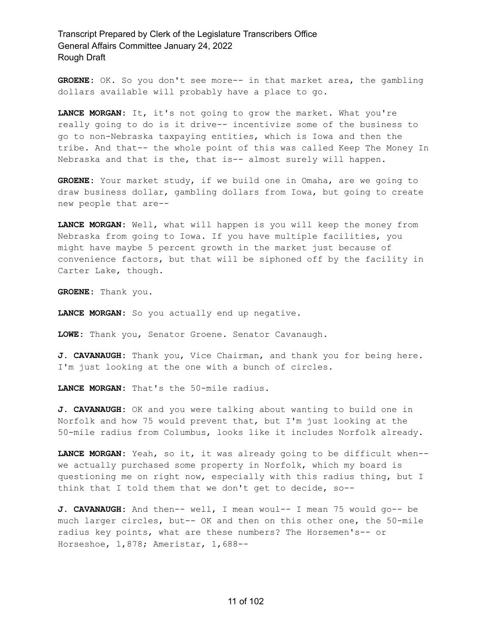**GROENE:** OK. So you don't see more-- in that market area, the gambling dollars available will probably have a place to go.

**LANCE MORGAN:** It, it's not going to grow the market. What you're really going to do is it drive-- incentivize some of the business to go to non-Nebraska taxpaying entities, which is Iowa and then the tribe. And that-- the whole point of this was called Keep The Money In Nebraska and that is the, that is-- almost surely will happen.

**GROENE:** Your market study, if we build one in Omaha, are we going to draw business dollar, gambling dollars from Iowa, but going to create new people that are--

**LANCE MORGAN:** Well, what will happen is you will keep the money from Nebraska from going to Iowa. If you have multiple facilities, you might have maybe 5 percent growth in the market just because of convenience factors, but that will be siphoned off by the facility in Carter Lake, though.

**GROENE:** Thank you.

**LANCE MORGAN:** So you actually end up negative.

**LOWE:** Thank you, Senator Groene. Senator Cavanaugh.

**J. CAVANAUGH:** Thank you, Vice Chairman, and thank you for being here. I'm just looking at the one with a bunch of circles.

**LANCE MORGAN:** That's the 50-mile radius.

**J. CAVANAUGH:** OK and you were talking about wanting to build one in Norfolk and how 75 would prevent that, but I'm just looking at the 50-mile radius from Columbus, looks like it includes Norfolk already.

**LANCE MORGAN:** Yeah, so it, it was already going to be difficult when- we actually purchased some property in Norfolk, which my board is questioning me on right now, especially with this radius thing, but I think that I told them that we don't get to decide, so--

**J. CAVANAUGH:** And then-- well, I mean woul-- I mean 75 would go-- be much larger circles, but-- OK and then on this other one, the 50-mile radius key points, what are these numbers? The Horsemen's-- or Horseshoe, 1,878; Ameristar, 1,688--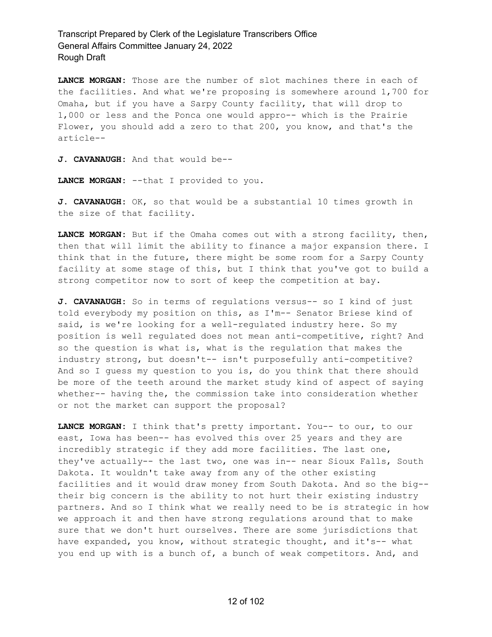**LANCE MORGAN:** Those are the number of slot machines there in each of the facilities. And what we're proposing is somewhere around 1,700 for Omaha, but if you have a Sarpy County facility, that will drop to 1,000 or less and the Ponca one would appro-- which is the Prairie Flower, you should add a zero to that 200, you know, and that's the article--

**J. CAVANAUGH:** And that would be--

**LANCE MORGAN:** --that I provided to you.

**J. CAVANAUGH:** OK, so that would be a substantial 10 times growth in the size of that facility.

**LANCE MORGAN:** But if the Omaha comes out with a strong facility, then, then that will limit the ability to finance a major expansion there. I think that in the future, there might be some room for a Sarpy County facility at some stage of this, but I think that you've got to build a strong competitor now to sort of keep the competition at bay.

**J. CAVANAUGH:** So in terms of regulations versus-- so I kind of just told everybody my position on this, as I'm-- Senator Briese kind of said, is we're looking for a well-regulated industry here. So my position is well regulated does not mean anti-competitive, right? And so the question is what is, what is the regulation that makes the industry strong, but doesn't-- isn't purposefully anti-competitive? And so I guess my question to you is, do you think that there should be more of the teeth around the market study kind of aspect of saying whether-- having the, the commission take into consideration whether or not the market can support the proposal?

**LANCE MORGAN:** I think that's pretty important. You-- to our, to our east, Iowa has been-- has evolved this over 25 years and they are incredibly strategic if they add more facilities. The last one, they've actually-- the last two, one was in-- near Sioux Falls, South Dakota. It wouldn't take away from any of the other existing facilities and it would draw money from South Dakota. And so the big- their big concern is the ability to not hurt their existing industry partners. And so I think what we really need to be is strategic in how we approach it and then have strong regulations around that to make sure that we don't hurt ourselves. There are some jurisdictions that have expanded, you know, without strategic thought, and it's-- what you end up with is a bunch of, a bunch of weak competitors. And, and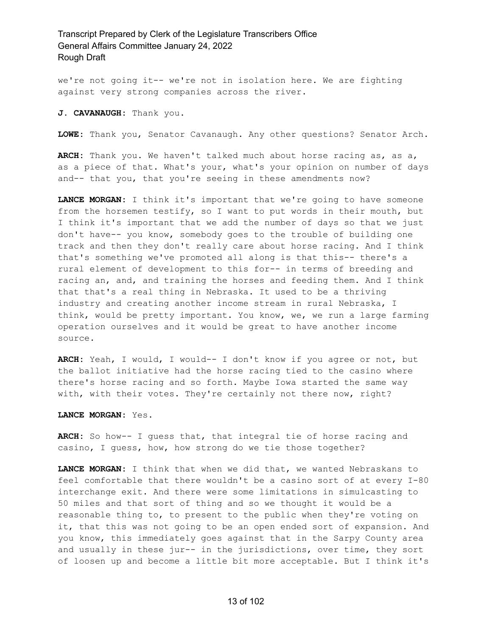we're not going it-- we're not in isolation here. We are fighting against very strong companies across the river.

**J. CAVANAUGH:** Thank you.

**LOWE:** Thank you, Senator Cavanaugh. Any other questions? Senator Arch.

**ARCH:** Thank you. We haven't talked much about horse racing as, as a, as a piece of that. What's your, what's your opinion on number of days and-- that you, that you're seeing in these amendments now?

**LANCE MORGAN:** I think it's important that we're going to have someone from the horsemen testify, so I want to put words in their mouth, but I think it's important that we add the number of days so that we just don't have-- you know, somebody goes to the trouble of building one track and then they don't really care about horse racing. And I think that's something we've promoted all along is that this-- there's a rural element of development to this for-- in terms of breeding and racing an, and, and training the horses and feeding them. And I think that that's a real thing in Nebraska. It used to be a thriving industry and creating another income stream in rural Nebraska, I think, would be pretty important. You know, we, we run a large farming operation ourselves and it would be great to have another income source.

**ARCH:** Yeah, I would, I would-- I don't know if you agree or not, but the ballot initiative had the horse racing tied to the casino where there's horse racing and so forth. Maybe Iowa started the same way with, with their votes. They're certainly not there now, right?

**LANCE MORGAN:** Yes.

**ARCH:** So how-- I guess that, that integral tie of horse racing and casino, I guess, how, how strong do we tie those together?

**LANCE MORGAN:** I think that when we did that, we wanted Nebraskans to feel comfortable that there wouldn't be a casino sort of at every I-80 interchange exit. And there were some limitations in simulcasting to 50 miles and that sort of thing and so we thought it would be a reasonable thing to, to present to the public when they're voting on it, that this was not going to be an open ended sort of expansion. And you know, this immediately goes against that in the Sarpy County area and usually in these jur-- in the jurisdictions, over time, they sort of loosen up and become a little bit more acceptable. But I think it's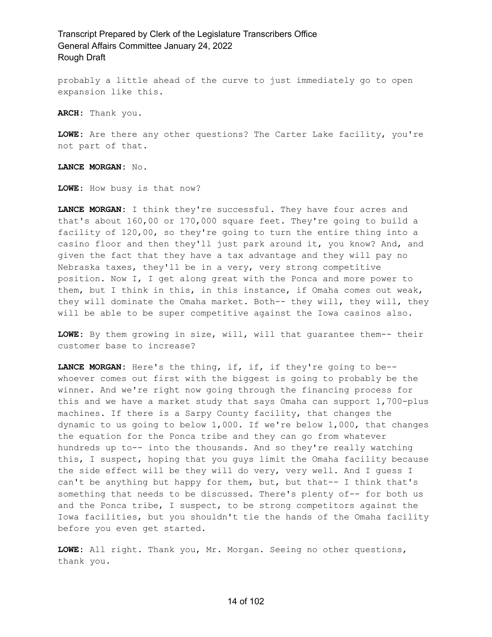probably a little ahead of the curve to just immediately go to open expansion like this.

**ARCH:** Thank you.

**LOWE:** Are there any other questions? The Carter Lake facility, you're not part of that.

**LANCE MORGAN:** No.

**LOWE:** How busy is that now?

**LANCE MORGAN:** I think they're successful. They have four acres and that's about 160,00 or 170,000 square feet. They're going to build a facility of 120,00, so they're going to turn the entire thing into a casino floor and then they'll just park around it, you know? And, and given the fact that they have a tax advantage and they will pay no Nebraska taxes, they'll be in a very, very strong competitive position. Now I, I get along great with the Ponca and more power to them, but I think in this, in this instance, if Omaha comes out weak, they will dominate the Omaha market. Both-- they will, they will, they will be able to be super competitive against the Iowa casinos also.

**LOWE:** By them growing in size, will, will that guarantee them-- their customer base to increase?

LANCE MORGAN: Here's the thing, if, if, if they're going to be-whoever comes out first with the biggest is going to probably be the winner. And we're right now going through the financing process for this and we have a market study that says Omaha can support 1,700-plus machines. If there is a Sarpy County facility, that changes the dynamic to us going to below 1,000. If we're below 1,000, that changes the equation for the Ponca tribe and they can go from whatever hundreds up to-- into the thousands. And so they're really watching this, I suspect, hoping that you guys limit the Omaha facility because the side effect will be they will do very, very well. And I guess I can't be anything but happy for them, but, but that-- I think that's something that needs to be discussed. There's plenty of-- for both us and the Ponca tribe, I suspect, to be strong competitors against the Iowa facilities, but you shouldn't tie the hands of the Omaha facility before you even get started.

**LOWE:** All right. Thank you, Mr. Morgan. Seeing no other questions, thank you.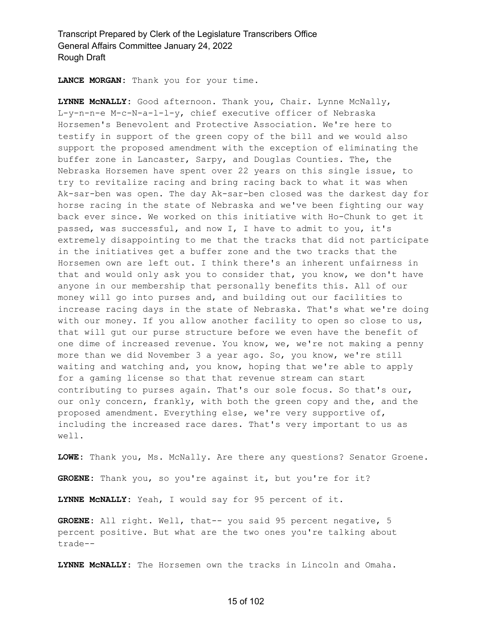**LANCE MORGAN:** Thank you for your time.

**LYNNE McNALLY:** Good afternoon. Thank you, Chair. Lynne McNally, L-y-n-n-e M-c-N-a-l-l-y, chief executive officer of Nebraska Horsemen's Benevolent and Protective Association. We're here to testify in support of the green copy of the bill and we would also support the proposed amendment with the exception of eliminating the buffer zone in Lancaster, Sarpy, and Douglas Counties. The, the Nebraska Horsemen have spent over 22 years on this single issue, to try to revitalize racing and bring racing back to what it was when Ak-sar-ben was open. The day Ak-sar-ben closed was the darkest day for horse racing in the state of Nebraska and we've been fighting our way back ever since. We worked on this initiative with Ho-Chunk to get it passed, was successful, and now I, I have to admit to you, it's extremely disappointing to me that the tracks that did not participate in the initiatives get a buffer zone and the two tracks that the Horsemen own are left out. I think there's an inherent unfairness in that and would only ask you to consider that, you know, we don't have anyone in our membership that personally benefits this. All of our money will go into purses and, and building out our facilities to increase racing days in the state of Nebraska. That's what we're doing with our money. If you allow another facility to open so close to us, that will gut our purse structure before we even have the benefit of one dime of increased revenue. You know, we, we're not making a penny more than we did November 3 a year ago. So, you know, we're still waiting and watching and, you know, hoping that we're able to apply for a gaming license so that that revenue stream can start contributing to purses again. That's our sole focus. So that's our, our only concern, frankly, with both the green copy and the, and the proposed amendment. Everything else, we're very supportive of, including the increased race dares. That's very important to us as well.

**LOWE:** Thank you, Ms. McNally. Are there any questions? Senator Groene.

**GROENE:** Thank you, so you're against it, but you're for it?

**LYNNE McNALLY:** Yeah, I would say for 95 percent of it.

**GROENE:** All right. Well, that-- you said 95 percent negative, 5 percent positive. But what are the two ones you're talking about trade--

**LYNNE McNALLY:** The Horsemen own the tracks in Lincoln and Omaha.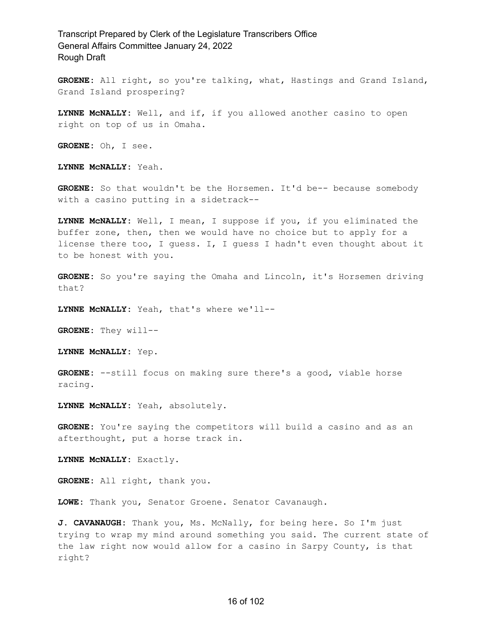**GROENE:** All right, so you're talking, what, Hastings and Grand Island, Grand Island prospering?

**LYNNE McNALLY:** Well, and if, if you allowed another casino to open right on top of us in Omaha.

**GROENE:** Oh, I see.

**LYNNE McNALLY:** Yeah.

**GROENE:** So that wouldn't be the Horsemen. It'd be-- because somebody with a casino putting in a sidetrack--

**LYNNE McNALLY:** Well, I mean, I suppose if you, if you eliminated the buffer zone, then, then we would have no choice but to apply for a license there too, I guess. I, I guess I hadn't even thought about it to be honest with you.

**GROENE:** So you're saying the Omaha and Lincoln, it's Horsemen driving that?

**LYNNE McNALLY:** Yeah, that's where we'll--

**GROENE:** They will--

**LYNNE McNALLY:** Yep.

**GROENE:** --still focus on making sure there's a good, viable horse racing.

**LYNNE McNALLY:** Yeah, absolutely.

**GROENE:** You're saying the competitors will build a casino and as an afterthought, put a horse track in.

**LYNNE McNALLY:** Exactly.

**GROENE:** All right, thank you.

**LOWE:** Thank you, Senator Groene. Senator Cavanaugh.

**J. CAVANAUGH:** Thank you, Ms. McNally, for being here. So I'm just trying to wrap my mind around something you said. The current state of the law right now would allow for a casino in Sarpy County, is that right?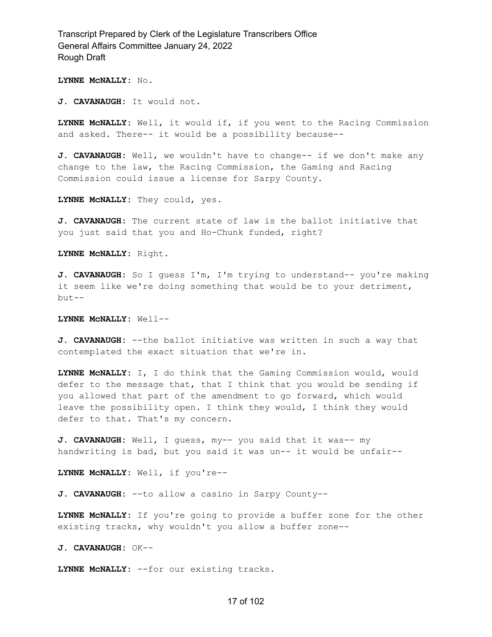**LYNNE McNALLY:** No.

**J. CAVANAUGH:** It would not.

**LYNNE McNALLY:** Well, it would if, if you went to the Racing Commission and asked. There-- it would be a possibility because--

**J. CAVANAUGH:** Well, we wouldn't have to change-- if we don't make any change to the law, the Racing Commission, the Gaming and Racing Commission could issue a license for Sarpy County.

**LYNNE McNALLY:** They could, yes.

**J. CAVANAUGH:** The current state of law is the ballot initiative that you just said that you and Ho-Chunk funded, right?

**LYNNE McNALLY:** Right.

**J. CAVANAUGH:** So I guess I'm, I'm trying to understand-- you're making it seem like we're doing something that would be to your detriment, but--

**LYNNE McNALLY:** Well--

**J. CAVANAUGH:** --the ballot initiative was written in such a way that contemplated the exact situation that we're in.

**LYNNE McNALLY:** I, I do think that the Gaming Commission would, would defer to the message that, that I think that you would be sending if you allowed that part of the amendment to go forward, which would leave the possibility open. I think they would, I think they would defer to that. That's my concern.

**J. CAVANAUGH:** Well, I guess, my-- you said that it was-- my handwriting is bad, but you said it was un-- it would be unfair--

**LYNNE McNALLY:** Well, if you're--

**J. CAVANAUGH:** --to allow a casino in Sarpy County--

**LYNNE McNALLY:** If you're going to provide a buffer zone for the other existing tracks, why wouldn't you allow a buffer zone--

**J. CAVANAUGH:** OK--

**LYNNE McNALLY:** --for our existing tracks.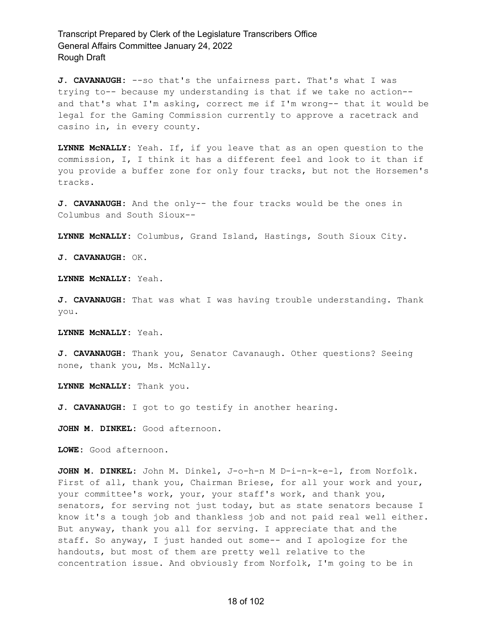**J. CAVANAUGH:** --so that's the unfairness part. That's what I was trying to-- because my understanding is that if we take no action- and that's what I'm asking, correct me if I'm wrong-- that it would be legal for the Gaming Commission currently to approve a racetrack and casino in, in every county.

**LYNNE McNALLY:** Yeah. If, if you leave that as an open question to the commission, I, I think it has a different feel and look to it than if you provide a buffer zone for only four tracks, but not the Horsemen's tracks.

**J. CAVANAUGH:** And the only-- the four tracks would be the ones in Columbus and South Sioux--

**LYNNE McNALLY:** Columbus, Grand Island, Hastings, South Sioux City.

**J. CAVANAUGH:** OK.

**LYNNE McNALLY:** Yeah.

**J. CAVANAUGH:** That was what I was having trouble understanding. Thank you.

**LYNNE McNALLY:** Yeah.

**J. CAVANAUGH:** Thank you, Senator Cavanaugh. Other questions? Seeing none, thank you, Ms. McNally.

**LYNNE McNALLY:** Thank you.

**J. CAVANAUGH:** I got to go testify in another hearing.

**JOHN M. DINKEL:** Good afternoon.

**LOWE:** Good afternoon.

**JOHN M. DINKEL:** John M. Dinkel, J-o-h-n M D-i-n-k-e-l, from Norfolk. First of all, thank you, Chairman Briese, for all your work and your, your committee's work, your, your staff's work, and thank you, senators, for serving not just today, but as state senators because I know it's a tough job and thankless job and not paid real well either. But anyway, thank you all for serving. I appreciate that and the staff. So anyway, I just handed out some-- and I apologize for the handouts, but most of them are pretty well relative to the concentration issue. And obviously from Norfolk, I'm going to be in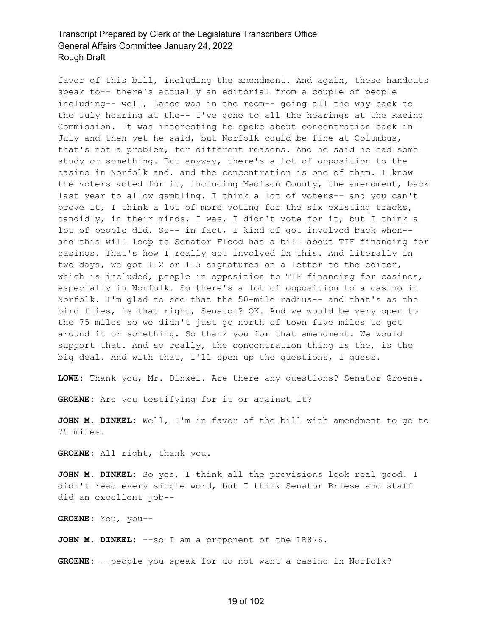favor of this bill, including the amendment. And again, these handouts speak to-- there's actually an editorial from a couple of people including-- well, Lance was in the room-- going all the way back to the July hearing at the-- I've gone to all the hearings at the Racing Commission. It was interesting he spoke about concentration back in July and then yet he said, but Norfolk could be fine at Columbus, that's not a problem, for different reasons. And he said he had some study or something. But anyway, there's a lot of opposition to the casino in Norfolk and, and the concentration is one of them. I know the voters voted for it, including Madison County, the amendment, back last year to allow gambling. I think a lot of voters-- and you can't prove it, I think a lot of more voting for the six existing tracks, candidly, in their minds. I was, I didn't vote for it, but I think a lot of people did. So-- in fact, I kind of got involved back when- and this will loop to Senator Flood has a bill about TIF financing for casinos. That's how I really got involved in this. And literally in two days, we got 112 or 115 signatures on a letter to the editor, which is included, people in opposition to TIF financing for casinos, especially in Norfolk. So there's a lot of opposition to a casino in Norfolk. I'm glad to see that the 50-mile radius-- and that's as the bird flies, is that right, Senator? OK. And we would be very open to the 75 miles so we didn't just go north of town five miles to get around it or something. So thank you for that amendment. We would support that. And so really, the concentration thing is the, is the big deal. And with that, I'll open up the questions, I guess.

**LOWE:** Thank you, Mr. Dinkel. Are there any questions? Senator Groene.

**GROENE:** Are you testifying for it or against it?

**JOHN M. DINKEL:** Well, I'm in favor of the bill with amendment to go to 75 miles.

**GROENE:** All right, thank you.

**JOHN M. DINKEL:** So yes, I think all the provisions look real good. I didn't read every single word, but I think Senator Briese and staff did an excellent job--

**GROENE:** You, you--

**JOHN M. DINKEL:** --so I am a proponent of the LB876.

**GROENE:** --people you speak for do not want a casino in Norfolk?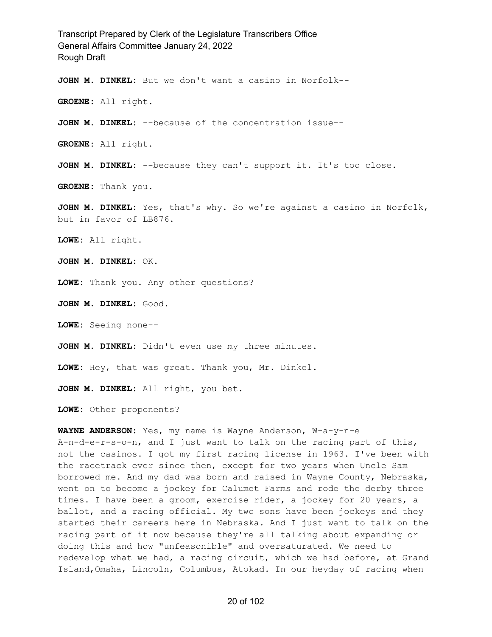**JOHN M. DINKEL:** But we don't want a casino in Norfolk--

**GROENE:** All right.

**JOHN M. DINKEL:** --because of the concentration issue--

**GROENE:** All right.

**JOHN M. DINKEL:** --because they can't support it. It's too close.

**GROENE:** Thank you.

**JOHN M. DINKEL:** Yes, that's why. So we're against a casino in Norfolk, but in favor of LB876.

**LOWE:** All right.

**JOHN M. DINKEL:** OK.

**LOWE:** Thank you. Any other questions?

**JOHN M. DINKEL:** Good.

**LOWE:** Seeing none--

**JOHN M. DINKEL:** Didn't even use my three minutes.

**LOWE:** Hey, that was great. Thank you, Mr. Dinkel.

**JOHN M. DINKEL:** All right, you bet.

**LOWE:** Other proponents?

**WAYNE ANDERSON:** Yes, my name is Wayne Anderson, W-a-y-n-e A-n-d-e-r-s-o-n, and I just want to talk on the racing part of this, not the casinos. I got my first racing license in 1963. I've been with the racetrack ever since then, except for two years when Uncle Sam borrowed me. And my dad was born and raised in Wayne County, Nebraska, went on to become a jockey for Calumet Farms and rode the derby three times. I have been a groom, exercise rider, a jockey for 20 years, a ballot, and a racing official. My two sons have been jockeys and they started their careers here in Nebraska. And I just want to talk on the racing part of it now because they're all talking about expanding or doing this and how "unfeasonible" and oversaturated. We need to redevelop what we had, a racing circuit, which we had before, at Grand Island,Omaha, Lincoln, Columbus, Atokad. In our heyday of racing when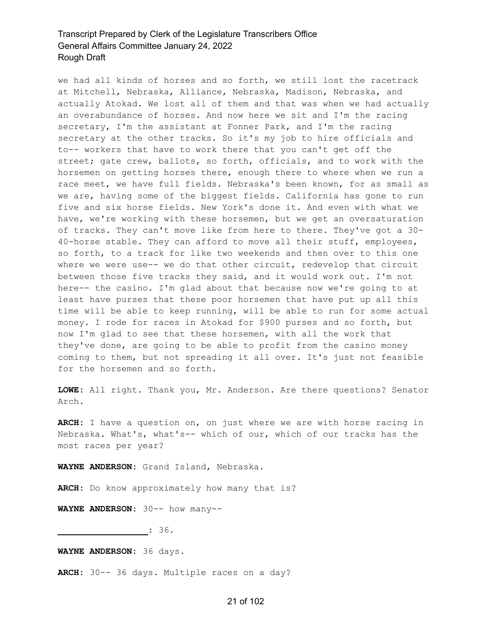we had all kinds of horses and so forth, we still lost the racetrack at Mitchell, Nebraska, Alliance, Nebraska, Madison, Nebraska, and actually Atokad. We lost all of them and that was when we had actually an overabundance of horses. And now here we sit and I'm the racing secretary, I'm the assistant at Fonner Park, and I'm the racing secretary at the other tracks. So it's my job to hire officials and to-- workers that have to work there that you can't get off the street; gate crew, ballots, so forth, officials, and to work with the horsemen on getting horses there, enough there to where when we run a race meet, we have full fields. Nebraska's been known, for as small as we are, having some of the biggest fields. California has gone to run five and six horse fields. New York's done it. And even with what we have, we're working with these horsemen, but we get an oversaturation of tracks. They can't move like from here to there. They've got a 30- 40-horse stable. They can afford to move all their stuff, employees, so forth, to a track for like two weekends and then over to this one where we were use-- we do that other circuit, redevelop that circuit between those five tracks they said, and it would work out. I'm not here-- the casino. I'm glad about that because now we're going to at least have purses that these poor horsemen that have put up all this time will be able to keep running, will be able to run for some actual money. I rode for races in Atokad for \$900 purses and so forth, but now I'm glad to see that these horsemen, with all the work that they've done, are going to be able to profit from the casino money coming to them, but not spreading it all over. It's just not feasible for the horsemen and so forth.

**LOWE:** All right. Thank you, Mr. Anderson. Are there questions? Senator Arch.

**ARCH:** I have a question on, on just where we are with horse racing in Nebraska. What's, what's-- which of our, which of our tracks has the most races per year?

**WAYNE ANDERSON:** Grand Island, Nebraska.

**ARCH:** Do know approximately how many that is?

**WAYNE ANDERSON:** 30-- how many--

**\_\_\_\_\_\_\_\_\_\_\_\_\_\_\_\_\_:** 36.

**WAYNE ANDERSON:** 36 days.

**ARCH:** 30-- 36 days. Multiple races on a day?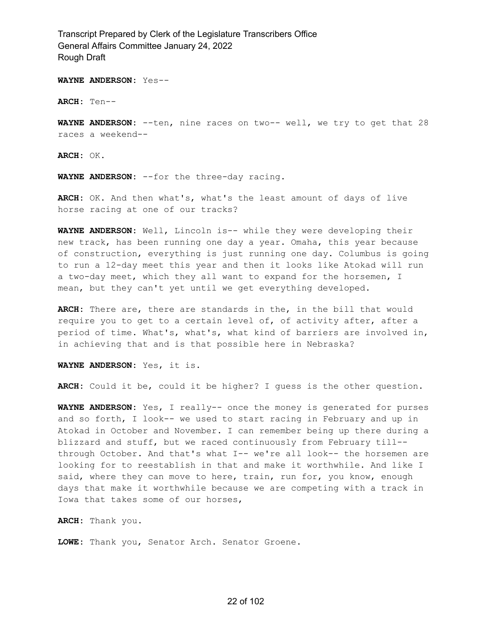**WAYNE ANDERSON:** Yes--

**ARCH:** Ten--

**WAYNE ANDERSON:** --ten, nine races on two-- well, we try to get that 28 races a weekend--

**ARCH:** OK.

**WAYNE ANDERSON:** --for the three-day racing.

**ARCH:** OK. And then what's, what's the least amount of days of live horse racing at one of our tracks?

**WAYNE ANDERSON:** Well, Lincoln is-- while they were developing their new track, has been running one day a year. Omaha, this year because of construction, everything is just running one day. Columbus is going to run a 12-day meet this year and then it looks like Atokad will run a two-day meet, which they all want to expand for the horsemen, I mean, but they can't yet until we get everything developed.

**ARCH:** There are, there are standards in the, in the bill that would require you to get to a certain level of, of activity after, after a period of time. What's, what's, what kind of barriers are involved in, in achieving that and is that possible here in Nebraska?

**WAYNE ANDERSON:** Yes, it is.

**ARCH:** Could it be, could it be higher? I guess is the other question.

**WAYNE ANDERSON:** Yes, I really-- once the money is generated for purses and so forth, I look-- we used to start racing in February and up in Atokad in October and November. I can remember being up there during a blizzard and stuff, but we raced continuously from February till- through October. And that's what I-- we're all look-- the horsemen are looking for to reestablish in that and make it worthwhile. And like I said, where they can move to here, train, run for, you know, enough days that make it worthwhile because we are competing with a track in Iowa that takes some of our horses,

**ARCH:** Thank you.

**LOWE:** Thank you, Senator Arch. Senator Groene.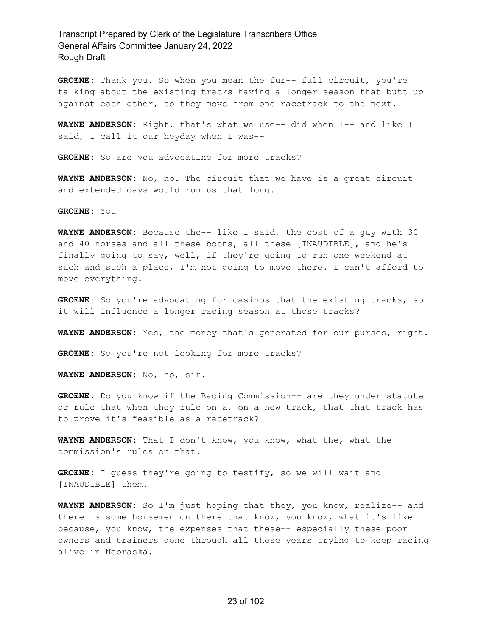**GROENE:** Thank you. So when you mean the fur-- full circuit, you're talking about the existing tracks having a longer season that butt up against each other, so they move from one racetrack to the next.

**WAYNE ANDERSON:** Right, that's what we use-- did when I-- and like I said, I call it our heyday when I was--

**GROENE:** So are you advocating for more tracks?

**WAYNE ANDERSON:** No, no. The circuit that we have is a great circuit and extended days would run us that long.

**GROENE:** You--

**WAYNE ANDERSON:** Because the-- like I said, the cost of a guy with 30 and 40 horses and all these boons, all these [INAUDIBLE], and he's finally going to say, well, if they're going to run one weekend at such and such a place, I'm not going to move there. I can't afford to move everything.

**GROENE:** So you're advocating for casinos that the existing tracks, so it will influence a longer racing season at those tracks?

**WAYNE ANDERSON:** Yes, the money that's generated for our purses, right.

GROENE: So you're not looking for more tracks?

**WAYNE ANDERSON:** No, no, sir.

**GROENE:** Do you know if the Racing Commission-- are they under statute or rule that when they rule on a, on a new track, that that track has to prove it's feasible as a racetrack?

**WAYNE ANDERSON:** That I don't know, you know, what the, what the commission's rules on that.

**GROENE:** I guess they're going to testify, so we will wait and [INAUDIBLE] them.

**WAYNE ANDERSON:** So I'm just hoping that they, you know, realize-- and there is some horsemen on there that know, you know, what it's like because, you know, the expenses that these-- especially these poor owners and trainers gone through all these years trying to keep racing alive in Nebraska.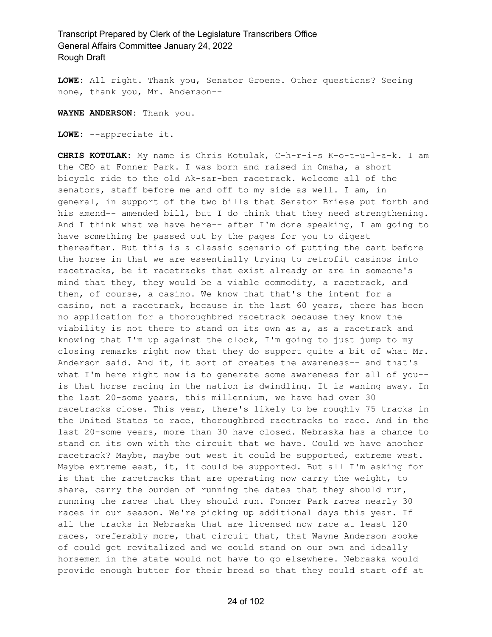**LOWE:** All right. Thank you, Senator Groene. Other questions? Seeing none, thank you, Mr. Anderson--

**WAYNE ANDERSON:** Thank you.

**LOWE:** --appreciate it.

**CHRIS KOTULAK:** My name is Chris Kotulak, C-h-r-i-s K-o-t-u-l-a-k. I am the CEO at Fonner Park. I was born and raised in Omaha, a short bicycle ride to the old Ak-sar-ben racetrack. Welcome all of the senators, staff before me and off to my side as well. I am, in general, in support of the two bills that Senator Briese put forth and his amend-- amended bill, but I do think that they need strengthening. And I think what we have here-- after I'm done speaking, I am going to have something be passed out by the pages for you to digest thereafter. But this is a classic scenario of putting the cart before the horse in that we are essentially trying to retrofit casinos into racetracks, be it racetracks that exist already or are in someone's mind that they, they would be a viable commodity, a racetrack, and then, of course, a casino. We know that that's the intent for a casino, not a racetrack, because in the last 60 years, there has been no application for a thoroughbred racetrack because they know the viability is not there to stand on its own as a, as a racetrack and knowing that I'm up against the clock, I'm going to just jump to my closing remarks right now that they do support quite a bit of what Mr. Anderson said. And it, it sort of creates the awareness-- and that's what I'm here right now is to generate some awareness for all of you- is that horse racing in the nation is dwindling. It is waning away. In the last 20-some years, this millennium, we have had over 30 racetracks close. This year, there's likely to be roughly 75 tracks in the United States to race, thoroughbred racetracks to race. And in the last 20-some years, more than 30 have closed. Nebraska has a chance to stand on its own with the circuit that we have. Could we have another racetrack? Maybe, maybe out west it could be supported, extreme west. Maybe extreme east, it, it could be supported. But all I'm asking for is that the racetracks that are operating now carry the weight, to share, carry the burden of running the dates that they should run, running the races that they should run. Fonner Park races nearly 30 races in our season. We're picking up additional days this year. If all the tracks in Nebraska that are licensed now race at least 120 races, preferably more, that circuit that, that Wayne Anderson spoke of could get revitalized and we could stand on our own and ideally horsemen in the state would not have to go elsewhere. Nebraska would provide enough butter for their bread so that they could start off at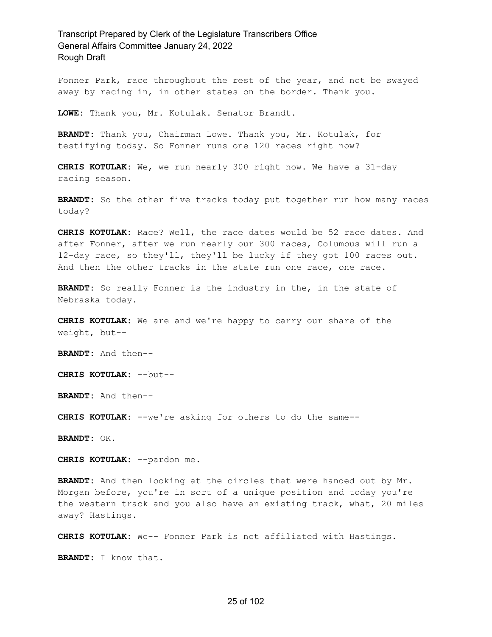Fonner Park, race throughout the rest of the year, and not be swayed away by racing in, in other states on the border. Thank you.

**LOWE:** Thank you, Mr. Kotulak. Senator Brandt.

**BRANDT:** Thank you, Chairman Lowe. Thank you, Mr. Kotulak, for testifying today. So Fonner runs one 120 races right now?

**CHRIS KOTULAK:** We, we run nearly 300 right now. We have a 31-day racing season.

**BRANDT:** So the other five tracks today put together run how many races today?

**CHRIS KOTULAK:** Race? Well, the race dates would be 52 race dates. And after Fonner, after we run nearly our 300 races, Columbus will run a 12-day race, so they'll, they'll be lucky if they got 100 races out. And then the other tracks in the state run one race, one race.

**BRANDT:** So really Fonner is the industry in the, in the state of Nebraska today.

**CHRIS KOTULAK:** We are and we're happy to carry our share of the weight, but--

**BRANDT:** And then--

**CHRIS KOTULAK:** --but--

**BRANDT:** And then--

**CHRIS KOTULAK:** --we're asking for others to do the same--

**BRANDT:** OK.

**CHRIS KOTULAK:** --pardon me.

**BRANDT:** And then looking at the circles that were handed out by Mr. Morgan before, you're in sort of a unique position and today you're the western track and you also have an existing track, what, 20 miles away? Hastings.

**CHRIS KOTULAK:** We-- Fonner Park is not affiliated with Hastings.

**BRANDT:** I know that.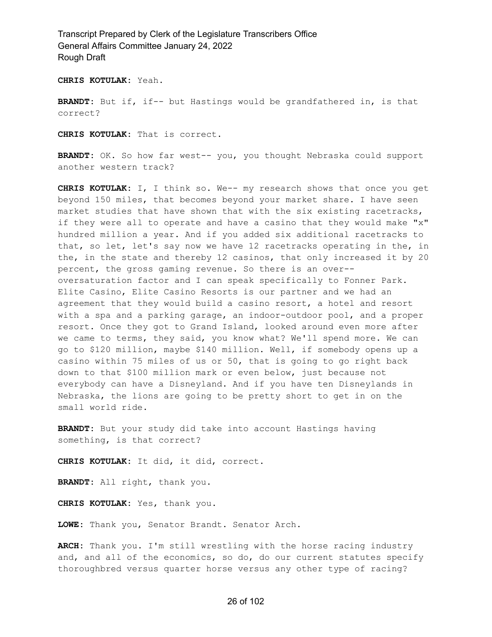**CHRIS KOTULAK:** Yeah.

**BRANDT:** But if, if-- but Hastings would be grandfathered in, is that correct?

**CHRIS KOTULAK:** That is correct.

**BRANDT:** OK. So how far west-- you, you thought Nebraska could support another western track?

**CHRIS KOTULAK:** I, I think so. We-- my research shows that once you get beyond 150 miles, that becomes beyond your market share. I have seen market studies that have shown that with the six existing racetracks, if they were all to operate and have a casino that they would make "x" hundred million a year. And if you added six additional racetracks to that, so let, let's say now we have 12 racetracks operating in the, in the, in the state and thereby 12 casinos, that only increased it by 20 percent, the gross gaming revenue. So there is an over- oversaturation factor and I can speak specifically to Fonner Park. Elite Casino, Elite Casino Resorts is our partner and we had an agreement that they would build a casino resort, a hotel and resort with a spa and a parking garage, an indoor-outdoor pool, and a proper resort. Once they got to Grand Island, looked around even more after we came to terms, they said, you know what? We'll spend more. We can go to \$120 million, maybe \$140 million. Well, if somebody opens up a casino within 75 miles of us or 50, that is going to go right back down to that \$100 million mark or even below, just because not everybody can have a Disneyland. And if you have ten Disneylands in Nebraska, the lions are going to be pretty short to get in on the small world ride.

**BRANDT:** But your study did take into account Hastings having something, is that correct?

**CHRIS KOTULAK:** It did, it did, correct.

**BRANDT:** All right, thank you.

**CHRIS KOTULAK:** Yes, thank you.

**LOWE:** Thank you, Senator Brandt. Senator Arch.

**ARCH:** Thank you. I'm still wrestling with the horse racing industry and, and all of the economics, so do, do our current statutes specify thoroughbred versus quarter horse versus any other type of racing?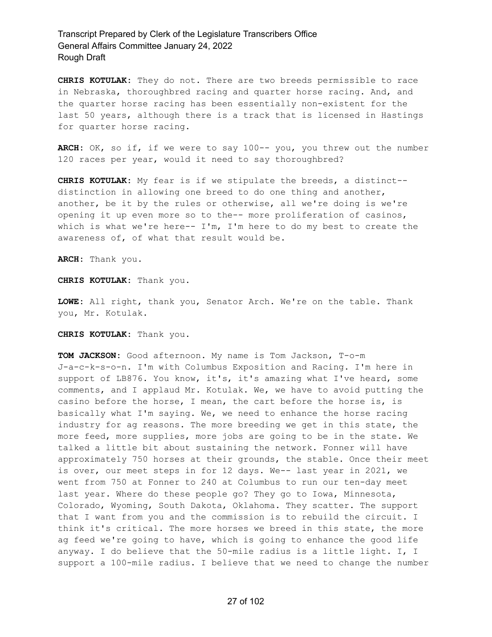**CHRIS KOTULAK:** They do not. There are two breeds permissible to race in Nebraska, thoroughbred racing and quarter horse racing. And, and the quarter horse racing has been essentially non-existent for the last 50 years, although there is a track that is licensed in Hastings for quarter horse racing.

ARCH: OK, so if, if we were to say 100-- you, you threw out the number 120 races per year, would it need to say thoroughbred?

**CHRIS KOTULAK:** My fear is if we stipulate the breeds, a distinct- distinction in allowing one breed to do one thing and another, another, be it by the rules or otherwise, all we're doing is we're opening it up even more so to the-- more proliferation of casinos, which is what we're here-- I'm, I'm here to do my best to create the awareness of, of what that result would be.

**ARCH:** Thank you.

**CHRIS KOTULAK:** Thank you.

**LOWE:** All right, thank you, Senator Arch. We're on the table. Thank you, Mr. Kotulak.

**CHRIS KOTULAK:** Thank you.

**TOM JACKSON:** Good afternoon. My name is Tom Jackson, T-o-m J-a-c-k-s-o-n. I'm with Columbus Exposition and Racing. I'm here in support of LB876. You know, it's, it's amazing what I've heard, some comments, and I applaud Mr. Kotulak. We, we have to avoid putting the casino before the horse, I mean, the cart before the horse is, is basically what I'm saying. We, we need to enhance the horse racing industry for ag reasons. The more breeding we get in this state, the more feed, more supplies, more jobs are going to be in the state. We talked a little bit about sustaining the network. Fonner will have approximately 750 horses at their grounds, the stable. Once their meet is over, our meet steps in for 12 days. We-- last year in 2021, we went from 750 at Fonner to 240 at Columbus to run our ten-day meet last year. Where do these people go? They go to Iowa, Minnesota, Colorado, Wyoming, South Dakota, Oklahoma. They scatter. The support that I want from you and the commission is to rebuild the circuit. I think it's critical. The more horses we breed in this state, the more ag feed we're going to have, which is going to enhance the good life anyway. I do believe that the 50-mile radius is a little light. I, I support a 100-mile radius. I believe that we need to change the number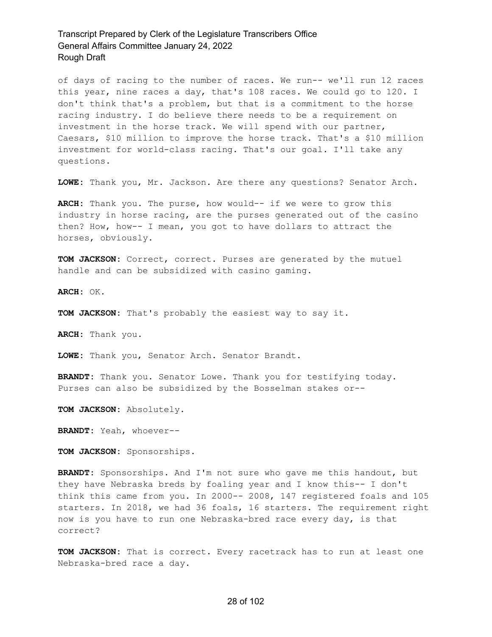of days of racing to the number of races. We run-- we'll run 12 races this year, nine races a day, that's 108 races. We could go to 120. I don't think that's a problem, but that is a commitment to the horse racing industry. I do believe there needs to be a requirement on investment in the horse track. We will spend with our partner, Caesars, \$10 million to improve the horse track. That's a \$10 million investment for world-class racing. That's our goal. I'll take any questions.

**LOWE:** Thank you, Mr. Jackson. Are there any questions? Senator Arch.

**ARCH:** Thank you. The purse, how would-- if we were to grow this industry in horse racing, are the purses generated out of the casino then? How, how-- I mean, you got to have dollars to attract the horses, obviously.

**TOM JACKSON:** Correct, correct. Purses are generated by the mutuel handle and can be subsidized with casino gaming.

**ARCH:** OK.

**TOM JACKSON:** That's probably the easiest way to say it.

**ARCH:** Thank you.

**LOWE:** Thank you, Senator Arch. Senator Brandt.

**BRANDT:** Thank you. Senator Lowe. Thank you for testifying today. Purses can also be subsidized by the Bosselman stakes or--

**TOM JACKSON:** Absolutely.

**BRANDT:** Yeah, whoever--

**TOM JACKSON:** Sponsorships.

**BRANDT:** Sponsorships. And I'm not sure who gave me this handout, but they have Nebraska breds by foaling year and I know this-- I don't think this came from you. In 2000-- 2008, 147 registered foals and 105 starters. In 2018, we had 36 foals, 16 starters. The requirement right now is you have to run one Nebraska-bred race every day, is that correct?

**TOM JACKSON:** That is correct. Every racetrack has to run at least one Nebraska-bred race a day.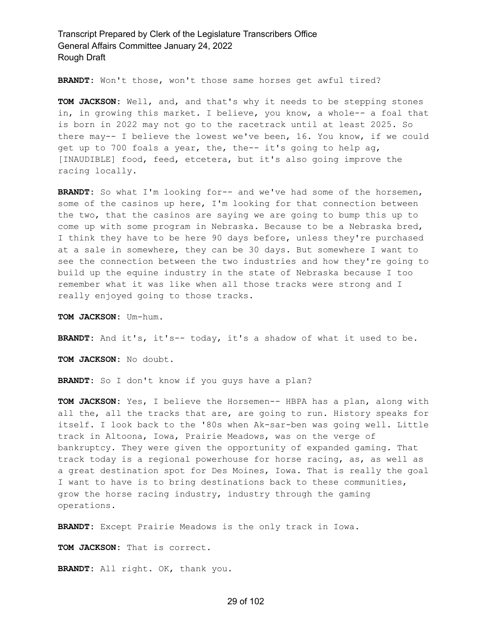**BRANDT:** Won't those, won't those same horses get awful tired?

**TOM JACKSON:** Well, and, and that's why it needs to be stepping stones in, in growing this market. I believe, you know, a whole-- a foal that is born in 2022 may not go to the racetrack until at least 2025. So there may-- I believe the lowest we've been, 16. You know, if we could get up to 700 foals a year, the, the-- it's going to help ag, [INAUDIBLE] food, feed, etcetera, but it's also going improve the racing locally.

**BRANDT:** So what I'm looking for-- and we've had some of the horsemen, some of the casinos up here, I'm looking for that connection between the two, that the casinos are saying we are going to bump this up to come up with some program in Nebraska. Because to be a Nebraska bred, I think they have to be here 90 days before, unless they're purchased at a sale in somewhere, they can be 30 days. But somewhere I want to see the connection between the two industries and how they're going to build up the equine industry in the state of Nebraska because I too remember what it was like when all those tracks were strong and I really enjoyed going to those tracks.

**TOM JACKSON:** Um-hum.

**BRANDT:** And it's, it's-- today, it's a shadow of what it used to be.

**TOM JACKSON:** No doubt.

**BRANDT:** So I don't know if you guys have a plan?

**TOM JACKSON:** Yes, I believe the Horsemen-- HBPA has a plan, along with all the, all the tracks that are, are going to run. History speaks for itself. I look back to the '80s when Ak-sar-ben was going well. Little track in Altoona, Iowa, Prairie Meadows, was on the verge of bankruptcy. They were given the opportunity of expanded gaming. That track today is a regional powerhouse for horse racing, as, as well as a great destination spot for Des Moines, Iowa. That is really the goal I want to have is to bring destinations back to these communities, grow the horse racing industry, industry through the gaming operations.

**BRANDT:** Except Prairie Meadows is the only track in Iowa.

**TOM JACKSON:** That is correct.

**BRANDT:** All right. OK, thank you.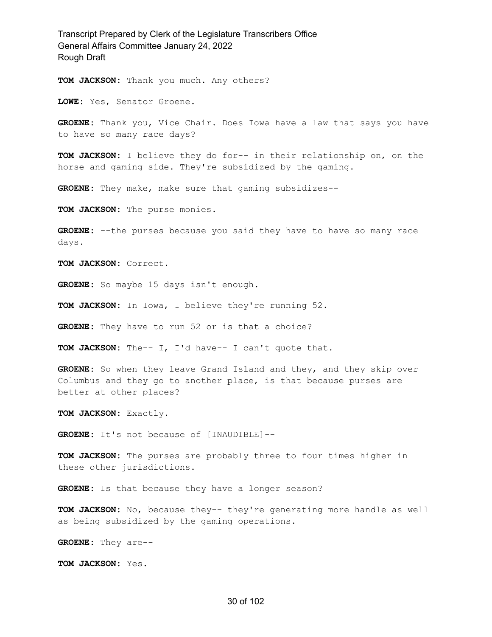**TOM JACKSON:** Thank you much. Any others?

**LOWE:** Yes, Senator Groene.

**GROENE:** Thank you, Vice Chair. Does Iowa have a law that says you have to have so many race days?

**TOM JACKSON:** I believe they do for-- in their relationship on, on the horse and gaming side. They're subsidized by the gaming.

**GROENE:** They make, make sure that gaming subsidizes--

**TOM JACKSON:** The purse monies.

**GROENE:** --the purses because you said they have to have so many race days.

**TOM JACKSON:** Correct.

**GROENE:** So maybe 15 days isn't enough.

**TOM JACKSON:** In Iowa, I believe they're running 52.

**GROENE:** They have to run 52 or is that a choice?

**TOM JACKSON:** The-- I, I'd have-- I can't quote that.

**GROENE:** So when they leave Grand Island and they, and they skip over Columbus and they go to another place, is that because purses are better at other places?

**TOM JACKSON:** Exactly.

**GROENE:** It's not because of [INAUDIBLE]--

**TOM JACKSON:** The purses are probably three to four times higher in these other jurisdictions.

**GROENE:** Is that because they have a longer season?

**TOM JACKSON:** No, because they-- they're generating more handle as well as being subsidized by the gaming operations.

**GROENE:** They are--

**TOM JACKSON:** Yes.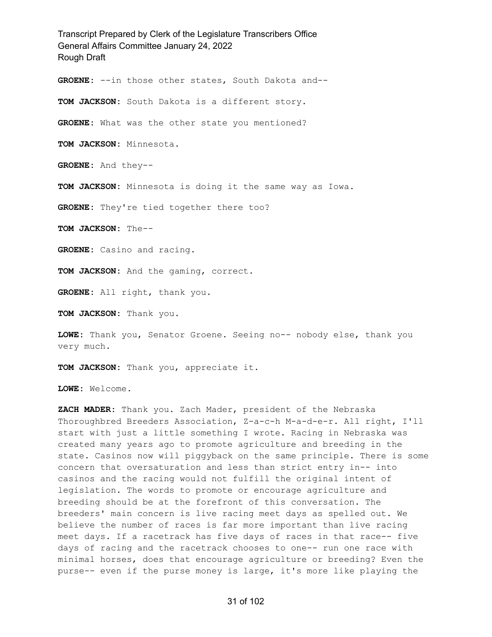Transcript Prepared by Clerk of the Legislature Transcribers Office General Affairs Committee January 24, 2022 Rough Draft **GROENE:** --in those other states, South Dakota and-- **TOM JACKSON:** South Dakota is a different story. **GROENE:** What was the other state you mentioned? **TOM JACKSON:** Minnesota. **GROENE:** And they-- **TOM JACKSON:** Minnesota is doing it the same way as Iowa. **GROENE:** They're tied together there too? **TOM JACKSON:** The-- **GROENE:** Casino and racing. **TOM JACKSON:** And the gaming, correct. **GROENE:** All right, thank you. **TOM JACKSON:** Thank you. **LOWE:** Thank you, Senator Groene. Seeing no-- nobody else, thank you very much.

**TOM JACKSON:** Thank you, appreciate it.

**LOWE:** Welcome.

**ZACH MADER:** Thank you. Zach Mader, president of the Nebraska Thoroughbred Breeders Association, Z-a-c-h M-a-d-e-r. All right, I'll start with just a little something I wrote. Racing in Nebraska was created many years ago to promote agriculture and breeding in the state. Casinos now will piggyback on the same principle. There is some concern that oversaturation and less than strict entry in-- into casinos and the racing would not fulfill the original intent of legislation. The words to promote or encourage agriculture and breeding should be at the forefront of this conversation. The breeders' main concern is live racing meet days as spelled out. We believe the number of races is far more important than live racing meet days. If a racetrack has five days of races in that race-- five days of racing and the racetrack chooses to one-- run one race with minimal horses, does that encourage agriculture or breeding? Even the purse-- even if the purse money is large, it's more like playing the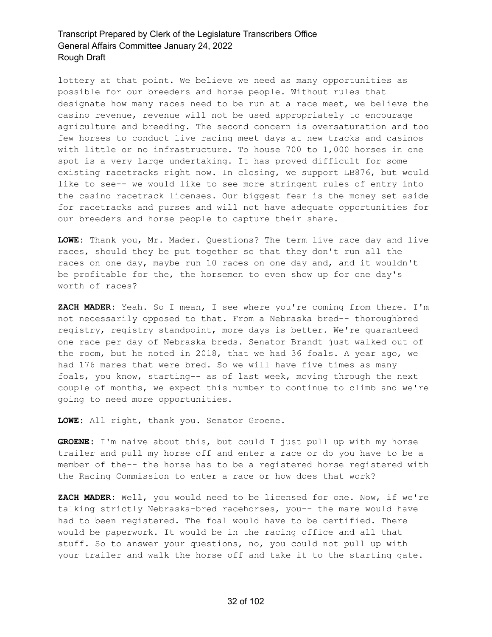lottery at that point. We believe we need as many opportunities as possible for our breeders and horse people. Without rules that designate how many races need to be run at a race meet, we believe the casino revenue, revenue will not be used appropriately to encourage agriculture and breeding. The second concern is oversaturation and too few horses to conduct live racing meet days at new tracks and casinos with little or no infrastructure. To house 700 to 1,000 horses in one spot is a very large undertaking. It has proved difficult for some existing racetracks right now. In closing, we support LB876, but would like to see-- we would like to see more stringent rules of entry into the casino racetrack licenses. Our biggest fear is the money set aside for racetracks and purses and will not have adequate opportunities for our breeders and horse people to capture their share.

**LOWE:** Thank you, Mr. Mader. Questions? The term live race day and live races, should they be put together so that they don't run all the races on one day, maybe run 10 races on one day and, and it wouldn't be profitable for the, the horsemen to even show up for one day's worth of races?

**ZACH MADER:** Yeah. So I mean, I see where you're coming from there. I'm not necessarily opposed to that. From a Nebraska bred-- thoroughbred registry, registry standpoint, more days is better. We're guaranteed one race per day of Nebraska breds. Senator Brandt just walked out of the room, but he noted in 2018, that we had 36 foals. A year ago, we had 176 mares that were bred. So we will have five times as many foals, you know, starting-- as of last week, moving through the next couple of months, we expect this number to continue to climb and we're going to need more opportunities.

**LOWE:** All right, thank you. Senator Groene.

**GROENE:** I'm naive about this, but could I just pull up with my horse trailer and pull my horse off and enter a race or do you have to be a member of the-- the horse has to be a registered horse registered with the Racing Commission to enter a race or how does that work?

**ZACH MADER:** Well, you would need to be licensed for one. Now, if we're talking strictly Nebraska-bred racehorses, you-- the mare would have had to been registered. The foal would have to be certified. There would be paperwork. It would be in the racing office and all that stuff. So to answer your questions, no, you could not pull up with your trailer and walk the horse off and take it to the starting gate.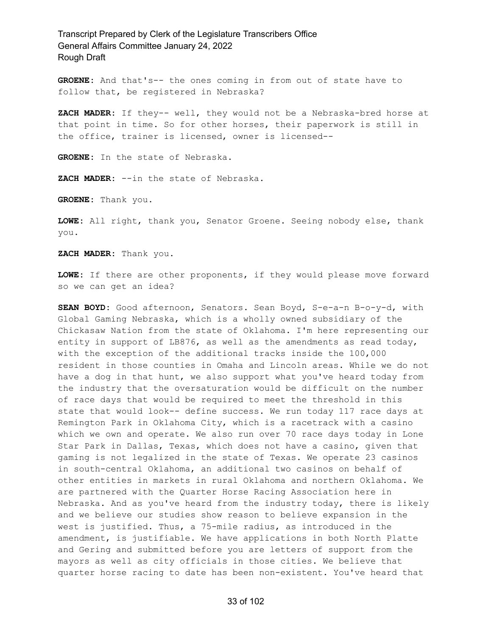**GROENE:** And that's-- the ones coming in from out of state have to follow that, be registered in Nebraska?

**ZACH MADER:** If they-- well, they would not be a Nebraska-bred horse at that point in time. So for other horses, their paperwork is still in the office, trainer is licensed, owner is licensed--

**GROENE:** In the state of Nebraska.

**ZACH MADER:** --in the state of Nebraska.

**GROENE:** Thank you.

**LOWE:** All right, thank you, Senator Groene. Seeing nobody else, thank you.

**ZACH MADER:** Thank you.

**LOWE:** If there are other proponents, if they would please move forward so we can get an idea?

**SEAN BOYD:** Good afternoon, Senators. Sean Boyd, S-e-a-n B-o-y-d, with Global Gaming Nebraska, which is a wholly owned subsidiary of the Chickasaw Nation from the state of Oklahoma. I'm here representing our entity in support of LB876, as well as the amendments as read today, with the exception of the additional tracks inside the 100,000 resident in those counties in Omaha and Lincoln areas. While we do not have a dog in that hunt, we also support what you've heard today from the industry that the oversaturation would be difficult on the number of race days that would be required to meet the threshold in this state that would look-- define success. We run today 117 race days at Remington Park in Oklahoma City, which is a racetrack with a casino which we own and operate. We also run over 70 race days today in Lone Star Park in Dallas, Texas, which does not have a casino, given that gaming is not legalized in the state of Texas. We operate 23 casinos in south-central Oklahoma, an additional two casinos on behalf of other entities in markets in rural Oklahoma and northern Oklahoma. We are partnered with the Quarter Horse Racing Association here in Nebraska. And as you've heard from the industry today, there is likely and we believe our studies show reason to believe expansion in the west is justified. Thus, a 75-mile radius, as introduced in the amendment, is justifiable. We have applications in both North Platte and Gering and submitted before you are letters of support from the mayors as well as city officials in those cities. We believe that quarter horse racing to date has been non-existent. You've heard that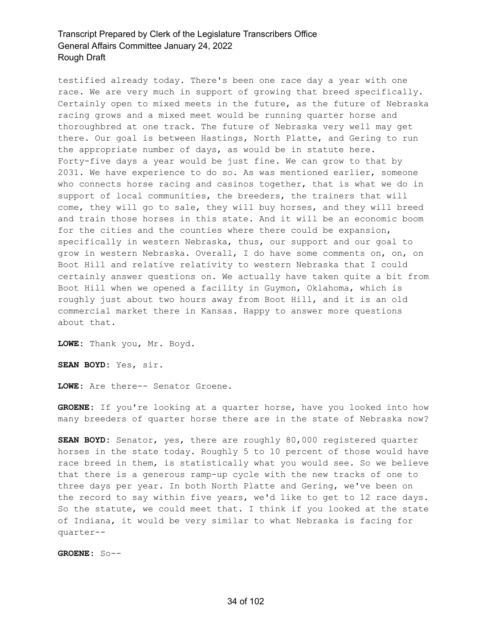testified already today. There's been one race day a year with one race. We are very much in support of growing that breed specifically. Certainly open to mixed meets in the future, as the future of Nebraska racing grows and a mixed meet would be running quarter horse and thoroughbred at one track. The future of Nebraska very well may get there. Our goal is between Hastings, North Platte, and Gering to run the appropriate number of days, as would be in statute here. Forty-five days a year would be just fine. We can grow to that by 2031. We have experience to do so. As was mentioned earlier, someone who connects horse racing and casinos together, that is what we do in support of local communities, the breeders, the trainers that will come, they will go to sale, they will buy horses, and they will breed and train those horses in this state. And it will be an economic boom for the cities and the counties where there could be expansion, specifically in western Nebraska, thus, our support and our goal to grow in western Nebraska. Overall, I do have some comments on, on, on Boot Hill and relative relativity to western Nebraska that I could certainly answer questions on. We actually have taken quite a bit from Boot Hill when we opened a facility in Guymon, Oklahoma, which is roughly just about two hours away from Boot Hill, and it is an old commercial market there in Kansas. Happy to answer more questions about that.

**LOWE:** Thank you, Mr. Boyd.

**SEAN BOYD:** Yes, sir.

**LOWE:** Are there-- Senator Groene.

**GROENE:** If you're looking at a quarter horse, have you looked into how many breeders of quarter horse there are in the state of Nebraska now?

**SEAN BOYD:** Senator, yes, there are roughly 80,000 registered quarter horses in the state today. Roughly 5 to 10 percent of those would have race breed in them, is statistically what you would see. So we believe that there is a generous ramp-up cycle with the new tracks of one to three days per year. In both North Platte and Gering, we've been on the record to say within five years, we'd like to get to 12 race days. So the statute, we could meet that. I think if you looked at the state of Indiana, it would be very similar to what Nebraska is facing for quarter--

**GROENE:** So--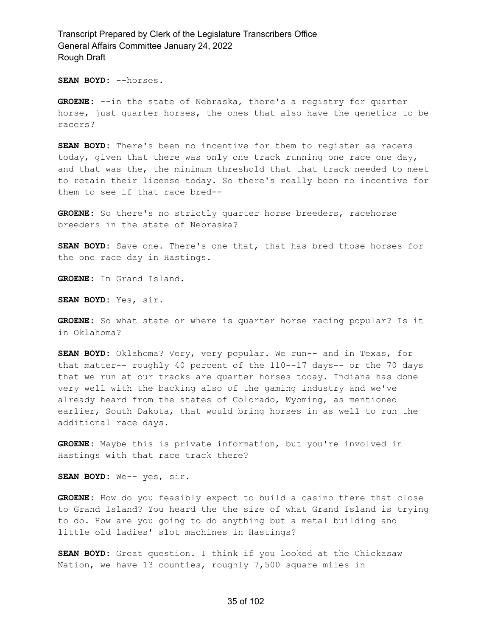**SEAN BOYD:** --horses.

**GROENE:** --in the state of Nebraska, there's a registry for quarter horse, just quarter horses, the ones that also have the genetics to be racers?

**SEAN BOYD:** There's been no incentive for them to register as racers today, given that there was only one track running one race one day, and that was the, the minimum threshold that that track needed to meet to retain their license today. So there's really been no incentive for them to see if that race bred--

**GROENE:** So there's no strictly quarter horse breeders, racehorse breeders in the state of Nebraska?

**SEAN BOYD:** Save one. There's one that, that has bred those horses for the one race day in Hastings.

**GROENE:** In Grand Island.

**SEAN BOYD:** Yes, sir.

**GROENE:** So what state or where is quarter horse racing popular? Is it in Oklahoma?

**SEAN BOYD:** Oklahoma? Very, very popular. We run-- and in Texas, for that matter-- roughly 40 percent of the 110--17 days-- or the 70 days that we run at our tracks are quarter horses today. Indiana has done very well with the backing also of the gaming industry and we've already heard from the states of Colorado, Wyoming, as mentioned earlier, South Dakota, that would bring horses in as well to run the additional race days.

**GROENE:** Maybe this is private information, but you're involved in Hastings with that race track there?

**SEAN BOYD:** We-- yes, sir.

**GROENE:** How do you feasibly expect to build a casino there that close to Grand Island? You heard the the size of what Grand Island is trying to do. How are you going to do anything but a metal building and little old ladies' slot machines in Hastings?

**SEAN BOYD:** Great question. I think if you looked at the Chickasaw Nation, we have 13 counties, roughly 7,500 square miles in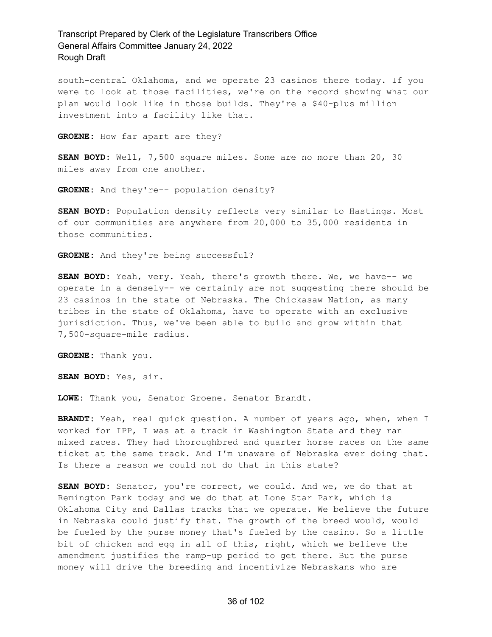south-central Oklahoma, and we operate 23 casinos there today. If you were to look at those facilities, we're on the record showing what our plan would look like in those builds. They're a \$40-plus million investment into a facility like that.

**GROENE:** How far apart are they?

**SEAN BOYD:** Well, 7,500 square miles. Some are no more than 20, 30 miles away from one another.

**GROENE:** And they're-- population density?

**SEAN BOYD:** Population density reflects very similar to Hastings. Most of our communities are anywhere from 20,000 to 35,000 residents in those communities.

**GROENE:** And they're being successful?

**SEAN BOYD:** Yeah, very. Yeah, there's growth there. We, we have-- we operate in a densely-- we certainly are not suggesting there should be 23 casinos in the state of Nebraska. The Chickasaw Nation, as many tribes in the state of Oklahoma, have to operate with an exclusive jurisdiction. Thus, we've been able to build and grow within that 7,500-square-mile radius.

**GROENE:** Thank you.

**SEAN BOYD:** Yes, sir.

**LOWE:** Thank you, Senator Groene. Senator Brandt.

**BRANDT:** Yeah, real quick question. A number of years ago, when, when I worked for IPP, I was at a track in Washington State and they ran mixed races. They had thoroughbred and quarter horse races on the same ticket at the same track. And I'm unaware of Nebraska ever doing that. Is there a reason we could not do that in this state?

**SEAN BOYD:** Senator, you're correct, we could. And we, we do that at Remington Park today and we do that at Lone Star Park, which is Oklahoma City and Dallas tracks that we operate. We believe the future in Nebraska could justify that. The growth of the breed would, would be fueled by the purse money that's fueled by the casino. So a little bit of chicken and egg in all of this, right, which we believe the amendment justifies the ramp-up period to get there. But the purse money will drive the breeding and incentivize Nebraskans who are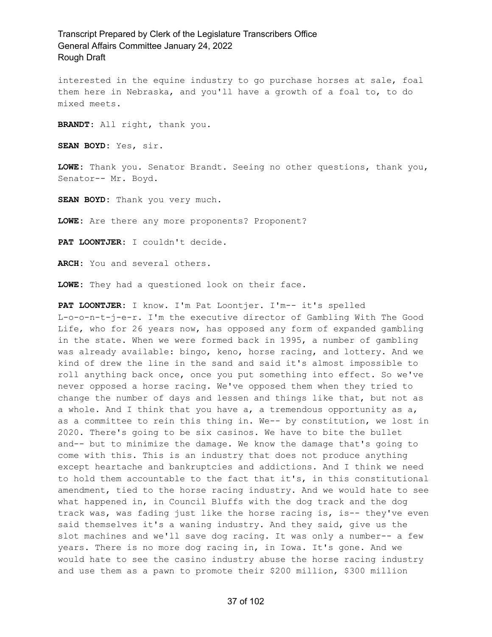interested in the equine industry to go purchase horses at sale, foal them here in Nebraska, and you'll have a growth of a foal to, to do mixed meets.

**BRANDT:** All right, thank you.

**SEAN BOYD:** Yes, sir.

**LOWE:** Thank you. Senator Brandt. Seeing no other questions, thank you, Senator-- Mr. Boyd.

**SEAN BOYD:** Thank you very much.

**LOWE:** Are there any more proponents? Proponent?

**PAT LOONTJER:** I couldn't decide.

**ARCH:** You and several others.

**LOWE:** They had a questioned look on their face.

**PAT LOONTJER:** I know. I'm Pat Loontjer. I'm-- it's spelled L-o-o-n-t-j-e-r. I'm the executive director of Gambling With The Good Life, who for 26 years now, has opposed any form of expanded gambling in the state. When we were formed back in 1995, a number of gambling was already available: bingo, keno, horse racing, and lottery. And we kind of drew the line in the sand and said it's almost impossible to roll anything back once, once you put something into effect. So we've never opposed a horse racing. We've opposed them when they tried to change the number of days and lessen and things like that, but not as a whole. And I think that you have  $a_i$ , a tremendous opportunity as  $a_i$ as a committee to rein this thing in. We-- by constitution, we lost in 2020. There's going to be six casinos. We have to bite the bullet and-- but to minimize the damage. We know the damage that's going to come with this. This is an industry that does not produce anything except heartache and bankruptcies and addictions. And I think we need to hold them accountable to the fact that it's, in this constitutional amendment, tied to the horse racing industry. And we would hate to see what happened in, in Council Bluffs with the dog track and the dog track was, was fading just like the horse racing is, is-- they've even said themselves it's a waning industry. And they said, give us the slot machines and we'll save dog racing. It was only a number-- a few years. There is no more dog racing in, in Iowa. It's gone. And we would hate to see the casino industry abuse the horse racing industry and use them as a pawn to promote their \$200 million, \$300 million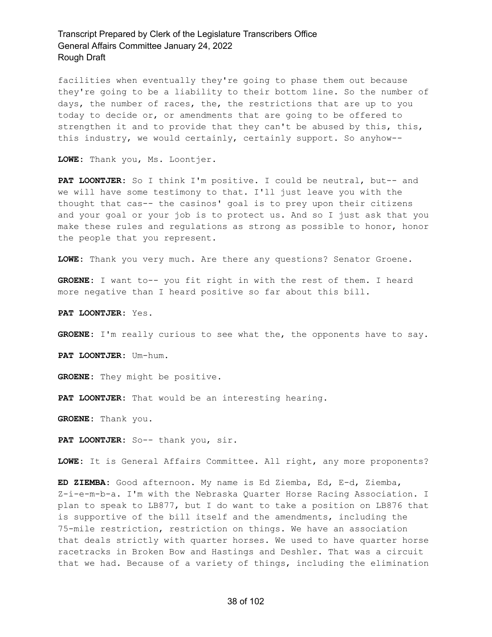facilities when eventually they're going to phase them out because they're going to be a liability to their bottom line. So the number of days, the number of races, the, the restrictions that are up to you today to decide or, or amendments that are going to be offered to strengthen it and to provide that they can't be abused by this, this, this industry, we would certainly, certainly support. So anyhow--

**LOWE:** Thank you, Ms. Loontjer.

**PAT LOONTJER:** So I think I'm positive. I could be neutral, but-- and we will have some testimony to that. I'll just leave you with the thought that cas-- the casinos' goal is to prey upon their citizens and your goal or your job is to protect us. And so I just ask that you make these rules and regulations as strong as possible to honor, honor the people that you represent.

**LOWE:** Thank you very much. Are there any questions? Senator Groene.

**GROENE:** I want to-- you fit right in with the rest of them. I heard more negative than I heard positive so far about this bill.

**PAT LOONTJER:** Yes.

**GROENE:** I'm really curious to see what the, the opponents have to say.

**PAT LOONTJER:** Um-hum.

**GROENE:** They might be positive.

**PAT LOONTJER:** That would be an interesting hearing.

**GROENE:** Thank you.

**PAT LOONTJER:** So-- thank you, sir.

**LOWE:** It is General Affairs Committee. All right, any more proponents?

**ED ZIEMBA:** Good afternoon. My name is Ed Ziemba, Ed, E-d, Ziemba, Z-i-e-m-b-a. I'm with the Nebraska Quarter Horse Racing Association. I plan to speak to LB877, but I do want to take a position on LB876 that is supportive of the bill itself and the amendments, including the 75-mile restriction, restriction on things. We have an association that deals strictly with quarter horses. We used to have quarter horse racetracks in Broken Bow and Hastings and Deshler. That was a circuit that we had. Because of a variety of things, including the elimination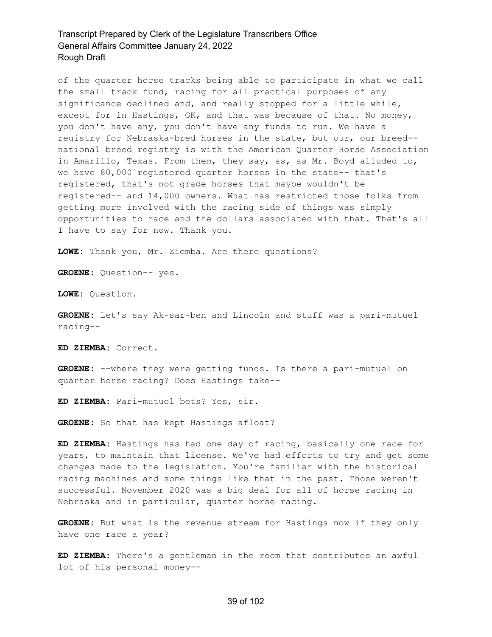of the quarter horse tracks being able to participate in what we call the small track fund, racing for all practical purposes of any significance declined and, and really stopped for a little while, except for in Hastings, OK, and that was because of that. No money, you don't have any, you don't have any funds to run. We have a registry for Nebraska-bred horses in the state, but our, our breed- national breed registry is with the American Quarter Horse Association in Amarillo, Texas. From them, they say, as, as Mr. Boyd alluded to, we have 80,000 registered quarter horses in the state-- that's registered, that's not grade horses that maybe wouldn't be registered-- and 14,000 owners. What has restricted those folks from getting more involved with the racing side of things was simply opportunities to race and the dollars associated with that. That's all I have to say for now. Thank you.

**LOWE:** Thank you, Mr. Ziemba. Are there questions?

**GROENE:** Question-- yes.

**LOWE:** Question.

**GROENE:** Let's say Ak-sar-ben and Lincoln and stuff was a pari-mutuel racing--

**ED ZIEMBA:** Correct.

**GROENE:** --where they were getting funds. Is there a pari-mutuel on quarter horse racing? Does Hastings take--

**ED ZIEMBA:** Pari-mutuel bets? Yes, sir.

**GROENE:** So that has kept Hastings afloat?

**ED ZIEMBA:** Hastings has had one day of racing, basically one race for years, to maintain that license. We've had efforts to try and get some changes made to the legislation. You're familiar with the historical racing machines and some things like that in the past. Those weren't successful. November 2020 was a big deal for all of horse racing in Nebraska and in particular, quarter horse racing.

**GROENE:** But what is the revenue stream for Hastings now if they only have one race a year?

**ED ZIEMBA:** There's a gentleman in the room that contributes an awful lot of his personal money--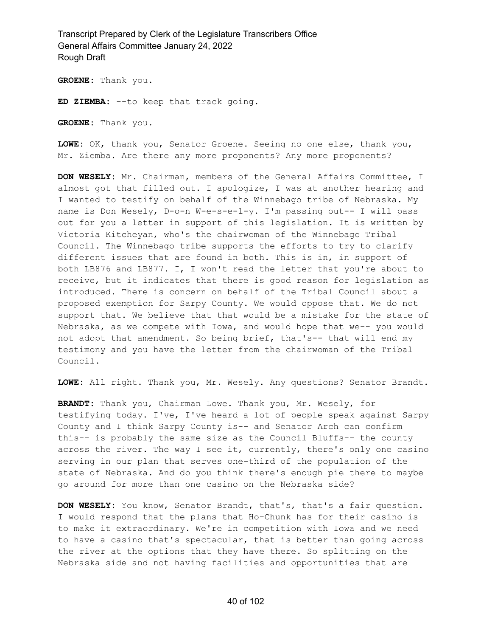**GROENE:** Thank you.

**ED ZIEMBA:** --to keep that track going.

**GROENE:** Thank you.

**LOWE:** OK, thank you, Senator Groene. Seeing no one else, thank you, Mr. Ziemba. Are there any more proponents? Any more proponents?

**DON WESELY:** Mr. Chairman, members of the General Affairs Committee, I almost got that filled out. I apologize, I was at another hearing and I wanted to testify on behalf of the Winnebago tribe of Nebraska. My name is Don Wesely, D-o-n W-e-s-e-l-y. I'm passing out-- I will pass out for you a letter in support of this legislation. It is written by Victoria Kitcheyan, who's the chairwoman of the Winnebago Tribal Council. The Winnebago tribe supports the efforts to try to clarify different issues that are found in both. This is in, in support of both LB876 and LB877. I, I won't read the letter that you're about to receive, but it indicates that there is good reason for legislation as introduced. There is concern on behalf of the Tribal Council about a proposed exemption for Sarpy County. We would oppose that. We do not support that. We believe that that would be a mistake for the state of Nebraska, as we compete with Iowa, and would hope that we-- you would not adopt that amendment. So being brief, that's-- that will end my testimony and you have the letter from the chairwoman of the Tribal Council.

**LOWE:** All right. Thank you, Mr. Wesely. Any questions? Senator Brandt.

**BRANDT:** Thank you, Chairman Lowe. Thank you, Mr. Wesely, for testifying today. I've, I've heard a lot of people speak against Sarpy County and I think Sarpy County is-- and Senator Arch can confirm this-- is probably the same size as the Council Bluffs-- the county across the river. The way I see it, currently, there's only one casino serving in our plan that serves one-third of the population of the state of Nebraska. And do you think there's enough pie there to maybe go around for more than one casino on the Nebraska side?

**DON WESELY:** You know, Senator Brandt, that's, that's a fair question. I would respond that the plans that Ho-Chunk has for their casino is to make it extraordinary. We're in competition with Iowa and we need to have a casino that's spectacular, that is better than going across the river at the options that they have there. So splitting on the Nebraska side and not having facilities and opportunities that are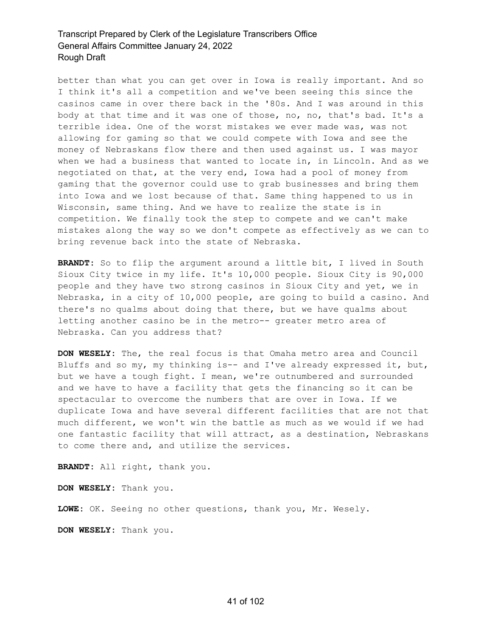better than what you can get over in Iowa is really important. And so I think it's all a competition and we've been seeing this since the casinos came in over there back in the '80s. And I was around in this body at that time and it was one of those, no, no, that's bad. It's a terrible idea. One of the worst mistakes we ever made was, was not allowing for gaming so that we could compete with Iowa and see the money of Nebraskans flow there and then used against us. I was mayor when we had a business that wanted to locate in, in Lincoln. And as we negotiated on that, at the very end, Iowa had a pool of money from gaming that the governor could use to grab businesses and bring them into Iowa and we lost because of that. Same thing happened to us in Wisconsin, same thing. And we have to realize the state is in competition. We finally took the step to compete and we can't make mistakes along the way so we don't compete as effectively as we can to bring revenue back into the state of Nebraska.

**BRANDT:** So to flip the argument around a little bit, I lived in South Sioux City twice in my life. It's 10,000 people. Sioux City is 90,000 people and they have two strong casinos in Sioux City and yet, we in Nebraska, in a city of 10,000 people, are going to build a casino. And there's no qualms about doing that there, but we have qualms about letting another casino be in the metro-- greater metro area of Nebraska. Can you address that?

**DON WESELY:** The, the real focus is that Omaha metro area and Council Bluffs and so my, my thinking is-- and I've already expressed it, but, but we have a tough fight. I mean, we're outnumbered and surrounded and we have to have a facility that gets the financing so it can be spectacular to overcome the numbers that are over in Iowa. If we duplicate Iowa and have several different facilities that are not that much different, we won't win the battle as much as we would if we had one fantastic facility that will attract, as a destination, Nebraskans to come there and, and utilize the services.

**BRANDT:** All right, thank you.

**DON WESELY:** Thank you.

**LOWE:** OK. Seeing no other questions, thank you, Mr. Wesely.

**DON WESELY:** Thank you.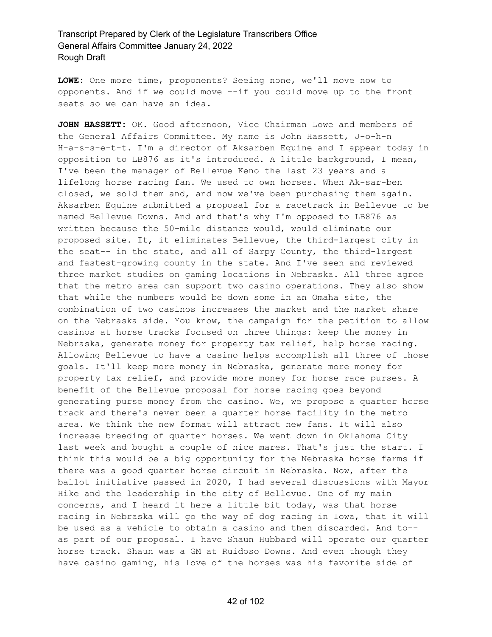**LOWE:** One more time, proponents? Seeing none, we'll move now to opponents. And if we could move --if you could move up to the front seats so we can have an idea.

**JOHN HASSETT:** OK. Good afternoon, Vice Chairman Lowe and members of the General Affairs Committee. My name is John Hassett, J-o-h-n H-a-s-s-e-t-t. I'm a director of Aksarben Equine and I appear today in opposition to LB876 as it's introduced. A little background, I mean, I've been the manager of Bellevue Keno the last 23 years and a lifelong horse racing fan. We used to own horses. When Ak-sar-ben closed, we sold them and, and now we've been purchasing them again. Aksarben Equine submitted a proposal for a racetrack in Bellevue to be named Bellevue Downs. And and that's why I'm opposed to LB876 as written because the 50-mile distance would, would eliminate our proposed site. It, it eliminates Bellevue, the third-largest city in the seat-- in the state, and all of Sarpy County, the third-largest and fastest-growing county in the state. And I've seen and reviewed three market studies on gaming locations in Nebraska. All three agree that the metro area can support two casino operations. They also show that while the numbers would be down some in an Omaha site, the combination of two casinos increases the market and the market share on the Nebraska side. You know, the campaign for the petition to allow casinos at horse tracks focused on three things: keep the money in Nebraska, generate money for property tax relief, help horse racing. Allowing Bellevue to have a casino helps accomplish all three of those goals. It'll keep more money in Nebraska, generate more money for property tax relief, and provide more money for horse race purses. A benefit of the Bellevue proposal for horse racing goes beyond generating purse money from the casino. We, we propose a quarter horse track and there's never been a quarter horse facility in the metro area. We think the new format will attract new fans. It will also increase breeding of quarter horses. We went down in Oklahoma City last week and bought a couple of nice mares. That's just the start. I think this would be a big opportunity for the Nebraska horse farms if there was a good quarter horse circuit in Nebraska. Now, after the ballot initiative passed in 2020, I had several discussions with Mayor Hike and the leadership in the city of Bellevue. One of my main concerns, and I heard it here a little bit today, was that horse racing in Nebraska will go the way of dog racing in Iowa, that it will be used as a vehicle to obtain a casino and then discarded. And to- as part of our proposal. I have Shaun Hubbard will operate our quarter horse track. Shaun was a GM at Ruidoso Downs. And even though they have casino gaming, his love of the horses was his favorite side of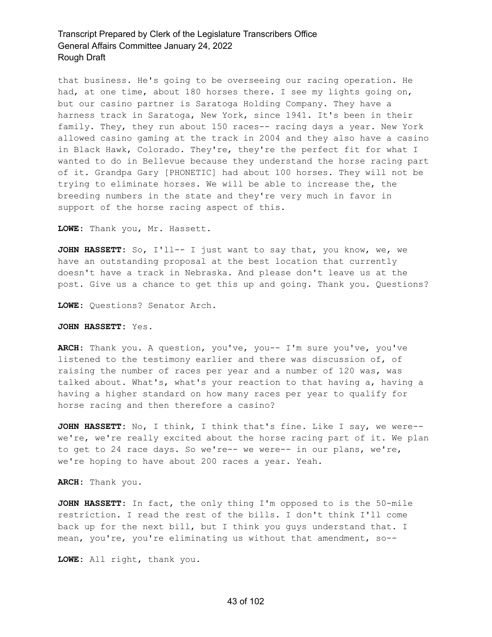that business. He's going to be overseeing our racing operation. He had, at one time, about 180 horses there. I see my lights going on, but our casino partner is Saratoga Holding Company. They have a harness track in Saratoga, New York, since 1941. It's been in their family. They, they run about 150 races-- racing days a year. New York allowed casino gaming at the track in 2004 and they also have a casino in Black Hawk, Colorado. They're, they're the perfect fit for what I wanted to do in Bellevue because they understand the horse racing part of it. Grandpa Gary [PHONETIC] had about 100 horses. They will not be trying to eliminate horses. We will be able to increase the, the breeding numbers in the state and they're very much in favor in support of the horse racing aspect of this.

**LOWE:** Thank you, Mr. Hassett.

**JOHN HASSETT:** So, I'll-- I just want to say that, you know, we, we have an outstanding proposal at the best location that currently doesn't have a track in Nebraska. And please don't leave us at the post. Give us a chance to get this up and going. Thank you. Questions?

**LOWE:** Questions? Senator Arch.

#### **JOHN HASSETT:** Yes.

**ARCH:** Thank you. A question, you've, you-- I'm sure you've, you've listened to the testimony earlier and there was discussion of, of raising the number of races per year and a number of 120 was, was talked about. What's, what's your reaction to that having a, having a having a higher standard on how many races per year to qualify for horse racing and then therefore a casino?

**JOHN HASSETT:** No, I think, I think that's fine. Like I say, we were- we're, we're really excited about the horse racing part of it. We plan to get to 24 race days. So we're-- we were-- in our plans, we're, we're hoping to have about 200 races a year. Yeah.

**ARCH:** Thank you.

**JOHN HASSETT:** In fact, the only thing I'm opposed to is the 50-mile restriction. I read the rest of the bills. I don't think I'll come back up for the next bill, but I think you guys understand that. I mean, you're, you're eliminating us without that amendment, so--

**LOWE:** All right, thank you.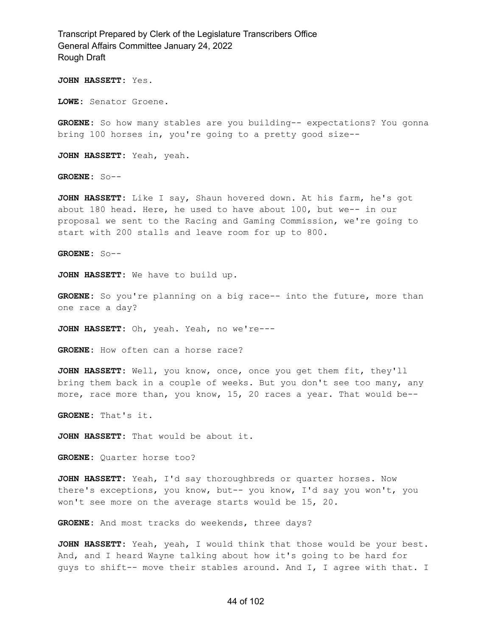**JOHN HASSETT:** Yes.

**LOWE:** Senator Groene.

**GROENE:** So how many stables are you building-- expectations? You gonna bring 100 horses in, you're going to a pretty good size--

**JOHN HASSETT:** Yeah, yeah.

**GROENE:** So--

**JOHN HASSETT:** Like I say, Shaun hovered down. At his farm, he's got about 180 head. Here, he used to have about 100, but we-- in our proposal we sent to the Racing and Gaming Commission, we're going to start with 200 stalls and leave room for up to 800.

**GROENE:** So--

**JOHN HASSETT:** We have to build up.

GROENE: So you're planning on a big race-- into the future, more than one race a day?

**JOHN HASSETT:** Oh, yeah. Yeah, no we're---

**GROENE:** How often can a horse race?

**JOHN HASSETT:** Well, you know, once, once you get them fit, they'll bring them back in a couple of weeks. But you don't see too many, any more, race more than, you know, 15, 20 races a year. That would be--

**GROENE:** That's it.

**JOHN HASSETT:** That would be about it.

**GROENE:** Quarter horse too?

**JOHN HASSETT:** Yeah, I'd say thoroughbreds or quarter horses. Now there's exceptions, you know, but-- you know, I'd say you won't, you won't see more on the average starts would be 15, 20.

**GROENE:** And most tracks do weekends, three days?

**JOHN HASSETT:** Yeah, yeah, I would think that those would be your best. And, and I heard Wayne talking about how it's going to be hard for guys to shift-- move their stables around. And I, I agree with that. I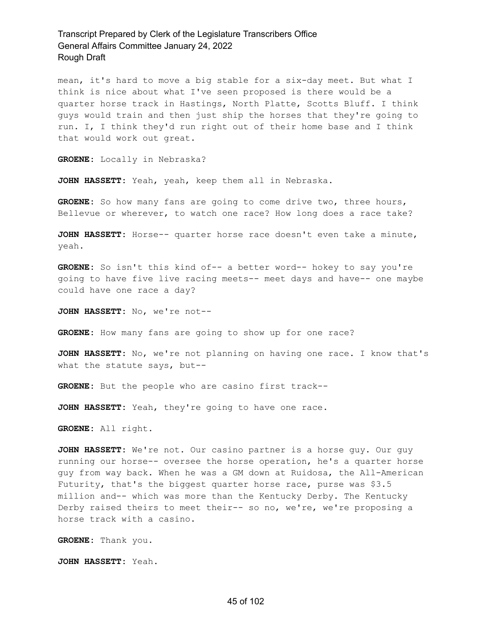mean, it's hard to move a big stable for a six-day meet. But what I think is nice about what I've seen proposed is there would be a quarter horse track in Hastings, North Platte, Scotts Bluff. I think guys would train and then just ship the horses that they're going to run. I, I think they'd run right out of their home base and I think that would work out great.

**GROENE:** Locally in Nebraska?

**JOHN HASSETT:** Yeah, yeah, keep them all in Nebraska.

**GROENE:** So how many fans are going to come drive two, three hours, Bellevue or wherever, to watch one race? How long does a race take?

**JOHN HASSETT:** Horse-- quarter horse race doesn't even take a minute, yeah.

**GROENE:** So isn't this kind of-- a better word-- hokey to say you're going to have five live racing meets-- meet days and have-- one maybe could have one race a day?

**JOHN HASSETT:** No, we're not--

**GROENE:** How many fans are going to show up for one race?

**JOHN HASSETT:** No, we're not planning on having one race. I know that's what the statute says, but--

**GROENE:** But the people who are casino first track--

**JOHN HASSETT:** Yeah, they're going to have one race.

**GROENE:** All right.

**JOHN HASSETT:** We're not. Our casino partner is a horse guy. Our guy running our horse-- oversee the horse operation, he's a quarter horse guy from way back. When he was a GM down at Ruidosa, the All-American Futurity, that's the biggest quarter horse race, purse was \$3.5 million and-- which was more than the Kentucky Derby. The Kentucky Derby raised theirs to meet their-- so no, we're, we're proposing a horse track with a casino.

**GROENE:** Thank you.

**JOHN HASSETT:** Yeah.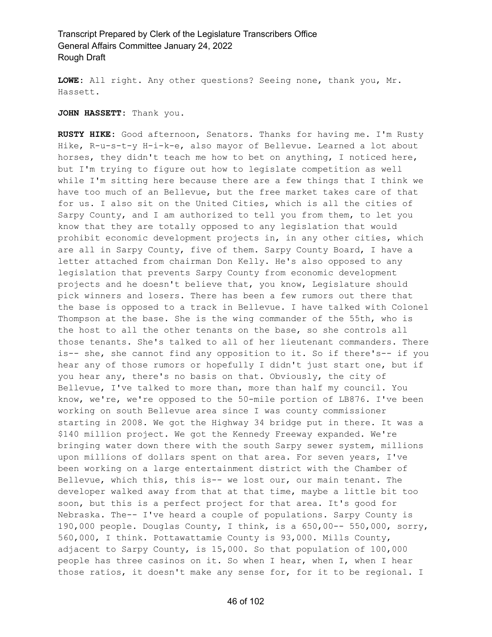**LOWE:** All right. Any other questions? Seeing none, thank you, Mr. Hassett.

#### **JOHN HASSETT:** Thank you.

**RUSTY HIKE:** Good afternoon, Senators. Thanks for having me. I'm Rusty Hike, R-u-s-t-y H-i-k-e, also mayor of Bellevue. Learned a lot about horses, they didn't teach me how to bet on anything, I noticed here, but I'm trying to figure out how to legislate competition as well while I'm sitting here because there are a few things that I think we have too much of an Bellevue, but the free market takes care of that for us. I also sit on the United Cities, which is all the cities of Sarpy County, and I am authorized to tell you from them, to let you know that they are totally opposed to any legislation that would prohibit economic development projects in, in any other cities, which are all in Sarpy County, five of them. Sarpy County Board, I have a letter attached from chairman Don Kelly. He's also opposed to any legislation that prevents Sarpy County from economic development projects and he doesn't believe that, you know, Legislature should pick winners and losers. There has been a few rumors out there that the base is opposed to a track in Bellevue. I have talked with Colonel Thompson at the base. She is the wing commander of the 55th, who is the host to all the other tenants on the base, so she controls all those tenants. She's talked to all of her lieutenant commanders. There is-- she, she cannot find any opposition to it. So if there's-- if you hear any of those rumors or hopefully I didn't just start one, but if you hear any, there's no basis on that. Obviously, the city of Bellevue, I've talked to more than, more than half my council. You know, we're, we're opposed to the 50-mile portion of LB876. I've been working on south Bellevue area since I was county commissioner starting in 2008. We got the Highway 34 bridge put in there. It was a \$140 million project. We got the Kennedy Freeway expanded. We're bringing water down there with the south Sarpy sewer system, millions upon millions of dollars spent on that area. For seven years, I've been working on a large entertainment district with the Chamber of Bellevue, which this, this is-- we lost our, our main tenant. The developer walked away from that at that time, maybe a little bit too soon, but this is a perfect project for that area. It's good for Nebraska. The-- I've heard a couple of populations. Sarpy County is 190,000 people. Douglas County, I think, is a 650,00-- 550,000, sorry, 560,000, I think. Pottawattamie County is 93,000. Mills County, adjacent to Sarpy County, is 15,000. So that population of 100,000 people has three casinos on it. So when I hear, when I, when I hear those ratios, it doesn't make any sense for, for it to be regional. I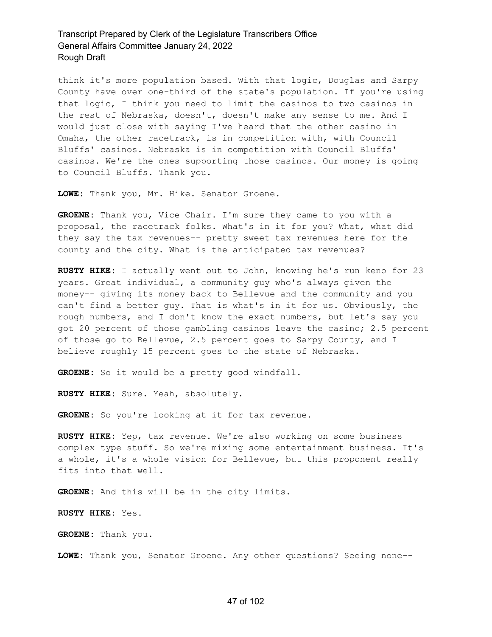think it's more population based. With that logic, Douglas and Sarpy County have over one-third of the state's population. If you're using that logic, I think you need to limit the casinos to two casinos in the rest of Nebraska, doesn't, doesn't make any sense to me. And I would just close with saying I've heard that the other casino in Omaha, the other racetrack, is in competition with, with Council Bluffs' casinos. Nebraska is in competition with Council Bluffs' casinos. We're the ones supporting those casinos. Our money is going to Council Bluffs. Thank you.

**LOWE:** Thank you, Mr. Hike. Senator Groene.

**GROENE:** Thank you, Vice Chair. I'm sure they came to you with a proposal, the racetrack folks. What's in it for you? What, what did they say the tax revenues-- pretty sweet tax revenues here for the county and the city. What is the anticipated tax revenues?

**RUSTY HIKE:** I actually went out to John, knowing he's run keno for 23 years. Great individual, a community guy who's always given the money-- giving its money back to Bellevue and the community and you can't find a better guy. That is what's in it for us. Obviously, the rough numbers, and I don't know the exact numbers, but let's say you got 20 percent of those gambling casinos leave the casino; 2.5 percent of those go to Bellevue, 2.5 percent goes to Sarpy County, and I believe roughly 15 percent goes to the state of Nebraska.

**GROENE:** So it would be a pretty good windfall.

**RUSTY HIKE:** Sure. Yeah, absolutely.

**GROENE:** So you're looking at it for tax revenue.

**RUSTY HIKE:** Yep, tax revenue. We're also working on some business complex type stuff. So we're mixing some entertainment business. It's a whole, it's a whole vision for Bellevue, but this proponent really fits into that well.

**GROENE:** And this will be in the city limits.

**RUSTY HIKE:** Yes.

**GROENE:** Thank you.

**LOWE:** Thank you, Senator Groene. Any other questions? Seeing none--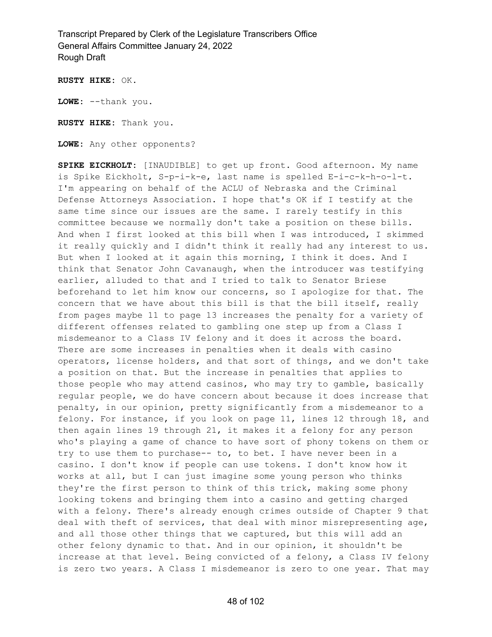**RUSTY HIKE:** OK.

**LOWE:** --thank you.

**RUSTY HIKE:** Thank you.

**LOWE:** Any other opponents?

**SPIKE EICKHOLT:** [INAUDIBLE] to get up front. Good afternoon. My name is Spike Eickholt, S-p-i-k-e, last name is spelled E-i-c-k-h-o-l-t. I'm appearing on behalf of the ACLU of Nebraska and the Criminal Defense Attorneys Association. I hope that's OK if I testify at the same time since our issues are the same. I rarely testify in this committee because we normally don't take a position on these bills. And when I first looked at this bill when I was introduced, I skimmed it really quickly and I didn't think it really had any interest to us. But when I looked at it again this morning, I think it does. And I think that Senator John Cavanaugh, when the introducer was testifying earlier, alluded to that and I tried to talk to Senator Briese beforehand to let him know our concerns, so I apologize for that. The concern that we have about this bill is that the bill itself, really from pages maybe 11 to page 13 increases the penalty for a variety of different offenses related to gambling one step up from a Class I misdemeanor to a Class IV felony and it does it across the board. There are some increases in penalties when it deals with casino operators, license holders, and that sort of things, and we don't take a position on that. But the increase in penalties that applies to those people who may attend casinos, who may try to gamble, basically regular people, we do have concern about because it does increase that penalty, in our opinion, pretty significantly from a misdemeanor to a felony. For instance, if you look on page 11, lines 12 through 18, and then again lines 19 through 21, it makes it a felony for any person who's playing a game of chance to have sort of phony tokens on them or try to use them to purchase-- to, to bet. I have never been in a casino. I don't know if people can use tokens. I don't know how it works at all, but I can just imagine some young person who thinks they're the first person to think of this trick, making some phony looking tokens and bringing them into a casino and getting charged with a felony. There's already enough crimes outside of Chapter 9 that deal with theft of services, that deal with minor misrepresenting age, and all those other things that we captured, but this will add an other felony dynamic to that. And in our opinion, it shouldn't be increase at that level. Being convicted of a felony, a Class IV felony is zero two years. A Class I misdemeanor is zero to one year. That may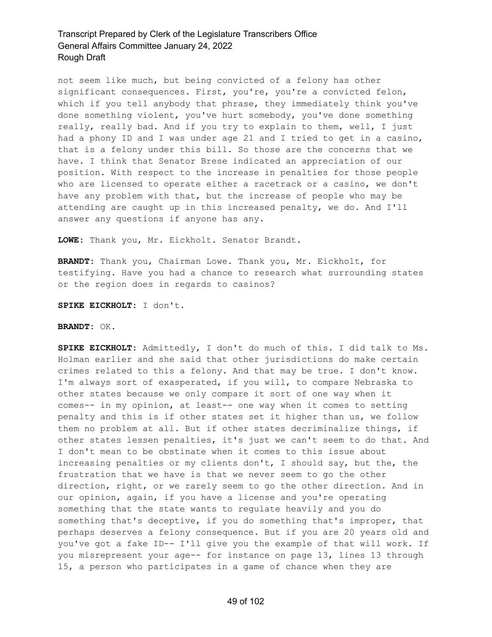not seem like much, but being convicted of a felony has other significant consequences. First, you're, you're a convicted felon, which if you tell anybody that phrase, they immediately think you've done something violent, you've hurt somebody, you've done something really, really bad. And if you try to explain to them, well, I just had a phony ID and I was under age 21 and I tried to get in a casino, that is a felony under this bill. So those are the concerns that we have. I think that Senator Brese indicated an appreciation of our position. With respect to the increase in penalties for those people who are licensed to operate either a racetrack or a casino, we don't have any problem with that, but the increase of people who may be attending are caught up in this increased penalty, we do. And I'll answer any questions if anyone has any.

**LOWE:** Thank you, Mr. Eickholt. Senator Brandt.

**BRANDT:** Thank you, Chairman Lowe. Thank you, Mr. Eickholt, for testifying. Have you had a chance to research what surrounding states or the region does in regards to casinos?

**SPIKE EICKHOLT:** I don't.

#### **BRANDT:** OK.

**SPIKE EICKHOLT:** Admittedly, I don't do much of this. I did talk to Ms. Holman earlier and she said that other jurisdictions do make certain crimes related to this a felony. And that may be true. I don't know. I'm always sort of exasperated, if you will, to compare Nebraska to other states because we only compare it sort of one way when it comes-- in my opinion, at least-- one way when it comes to setting penalty and this is if other states set it higher than us, we follow them no problem at all. But if other states decriminalize things, if other states lessen penalties, it's just we can't seem to do that. And I don't mean to be obstinate when it comes to this issue about increasing penalties or my clients don't, I should say, but the, the frustration that we have is that we never seem to go the other direction, right, or we rarely seem to go the other direction. And in our opinion, again, if you have a license and you're operating something that the state wants to regulate heavily and you do something that's deceptive, if you do something that's improper, that perhaps deserves a felony consequence. But if you are 20 years old and you've got a fake ID-- I'll give you the example of that will work. If you misrepresent your age-- for instance on page 13, lines 13 through 15, a person who participates in a game of chance when they are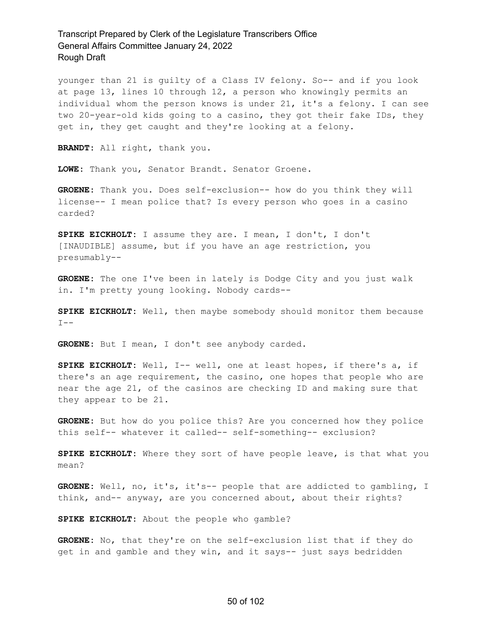younger than 21 is guilty of a Class IV felony. So-- and if you look at page 13, lines 10 through 12, a person who knowingly permits an individual whom the person knows is under 21, it's a felony. I can see two 20-year-old kids going to a casino, they got their fake IDs, they get in, they get caught and they're looking at a felony.

**BRANDT:** All right, thank you.

**LOWE:** Thank you, Senator Brandt. Senator Groene.

**GROENE:** Thank you. Does self-exclusion-- how do you think they will license-- I mean police that? Is every person who goes in a casino carded?

**SPIKE EICKHOLT:** I assume they are. I mean, I don't, I don't [INAUDIBLE] assume, but if you have an age restriction, you presumably--

**GROENE:** The one I've been in lately is Dodge City and you just walk in. I'm pretty young looking. Nobody cards--

**SPIKE EICKHOLT:** Well, then maybe somebody should monitor them because  $I --$ 

**GROENE:** But I mean, I don't see anybody carded.

**SPIKE EICKHOLT:** Well, I-- well, one at least hopes, if there's a, if there's an age requirement, the casino, one hopes that people who are near the age 21, of the casinos are checking ID and making sure that they appear to be 21.

**GROENE:** But how do you police this? Are you concerned how they police this self-- whatever it called-- self-something-- exclusion?

**SPIKE EICKHOLT:** Where they sort of have people leave, is that what you mean?

**GROENE:** Well, no, it's, it's-- people that are addicted to gambling, I think, and-- anyway, are you concerned about, about their rights?

**SPIKE EICKHOLT:** About the people who gamble?

**GROENE:** No, that they're on the self-exclusion list that if they do get in and gamble and they win, and it says-- just says bedridden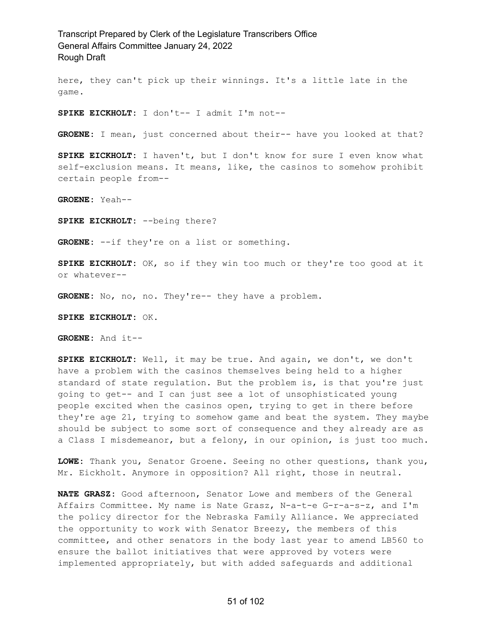here, they can't pick up their winnings. It's a little late in the game.

**SPIKE EICKHOLT:** I don't-- I admit I'm not--

**GROENE:** I mean, just concerned about their-- have you looked at that?

**SPIKE EICKHOLT:** I haven't, but I don't know for sure I even know what self-exclusion means. It means, like, the casinos to somehow prohibit certain people from--

**GROENE:** Yeah--

**SPIKE EICKHOLT:** --being there?

**GROENE:** --if they're on a list or something.

**SPIKE EICKHOLT:** OK, so if they win too much or they're too good at it or whatever--

GROENE: No, no, no. They're-- they have a problem.

**SPIKE EICKHOLT:** OK.

**GROENE:** And it--

**SPIKE EICKHOLT:** Well, it may be true. And again, we don't, we don't have a problem with the casinos themselves being held to a higher standard of state regulation. But the problem is, is that you're just going to get-- and I can just see a lot of unsophisticated young people excited when the casinos open, trying to get in there before they're age 21, trying to somehow game and beat the system. They maybe should be subject to some sort of consequence and they already are as a Class I misdemeanor, but a felony, in our opinion, is just too much.

**LOWE:** Thank you, Senator Groene. Seeing no other questions, thank you, Mr. Eickholt. Anymore in opposition? All right, those in neutral.

**NATE GRASZ:** Good afternoon, Senator Lowe and members of the General Affairs Committee. My name is Nate Grasz, N-a-t-e G-r-a-s-z, and I'm the policy director for the Nebraska Family Alliance. We appreciated the opportunity to work with Senator Breezy, the members of this committee, and other senators in the body last year to amend LB560 to ensure the ballot initiatives that were approved by voters were implemented appropriately, but with added safeguards and additional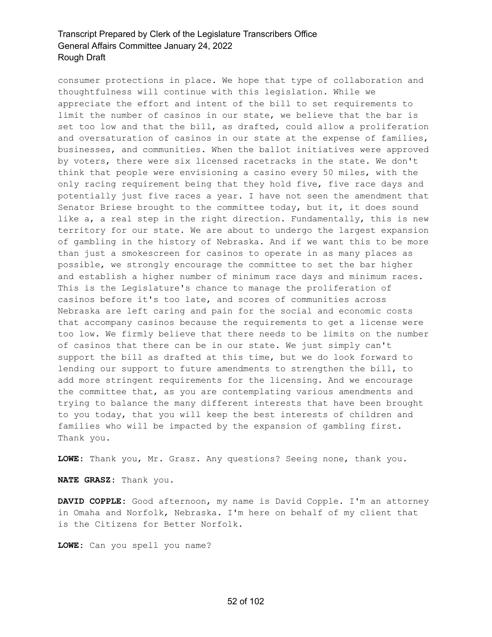consumer protections in place. We hope that type of collaboration and thoughtfulness will continue with this legislation. While we appreciate the effort and intent of the bill to set requirements to limit the number of casinos in our state, we believe that the bar is set too low and that the bill, as drafted, could allow a proliferation and oversaturation of casinos in our state at the expense of families, businesses, and communities. When the ballot initiatives were approved by voters, there were six licensed racetracks in the state. We don't think that people were envisioning a casino every 50 miles, with the only racing requirement being that they hold five, five race days and potentially just five races a year. I have not seen the amendment that Senator Briese brought to the committee today, but it, it does sound like a, a real step in the right direction. Fundamentally, this is new territory for our state. We are about to undergo the largest expansion of gambling in the history of Nebraska. And if we want this to be more than just a smokescreen for casinos to operate in as many places as possible, we strongly encourage the committee to set the bar higher and establish a higher number of minimum race days and minimum races. This is the Legislature's chance to manage the proliferation of casinos before it's too late, and scores of communities across Nebraska are left caring and pain for the social and economic costs that accompany casinos because the requirements to get a license were too low. We firmly believe that there needs to be limits on the number of casinos that there can be in our state. We just simply can't support the bill as drafted at this time, but we do look forward to lending our support to future amendments to strengthen the bill, to add more stringent requirements for the licensing. And we encourage the committee that, as you are contemplating various amendments and trying to balance the many different interests that have been brought to you today, that you will keep the best interests of children and families who will be impacted by the expansion of gambling first. Thank you.

**LOWE:** Thank you, Mr. Grasz. Any questions? Seeing none, thank you.

**NATE GRASZ:** Thank you.

**DAVID COPPLE:** Good afternoon, my name is David Copple. I'm an attorney in Omaha and Norfolk, Nebraska. I'm here on behalf of my client that is the Citizens for Better Norfolk.

**LOWE:** Can you spell you name?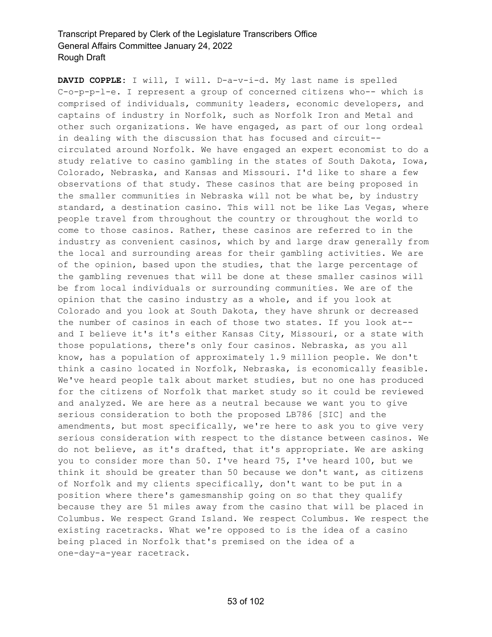**DAVID COPPLE:** I will, I will. D-a-v-i-d. My last name is spelled C-o-p-p-l-e. I represent a group of concerned citizens who-- which is comprised of individuals, community leaders, economic developers, and captains of industry in Norfolk, such as Norfolk Iron and Metal and other such organizations. We have engaged, as part of our long ordeal in dealing with the discussion that has focused and circuit- circulated around Norfolk. We have engaged an expert economist to do a study relative to casino gambling in the states of South Dakota, Iowa, Colorado, Nebraska, and Kansas and Missouri. I'd like to share a few observations of that study. These casinos that are being proposed in the smaller communities in Nebraska will not be what be, by industry standard, a destination casino. This will not be like Las Vegas, where people travel from throughout the country or throughout the world to come to those casinos. Rather, these casinos are referred to in the industry as convenient casinos, which by and large draw generally from the local and surrounding areas for their gambling activities. We are of the opinion, based upon the studies, that the large percentage of the gambling revenues that will be done at these smaller casinos will be from local individuals or surrounding communities. We are of the opinion that the casino industry as a whole, and if you look at Colorado and you look at South Dakota, they have shrunk or decreased the number of casinos in each of those two states. If you look at- and I believe it's it's either Kansas City, Missouri, or a state with those populations, there's only four casinos. Nebraska, as you all know, has a population of approximately 1.9 million people. We don't think a casino located in Norfolk, Nebraska, is economically feasible. We've heard people talk about market studies, but no one has produced for the citizens of Norfolk that market study so it could be reviewed and analyzed. We are here as a neutral because we want you to give serious consideration to both the proposed LB786 [SIC] and the amendments, but most specifically, we're here to ask you to give very serious consideration with respect to the distance between casinos. We do not believe, as it's drafted, that it's appropriate. We are asking you to consider more than 50. I've heard 75, I've heard 100, but we think it should be greater than 50 because we don't want, as citizens of Norfolk and my clients specifically, don't want to be put in a position where there's gamesmanship going on so that they qualify because they are 51 miles away from the casino that will be placed in Columbus. We respect Grand Island. We respect Columbus. We respect the existing racetracks. What we're opposed to is the idea of a casino being placed in Norfolk that's premised on the idea of a one-day-a-year racetrack.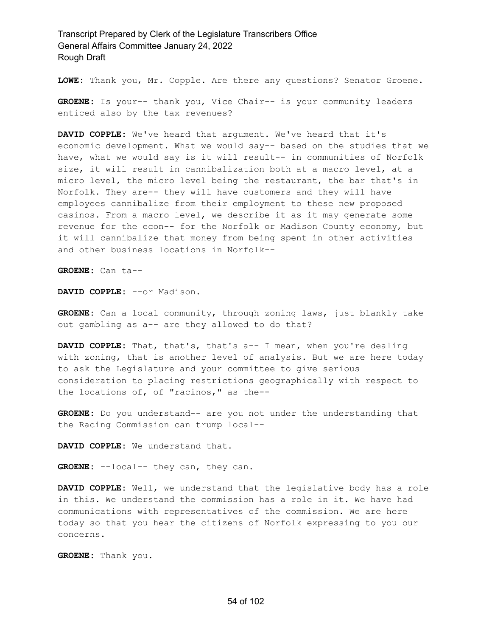**LOWE:** Thank you, Mr. Copple. Are there any questions? Senator Groene.

**GROENE:** Is your-- thank you, Vice Chair-- is your community leaders enticed also by the tax revenues?

**DAVID COPPLE:** We've heard that argument. We've heard that it's economic development. What we would say-- based on the studies that we have, what we would say is it will result-- in communities of Norfolk size, it will result in cannibalization both at a macro level, at a micro level, the micro level being the restaurant, the bar that's in Norfolk. They are-- they will have customers and they will have employees cannibalize from their employment to these new proposed casinos. From a macro level, we describe it as it may generate some revenue for the econ-- for the Norfolk or Madison County economy, but it will cannibalize that money from being spent in other activities and other business locations in Norfolk--

**GROENE:** Can ta--

**DAVID COPPLE:** --or Madison.

**GROENE:** Can a local community, through zoning laws, just blankly take out gambling as a-- are they allowed to do that?

**DAVID COPPLE:** That, that's, that's a-- I mean, when you're dealing with zoning, that is another level of analysis. But we are here today to ask the Legislature and your committee to give serious consideration to placing restrictions geographically with respect to the locations of, of "racinos," as the--

**GROENE:** Do you understand-- are you not under the understanding that the Racing Commission can trump local--

**DAVID COPPLE:** We understand that.

**GROENE:** --local-- they can, they can.

**DAVID COPPLE:** Well, we understand that the legislative body has a role in this. We understand the commission has a role in it. We have had communications with representatives of the commission. We are here today so that you hear the citizens of Norfolk expressing to you our concerns.

**GROENE:** Thank you.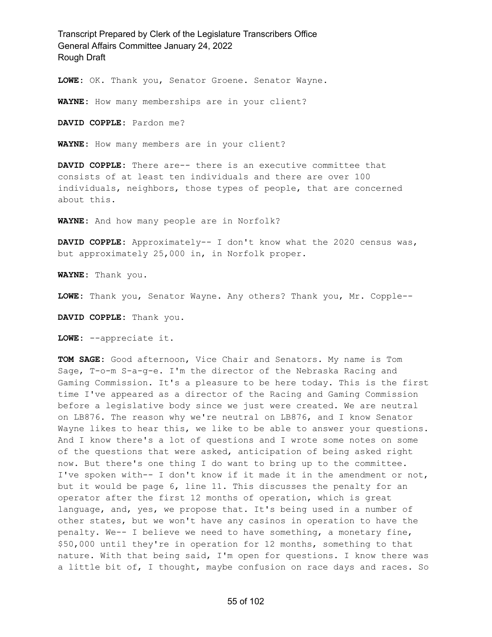**LOWE:** OK. Thank you, Senator Groene. Senator Wayne.

**WAYNE:** How many memberships are in your client?

**DAVID COPPLE:** Pardon me?

**WAYNE:** How many members are in your client?

**DAVID COPPLE:** There are-- there is an executive committee that consists of at least ten individuals and there are over 100 individuals, neighbors, those types of people, that are concerned about this.

**WAYNE:** And how many people are in Norfolk?

**DAVID COPPLE:** Approximately-- I don't know what the 2020 census was, but approximately 25,000 in, in Norfolk proper.

**WAYNE:** Thank you.

**LOWE:** Thank you, Senator Wayne. Any others? Thank you, Mr. Copple--

**DAVID COPPLE:** Thank you.

**LOWE:** --appreciate it.

**TOM SAGE:** Good afternoon, Vice Chair and Senators. My name is Tom Sage, T-o-m S-a-g-e. I'm the director of the Nebraska Racing and Gaming Commission. It's a pleasure to be here today. This is the first time I've appeared as a director of the Racing and Gaming Commission before a legislative body since we just were created. We are neutral on LB876. The reason why we're neutral on LB876, and I know Senator Wayne likes to hear this, we like to be able to answer your questions. And I know there's a lot of questions and I wrote some notes on some of the questions that were asked, anticipation of being asked right now. But there's one thing I do want to bring up to the committee. I've spoken with-- I don't know if it made it in the amendment or not, but it would be page 6, line 11. This discusses the penalty for an operator after the first 12 months of operation, which is great language, and, yes, we propose that. It's being used in a number of other states, but we won't have any casinos in operation to have the penalty. We-- I believe we need to have something, a monetary fine, \$50,000 until they're in operation for 12 months, something to that nature. With that being said, I'm open for questions. I know there was a little bit of, I thought, maybe confusion on race days and races. So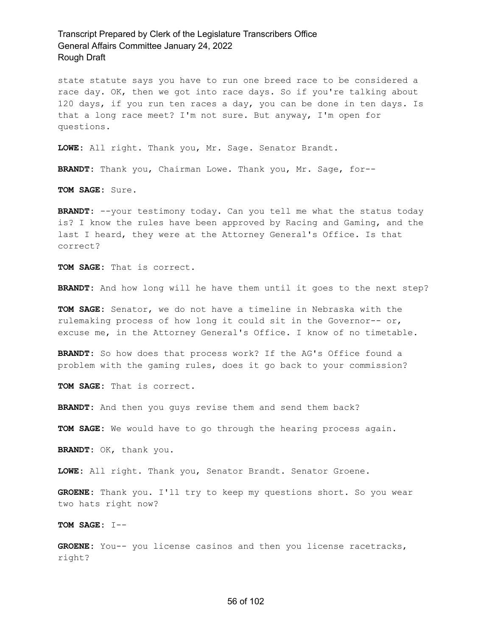state statute says you have to run one breed race to be considered a race day. OK, then we got into race days. So if you're talking about 120 days, if you run ten races a day, you can be done in ten days. Is that a long race meet? I'm not sure. But anyway, I'm open for questions.

**LOWE:** All right. Thank you, Mr. Sage. Senator Brandt.

**BRANDT:** Thank you, Chairman Lowe. Thank you, Mr. Sage, for--

**TOM SAGE:** Sure.

**BRANDT:** --your testimony today. Can you tell me what the status today is? I know the rules have been approved by Racing and Gaming, and the last I heard, they were at the Attorney General's Office. Is that correct?

**TOM SAGE:** That is correct.

**BRANDT:** And how long will he have them until it goes to the next step?

**TOM SAGE:** Senator, we do not have a timeline in Nebraska with the rulemaking process of how long it could sit in the Governor--  $or$ , excuse me, in the Attorney General's Office. I know of no timetable.

**BRANDT:** So how does that process work? If the AG's Office found a problem with the gaming rules, does it go back to your commission?

**TOM SAGE:** That is correct.

**BRANDT:** And then you guys revise them and send them back?

**TOM SAGE:** We would have to go through the hearing process again.

**BRANDT:** OK, thank you.

**LOWE:** All right. Thank you, Senator Brandt. Senator Groene.

**GROENE:** Thank you. I'll try to keep my questions short. So you wear two hats right now?

**TOM SAGE:** I--

**GROENE:** You-- you license casinos and then you license racetracks, right?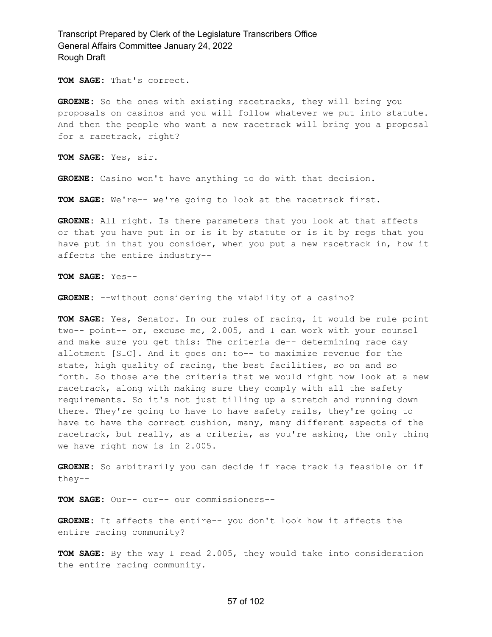**TOM SAGE:** That's correct.

**GROENE:** So the ones with existing racetracks, they will bring you proposals on casinos and you will follow whatever we put into statute. And then the people who want a new racetrack will bring you a proposal for a racetrack, right?

**TOM SAGE:** Yes, sir.

**GROENE:** Casino won't have anything to do with that decision.

**TOM SAGE:** We're-- we're going to look at the racetrack first.

**GROENE:** All right. Is there parameters that you look at that affects or that you have put in or is it by statute or is it by regs that you have put in that you consider, when you put a new racetrack in, how it affects the entire industry--

**TOM SAGE:** Yes--

**GROENE:** --without considering the viability of a casino?

**TOM SAGE:** Yes, Senator. In our rules of racing, it would be rule point two-- point-- or, excuse me, 2.005, and I can work with your counsel and make sure you get this: The criteria de-- determining race day allotment [SIC]. And it goes on: to-- to maximize revenue for the state, high quality of racing, the best facilities, so on and so forth. So those are the criteria that we would right now look at a new racetrack, along with making sure they comply with all the safety requirements. So it's not just tilling up a stretch and running down there. They're going to have to have safety rails, they're going to have to have the correct cushion, many, many different aspects of the racetrack, but really, as a criteria, as you're asking, the only thing we have right now is in 2.005.

**GROENE:** So arbitrarily you can decide if race track is feasible or if they--

**TOM SAGE:** Our-- our-- our commissioners--

**GROENE:** It affects the entire-- you don't look how it affects the entire racing community?

**TOM SAGE:** By the way I read 2.005, they would take into consideration the entire racing community.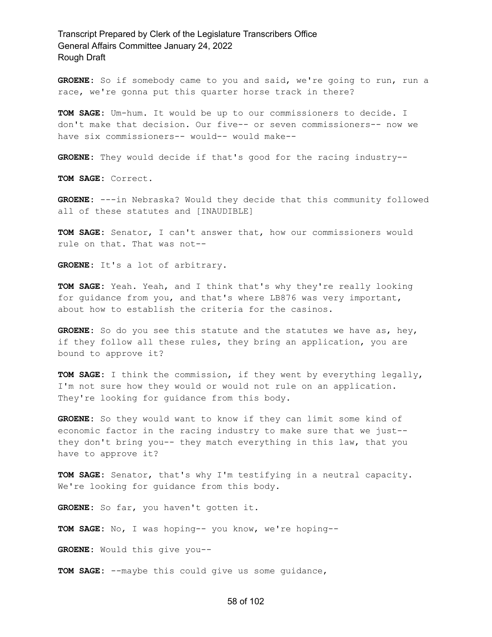**GROENE:** So if somebody came to you and said, we're going to run, run a race, we're gonna put this quarter horse track in there?

**TOM SAGE:** Um-hum. It would be up to our commissioners to decide. I don't make that decision. Our five-- or seven commissioners-- now we have six commissioners-- would-- would make--

**GROENE:** They would decide if that's good for the racing industry--

**TOM SAGE:** Correct.

**GROENE:** ---in Nebraska? Would they decide that this community followed all of these statutes and [INAUDIBLE]

**TOM SAGE:** Senator, I can't answer that, how our commissioners would rule on that. That was not--

**GROENE:** It's a lot of arbitrary.

**TOM SAGE:** Yeah. Yeah, and I think that's why they're really looking for guidance from you, and that's where LB876 was very important, about how to establish the criteria for the casinos.

**GROENE:** So do you see this statute and the statutes we have as, hey, if they follow all these rules, they bring an application, you are bound to approve it?

**TOM SAGE:** I think the commission, if they went by everything legally, I'm not sure how they would or would not rule on an application. They're looking for guidance from this body.

**GROENE:** So they would want to know if they can limit some kind of economic factor in the racing industry to make sure that we just- they don't bring you-- they match everything in this law, that you have to approve it?

**TOM SAGE:** Senator, that's why I'm testifying in a neutral capacity. We're looking for guidance from this body.

**GROENE:** So far, you haven't gotten it.

**TOM SAGE:** No, I was hoping-- you know, we're hoping--

**GROENE:** Would this give you--

**TOM SAGE:** --maybe this could give us some guidance,

### 58 of 102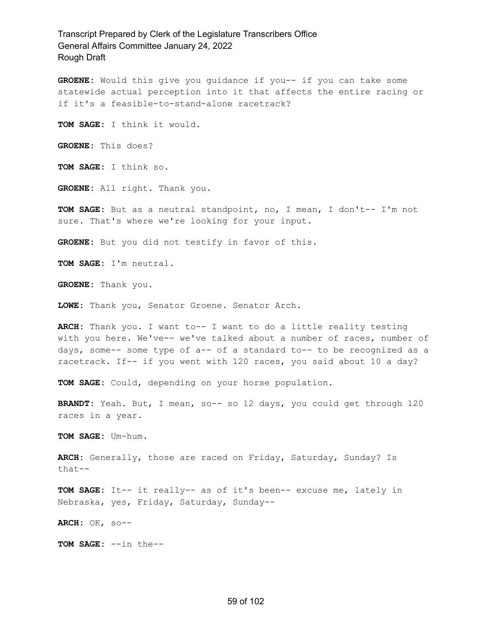**GROENE:** Would this give you guidance if you-- if you can take some statewide actual perception into it that affects the entire racing or if it's a feasible-to-stand-alone racetrack?

**TOM SAGE:** I think it would.

**GROENE:** This does?

**TOM SAGE:** I think so.

**GROENE:** All right. Thank you.

**TOM SAGE:** But as a neutral standpoint, no, I mean, I don't-- I'm not sure. That's where we're looking for your input.

**GROENE:** But you did not testify in favor of this.

**TOM SAGE:** I'm neutral.

**GROENE:** Thank you.

**LOWE:** Thank you, Senator Groene. Senator Arch.

**ARCH:** Thank you. I want to-- I want to do a little reality testing with you here. We've-- we've talked about a number of races, number of days, some-- some type of a-- of a standard to-- to be recognized as a racetrack. If-- if you went with 120 races, you said about 10 a day?

**TOM SAGE:** Could, depending on your horse population.

**BRANDT:** Yeah. But, I mean, so-- so 12 days, you could get through 120 races in a year.

**TOM SAGE:** Um-hum.

**ARCH:** Generally, those are raced on Friday, Saturday, Sunday? Is that--

**TOM SAGE:** It-- it really-- as of it's been-- excuse me, lately in Nebraska, yes, Friday, Saturday, Sunday--

**ARCH:** OK, so--

**TOM SAGE:** --in the--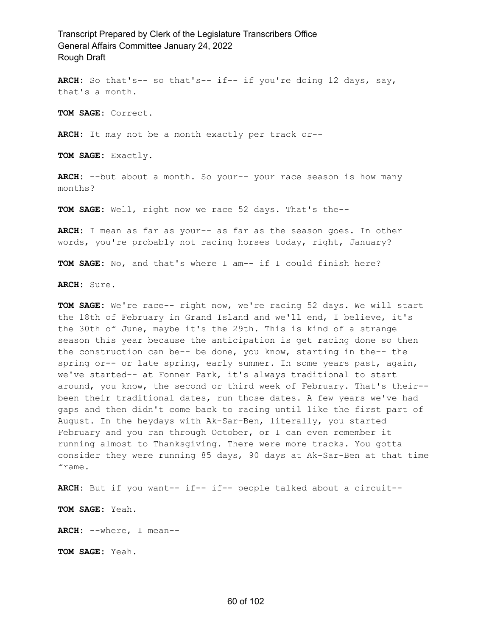**ARCH:** So that's-- so that's-- if-- if you're doing 12 days, say, that's a month.

**TOM SAGE:** Correct.

**ARCH:** It may not be a month exactly per track or--

**TOM SAGE:** Exactly.

**ARCH:** --but about a month. So your-- your race season is how many months?

**TOM SAGE:** Well, right now we race 52 days. That's the--

**ARCH:** I mean as far as your-- as far as the season goes. In other words, you're probably not racing horses today, right, January?

**TOM SAGE:** No, and that's where I am-- if I could finish here?

**ARCH:** Sure.

**TOM SAGE:** We're race-- right now, we're racing 52 days. We will start the 18th of February in Grand Island and we'll end, I believe, it's the 30th of June, maybe it's the 29th. This is kind of a strange season this year because the anticipation is get racing done so then the construction can be-- be done, you know, starting in the-- the spring or-- or late spring, early summer. In some years past, again, we've started-- at Fonner Park, it's always traditional to start around, you know, the second or third week of February. That's their- been their traditional dates, run those dates. A few years we've had gaps and then didn't come back to racing until like the first part of August. In the heydays with Ak-Sar-Ben, literally, you started February and you ran through October, or I can even remember it running almost to Thanksgiving. There were more tracks. You gotta consider they were running 85 days, 90 days at Ak-Sar-Ben at that time frame.

**ARCH:** But if you want-- if-- if-- people talked about a circuit--

**TOM SAGE:** Yeah.

**ARCH:** --where, I mean--

**TOM SAGE:** Yeah.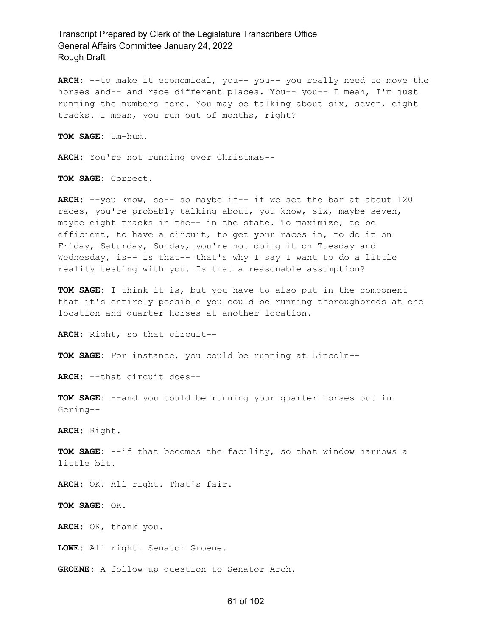ARCH: --to make it economical, you-- you-- you really need to move the horses and-- and race different places. You-- you-- I mean, I'm just running the numbers here. You may be talking about six, seven, eight tracks. I mean, you run out of months, right?

**TOM SAGE:** Um-hum.

**ARCH:** You're not running over Christmas--

**TOM SAGE:** Correct.

**ARCH:** --you know, so-- so maybe if-- if we set the bar at about 120 races, you're probably talking about, you know, six, maybe seven, maybe eight tracks in the-- in the state. To maximize, to be efficient, to have a circuit, to get your races in, to do it on Friday, Saturday, Sunday, you're not doing it on Tuesday and Wednesday, is-- is that-- that's why I say I want to do a little reality testing with you. Is that a reasonable assumption?

**TOM SAGE:** I think it is, but you have to also put in the component that it's entirely possible you could be running thoroughbreds at one location and quarter horses at another location.

**ARCH:** Right, so that circuit--

**TOM SAGE:** For instance, you could be running at Lincoln--

**ARCH:** --that circuit does--

**TOM SAGE:** --and you could be running your quarter horses out in Gering--

**ARCH:** Right.

**TOM SAGE:** --if that becomes the facility, so that window narrows a little bit.

**ARCH:** OK. All right. That's fair.

**TOM SAGE:** OK.

**ARCH:** OK, thank you.

**LOWE:** All right. Senator Groene.

**GROENE:** A follow-up question to Senator Arch.

#### 61 of 102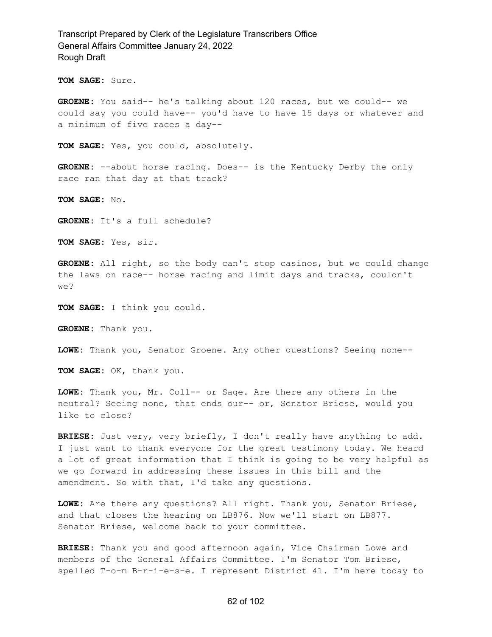**TOM SAGE:** Sure.

**GROENE:** You said-- he's talking about 120 races, but we could-- we could say you could have-- you'd have to have 15 days or whatever and a minimum of five races a day--

**TOM SAGE:** Yes, you could, absolutely.

**GROENE:** --about horse racing. Does-- is the Kentucky Derby the only race ran that day at that track?

**TOM SAGE:** No.

**GROENE:** It's a full schedule?

**TOM SAGE:** Yes, sir.

**GROENE:** All right, so the body can't stop casinos, but we could change the laws on race-- horse racing and limit days and tracks, couldn't we?

**TOM SAGE:** I think you could.

**GROENE:** Thank you.

**LOWE:** Thank you, Senator Groene. Any other questions? Seeing none--

**TOM SAGE:** OK, thank you.

**LOWE:** Thank you, Mr. Coll-- or Sage. Are there any others in the neutral? Seeing none, that ends our-- or, Senator Briese, would you like to close?

**BRIESE:** Just very, very briefly, I don't really have anything to add. I just want to thank everyone for the great testimony today. We heard a lot of great information that I think is going to be very helpful as we go forward in addressing these issues in this bill and the amendment. So with that, I'd take any questions.

**LOWE:** Are there any questions? All right. Thank you, Senator Briese, and that closes the hearing on LB876. Now we'll start on LB877. Senator Briese, welcome back to your committee.

**BRIESE:** Thank you and good afternoon again, Vice Chairman Lowe and members of the General Affairs Committee. I'm Senator Tom Briese, spelled T-o-m B-r-i-e-s-e. I represent District 41. I'm here today to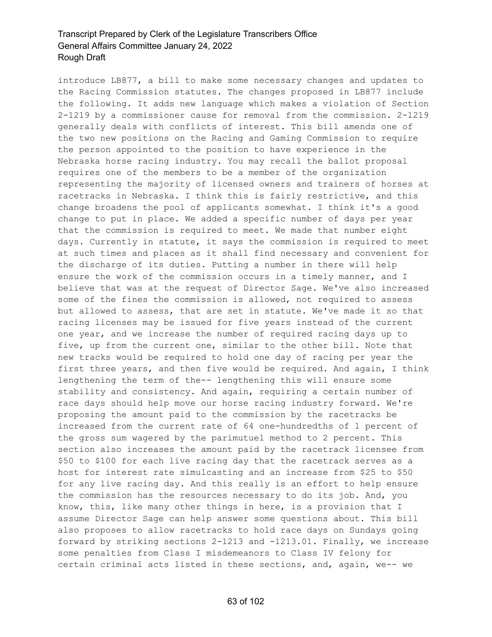introduce LB877, a bill to make some necessary changes and updates to the Racing Commission statutes. The changes proposed in LB877 include the following. It adds new language which makes a violation of Section 2-1219 by a commissioner cause for removal from the commission. 2-1219 generally deals with conflicts of interest. This bill amends one of the two new positions on the Racing and Gaming Commission to require the person appointed to the position to have experience in the Nebraska horse racing industry. You may recall the ballot proposal requires one of the members to be a member of the organization representing the majority of licensed owners and trainers of horses at racetracks in Nebraska. I think this is fairly restrictive, and this change broadens the pool of applicants somewhat. I think it's a good change to put in place. We added a specific number of days per year that the commission is required to meet. We made that number eight days. Currently in statute, it says the commission is required to meet at such times and places as it shall find necessary and convenient for the discharge of its duties. Putting a number in there will help ensure the work of the commission occurs in a timely manner, and I believe that was at the request of Director Sage. We've also increased some of the fines the commission is allowed, not required to assess but allowed to assess, that are set in statute. We've made it so that racing licenses may be issued for five years instead of the current one year, and we increase the number of required racing days up to five, up from the current one, similar to the other bill. Note that new tracks would be required to hold one day of racing per year the first three years, and then five would be required. And again, I think lengthening the term of the-- lengthening this will ensure some stability and consistency. And again, requiring a certain number of race days should help move our horse racing industry forward. We're proposing the amount paid to the commission by the racetracks be increased from the current rate of 64 one-hundredths of 1 percent of the gross sum wagered by the parimutuel method to 2 percent. This section also increases the amount paid by the racetrack licensee from \$50 to \$100 for each live racing day that the racetrack serves as a host for interest rate simulcasting and an increase from \$25 to \$50 for any live racing day. And this really is an effort to help ensure the commission has the resources necessary to do its job. And, you know, this, like many other things in here, is a provision that I assume Director Sage can help answer some questions about. This bill also proposes to allow racetracks to hold race days on Sundays going forward by striking sections 2-1213 and -1213.01. Finally, we increase some penalties from Class I misdemeanors to Class IV felony for certain criminal acts listed in these sections, and, again, we-- we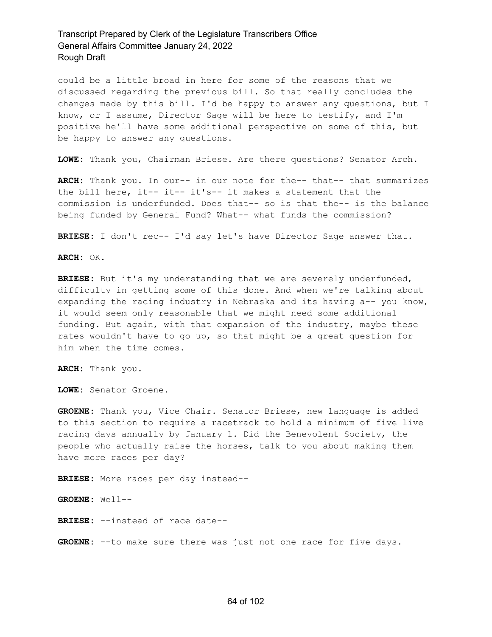could be a little broad in here for some of the reasons that we discussed regarding the previous bill. So that really concludes the changes made by this bill. I'd be happy to answer any questions, but I know, or I assume, Director Sage will be here to testify, and I'm positive he'll have some additional perspective on some of this, but be happy to answer any questions.

**LOWE:** Thank you, Chairman Briese. Are there questions? Senator Arch.

ARCH: Thank you. In our-- in our note for the-- that-- that summarizes the bill here, it-- it-- it's-- it makes a statement that the commission is underfunded. Does that-- so is that the-- is the balance being funded by General Fund? What-- what funds the commission?

**BRIESE:** I don't rec-- I'd say let's have Director Sage answer that.

**ARCH:** OK.

**BRIESE:** But it's my understanding that we are severely underfunded, difficulty in getting some of this done. And when we're talking about expanding the racing industry in Nebraska and its having a-- you know, it would seem only reasonable that we might need some additional funding. But again, with that expansion of the industry, maybe these rates wouldn't have to go up, so that might be a great question for him when the time comes.

**ARCH:** Thank you.

**LOWE:** Senator Groene.

**GROENE:** Thank you, Vice Chair. Senator Briese, new language is added to this section to require a racetrack to hold a minimum of five live racing days annually by January 1. Did the Benevolent Society, the people who actually raise the horses, talk to you about making them have more races per day?

**BRIESE:** More races per day instead--

**GROENE:** Well--

**BRIESE:** --instead of race date--

**GROENE:** --to make sure there was just not one race for five days.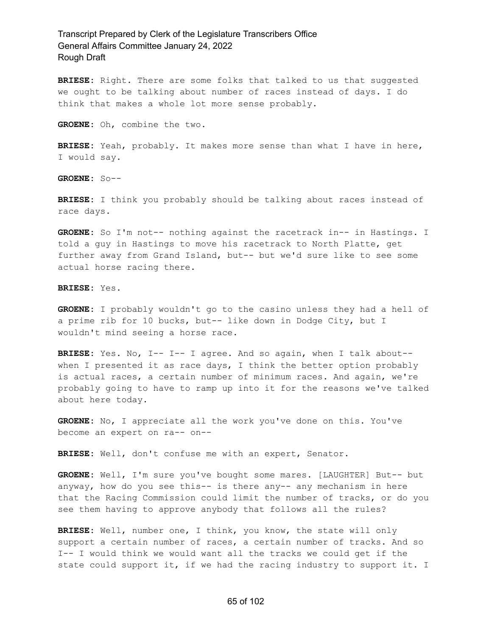**BRIESE:** Right. There are some folks that talked to us that suggested we ought to be talking about number of races instead of days. I do think that makes a whole lot more sense probably.

**GROENE:** Oh, combine the two.

**BRIESE:** Yeah, probably. It makes more sense than what I have in here, I would say.

**GROENE:** So--

**BRIESE:** I think you probably should be talking about races instead of race days.

**GROENE:** So I'm not-- nothing against the racetrack in-- in Hastings. I told a guy in Hastings to move his racetrack to North Platte, get further away from Grand Island, but-- but we'd sure like to see some actual horse racing there.

**BRIESE:** Yes.

**GROENE:** I probably wouldn't go to the casino unless they had a hell of a prime rib for 10 bucks, but-- like down in Dodge City, but I wouldn't mind seeing a horse race.

BRIESE: Yes. No, I-- I-- I agree. And so again, when I talk about-when I presented it as race days, I think the better option probably is actual races, a certain number of minimum races. And again, we're probably going to have to ramp up into it for the reasons we've talked about here today.

**GROENE:** No, I appreciate all the work you've done on this. You've become an expert on ra-- on--

**BRIESE:** Well, don't confuse me with an expert, Senator.

**GROENE:** Well, I'm sure you've bought some mares. [LAUGHTER] But-- but anyway, how do you see this-- is there any-- any mechanism in here that the Racing Commission could limit the number of tracks, or do you see them having to approve anybody that follows all the rules?

**BRIESE:** Well, number one, I think, you know, the state will only support a certain number of races, a certain number of tracks. And so I-- I would think we would want all the tracks we could get if the state could support it, if we had the racing industry to support it. I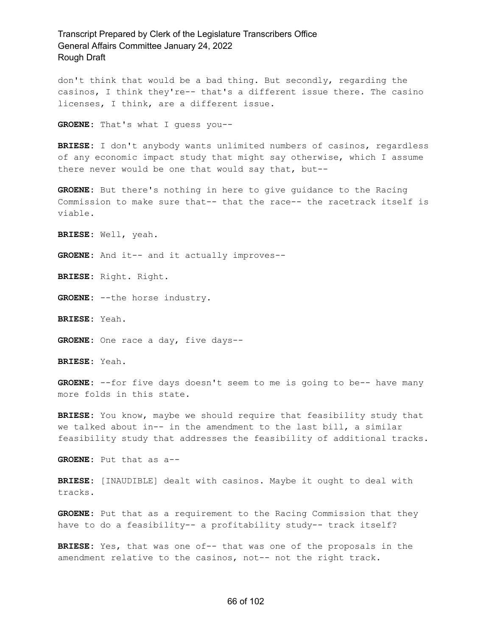don't think that would be a bad thing. But secondly, regarding the casinos, I think they're-- that's a different issue there. The casino licenses, I think, are a different issue.

**GROENE:** That's what I guess you--

**BRIESE:** I don't anybody wants unlimited numbers of casinos, regardless of any economic impact study that might say otherwise, which I assume there never would be one that would say that, but--

**GROENE:** But there's nothing in here to give guidance to the Racing Commission to make sure that-- that the race-- the racetrack itself is viable.

**BRIESE:** Well, yeah.

**GROENE:** And it-- and it actually improves--

**BRIESE:** Right. Right.

**GROENE:** --the horse industry.

**BRIESE:** Yeah.

**GROENE:** One race a day, five days--

**BRIESE:** Yeah.

**GROENE:** --for five days doesn't seem to me is going to be-- have many more folds in this state.

**BRIESE:** You know, maybe we should require that feasibility study that we talked about in-- in the amendment to the last bill, a similar feasibility study that addresses the feasibility of additional tracks.

**GROENE:** Put that as a--

**BRIESE:** [INAUDIBLE] dealt with casinos. Maybe it ought to deal with tracks.

**GROENE:** Put that as a requirement to the Racing Commission that they have to do a feasibility-- a profitability study-- track itself?

**BRIESE:** Yes, that was one of-- that was one of the proposals in the amendment relative to the casinos, not-- not the right track.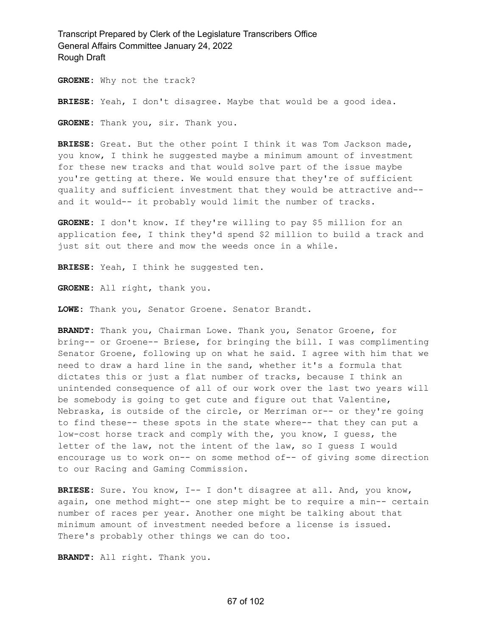**GROENE:** Why not the track?

**BRIESE:** Yeah, I don't disagree. Maybe that would be a good idea.

**GROENE:** Thank you, sir. Thank you.

**BRIESE:** Great. But the other point I think it was Tom Jackson made, you know, I think he suggested maybe a minimum amount of investment for these new tracks and that would solve part of the issue maybe you're getting at there. We would ensure that they're of sufficient quality and sufficient investment that they would be attractive and- and it would-- it probably would limit the number of tracks.

**GROENE:** I don't know. If they're willing to pay \$5 million for an application fee, I think they'd spend \$2 million to build a track and just sit out there and mow the weeds once in a while.

**BRIESE:** Yeah, I think he suggested ten.

**GROENE:** All right, thank you.

**LOWE:** Thank you, Senator Groene. Senator Brandt.

**BRANDT:** Thank you, Chairman Lowe. Thank you, Senator Groene, for bring-- or Groene-- Briese, for bringing the bill. I was complimenting Senator Groene, following up on what he said. I agree with him that we need to draw a hard line in the sand, whether it's a formula that dictates this or just a flat number of tracks, because I think an unintended consequence of all of our work over the last two years will be somebody is going to get cute and figure out that Valentine, Nebraska, is outside of the circle, or Merriman or-- or they're going to find these-- these spots in the state where-- that they can put a low-cost horse track and comply with the, you know, I guess, the letter of the law, not the intent of the law, so I guess I would encourage us to work on-- on some method of-- of giving some direction to our Racing and Gaming Commission.

**BRIESE:** Sure. You know, I-- I don't disagree at all. And, you know, again, one method might-- one step might be to require a min-- certain number of races per year. Another one might be talking about that minimum amount of investment needed before a license is issued. There's probably other things we can do too.

**BRANDT:** All right. Thank you.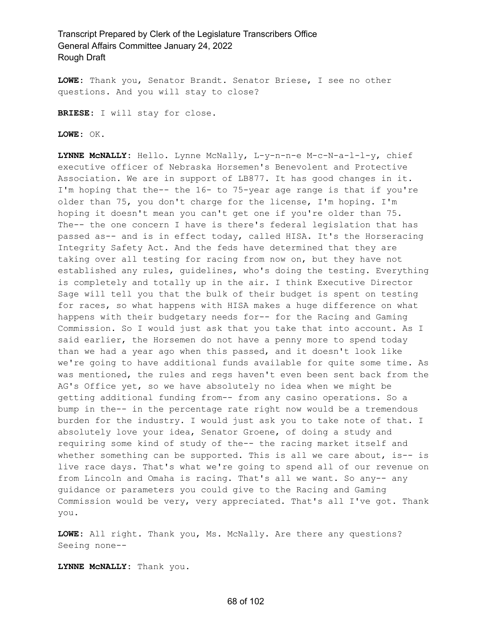**LOWE:** Thank you, Senator Brandt. Senator Briese, I see no other questions. And you will stay to close?

**BRIESE:** I will stay for close.

**LOWE:** OK.

**LYNNE McNALLY:** Hello. Lynne McNally, L-y-n-n-e M-c-N-a-l-l-y, chief executive officer of Nebraska Horsemen's Benevolent and Protective Association. We are in support of LB877. It has good changes in it. I'm hoping that the-- the 16- to 75-year age range is that if you're older than 75, you don't charge for the license, I'm hoping. I'm hoping it doesn't mean you can't get one if you're older than 75. The-- the one concern I have is there's federal legislation that has passed as-- and is in effect today, called HISA. It's the Horseracing Integrity Safety Act. And the feds have determined that they are taking over all testing for racing from now on, but they have not established any rules, guidelines, who's doing the testing. Everything is completely and totally up in the air. I think Executive Director Sage will tell you that the bulk of their budget is spent on testing for races, so what happens with HISA makes a huge difference on what happens with their budgetary needs for-- for the Racing and Gaming Commission. So I would just ask that you take that into account. As I said earlier, the Horsemen do not have a penny more to spend today than we had a year ago when this passed, and it doesn't look like we're going to have additional funds available for quite some time. As was mentioned, the rules and regs haven't even been sent back from the AG's Office yet, so we have absolutely no idea when we might be getting additional funding from-- from any casino operations. So a bump in the-- in the percentage rate right now would be a tremendous burden for the industry. I would just ask you to take note of that. I absolutely love your idea, Senator Groene, of doing a study and requiring some kind of study of the-- the racing market itself and whether something can be supported. This is all we care about, is-- is live race days. That's what we're going to spend all of our revenue on from Lincoln and Omaha is racing. That's all we want. So any-- any guidance or parameters you could give to the Racing and Gaming Commission would be very, very appreciated. That's all I've got. Thank you.

**LOWE:** All right. Thank you, Ms. McNally. Are there any questions? Seeing none--

**LYNNE McNALLY:** Thank you.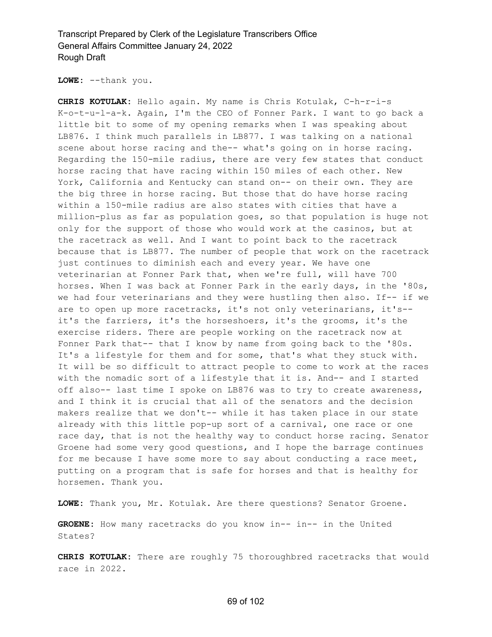**LOWE:** --thank you.

**CHRIS KOTULAK:** Hello again. My name is Chris Kotulak, C-h-r-i-s K-o-t-u-l-a-k. Again, I'm the CEO of Fonner Park. I want to go back a little bit to some of my opening remarks when I was speaking about LB876. I think much parallels in LB877. I was talking on a national scene about horse racing and the-- what's going on in horse racing. Regarding the 150-mile radius, there are very few states that conduct horse racing that have racing within 150 miles of each other. New York, California and Kentucky can stand on-- on their own. They are the big three in horse racing. But those that do have horse racing within a 150-mile radius are also states with cities that have a million-plus as far as population goes, so that population is huge not only for the support of those who would work at the casinos, but at the racetrack as well. And I want to point back to the racetrack because that is LB877. The number of people that work on the racetrack just continues to diminish each and every year. We have one veterinarian at Fonner Park that, when we're full, will have 700 horses. When I was back at Fonner Park in the early days, in the '80s, we had four veterinarians and they were hustling then also. If-- if we are to open up more racetracks, it's not only veterinarians, it's- it's the farriers, it's the horseshoers, it's the grooms, it's the exercise riders. There are people working on the racetrack now at Fonner Park that-- that I know by name from going back to the '80s. It's a lifestyle for them and for some, that's what they stuck with. It will be so difficult to attract people to come to work at the races with the nomadic sort of a lifestyle that it is. And-- and I started off also-- last time I spoke on LB876 was to try to create awareness, and I think it is crucial that all of the senators and the decision makers realize that we don't-- while it has taken place in our state already with this little pop-up sort of a carnival, one race or one race day, that is not the healthy way to conduct horse racing. Senator Groene had some very good questions, and I hope the barrage continues for me because I have some more to say about conducting a race meet, putting on a program that is safe for horses and that is healthy for horsemen. Thank you.

**LOWE:** Thank you, Mr. Kotulak. Are there questions? Senator Groene.

**GROENE:** How many racetracks do you know in-- in-- in the United States?

**CHRIS KOTULAK:** There are roughly 75 thoroughbred racetracks that would race in 2022.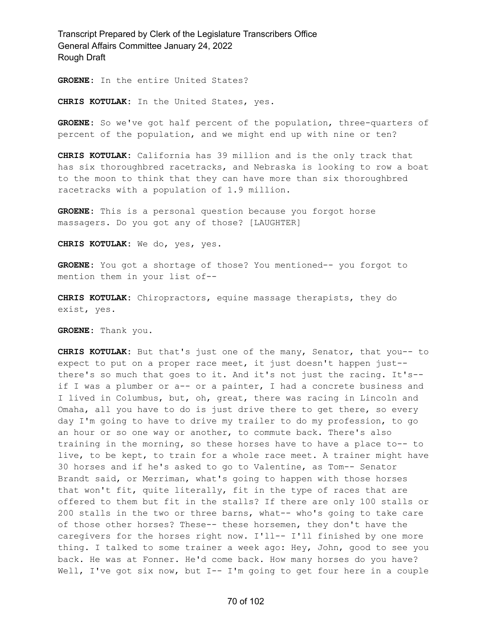**GROENE:** In the entire United States?

**CHRIS KOTULAK:** In the United States, yes.

**GROENE:** So we've got half percent of the population, three-quarters of percent of the population, and we might end up with nine or ten?

**CHRIS KOTULAK:** California has 39 million and is the only track that has six thoroughbred racetracks, and Nebraska is looking to row a boat to the moon to think that they can have more than six thoroughbred racetracks with a population of 1.9 million.

**GROENE:** This is a personal question because you forgot horse massagers. Do you got any of those? [LAUGHTER]

**CHRIS KOTULAK:** We do, yes, yes.

**GROENE:** You got a shortage of those? You mentioned-- you forgot to mention them in your list of--

**CHRIS KOTULAK:** Chiropractors, equine massage therapists, they do exist, yes.

**GROENE:** Thank you.

**CHRIS KOTULAK:** But that's just one of the many, Senator, that you-- to expect to put on a proper race meet, it just doesn't happen just- there's so much that goes to it. And it's not just the racing. It's- if I was a plumber or a-- or a painter, I had a concrete business and I lived in Columbus, but, oh, great, there was racing in Lincoln and Omaha, all you have to do is just drive there to get there, so every day I'm going to have to drive my trailer to do my profession, to go an hour or so one way or another, to commute back. There's also training in the morning, so these horses have to have a place to-- to live, to be kept, to train for a whole race meet. A trainer might have 30 horses and if he's asked to go to Valentine, as Tom-- Senator Brandt said, or Merriman, what's going to happen with those horses that won't fit, quite literally, fit in the type of races that are offered to them but fit in the stalls? If there are only 100 stalls or 200 stalls in the two or three barns, what-- who's going to take care of those other horses? These-- these horsemen, they don't have the caregivers for the horses right now. I'll-- I'll finished by one more thing. I talked to some trainer a week ago: Hey, John, good to see you back. He was at Fonner. He'd come back. How many horses do you have? Well, I've got six now, but I-- I'm going to get four here in a couple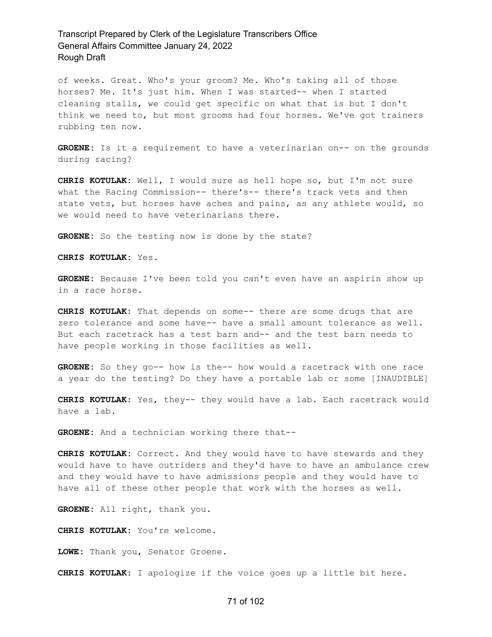of weeks. Great. Who's your groom? Me. Who's taking all of those horses? Me. It's just him. When I was started-- when I started cleaning stalls, we could get specific on what that is but I don't think we need to, but most grooms had four horses. We've got trainers rubbing ten now.

**GROENE:** Is it a requirement to have a veterinarian on-- on the grounds during racing?

**CHRIS KOTULAK:** Well, I would sure as hell hope so, but I'm not sure what the Racing Commission-- there's-- there's track vets and then state vets, but horses have aches and pains, as any athlete would, so we would need to have veterinarians there.

**GROENE:** So the testing now is done by the state?

**CHRIS KOTULAK:** Yes.

**GROENE:** Because I've been told you can't even have an aspirin show up in a race horse.

**CHRIS KOTULAK:** That depends on some-- there are some drugs that are zero tolerance and some have-- have a small amount tolerance as well. But each racetrack has a test barn and-- and the test barn needs to have people working in those facilities as well.

**GROENE:** So they go-- how is the-- how would a racetrack with one race a year do the testing? Do they have a portable lab or some [INAUDIBLE]

**CHRIS KOTULAK:** Yes, they-- they would have a lab. Each racetrack would have a lab.

**GROENE:** And a technician working there that--

**CHRIS KOTULAK:** Correct. And they would have to have stewards and they would have to have outriders and they'd have to have an ambulance crew and they would have to have admissions people and they would have to have all of these other people that work with the horses as well.

**GROENE:** All right, thank you.

**CHRIS KOTULAK:** You're welcome.

**LOWE:** Thank you, Senator Groene.

**CHRIS KOTULAK:** I apologize if the voice goes up a little bit here.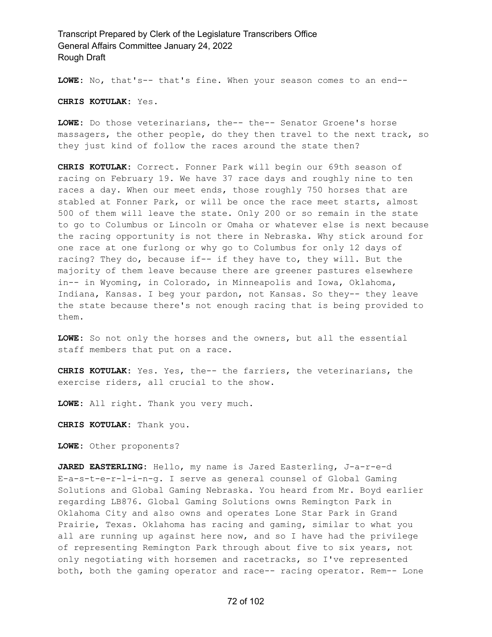**LOWE:** No, that's-- that's fine. When your season comes to an end--

**CHRIS KOTULAK:** Yes.

**LOWE:** Do those veterinarians, the-- the-- Senator Groene's horse massagers, the other people, do they then travel to the next track, so they just kind of follow the races around the state then?

**CHRIS KOTULAK:** Correct. Fonner Park will begin our 69th season of racing on February 19. We have 37 race days and roughly nine to ten races a day. When our meet ends, those roughly 750 horses that are stabled at Fonner Park, or will be once the race meet starts, almost 500 of them will leave the state. Only 200 or so remain in the state to go to Columbus or Lincoln or Omaha or whatever else is next because the racing opportunity is not there in Nebraska. Why stick around for one race at one furlong or why go to Columbus for only 12 days of racing? They do, because if-- if they have to, they will. But the majority of them leave because there are greener pastures elsewhere in-- in Wyoming, in Colorado, in Minneapolis and Iowa, Oklahoma, Indiana, Kansas. I beg your pardon, not Kansas. So they-- they leave the state because there's not enough racing that is being provided to them.

**LOWE:** So not only the horses and the owners, but all the essential staff members that put on a race.

**CHRIS KOTULAK:** Yes. Yes, the-- the farriers, the veterinarians, the exercise riders, all crucial to the show.

**LOWE:** All right. Thank you very much.

**CHRIS KOTULAK:** Thank you.

**LOWE:** Other proponents?

**JARED EASTERLING:** Hello, my name is Jared Easterling, J-a-r-e-d E-a-s-t-e-r-l-i-n-g. I serve as general counsel of Global Gaming Solutions and Global Gaming Nebraska. You heard from Mr. Boyd earlier regarding LB876. Global Gaming Solutions owns Remington Park in Oklahoma City and also owns and operates Lone Star Park in Grand Prairie, Texas. Oklahoma has racing and gaming, similar to what you all are running up against here now, and so I have had the privilege of representing Remington Park through about five to six years, not only negotiating with horsemen and racetracks, so I've represented both, both the gaming operator and race-- racing operator. Rem-- Lone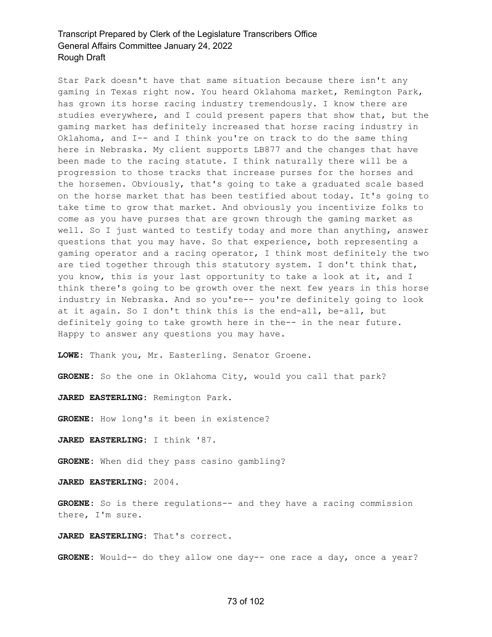Star Park doesn't have that same situation because there isn't any gaming in Texas right now. You heard Oklahoma market, Remington Park, has grown its horse racing industry tremendously. I know there are studies everywhere, and I could present papers that show that, but the gaming market has definitely increased that horse racing industry in Oklahoma, and I-- and I think you're on track to do the same thing here in Nebraska. My client supports LB877 and the changes that have been made to the racing statute. I think naturally there will be a progression to those tracks that increase purses for the horses and the horsemen. Obviously, that's going to take a graduated scale based on the horse market that has been testified about today. It's going to take time to grow that market. And obviously you incentivize folks to come as you have purses that are grown through the gaming market as well. So I just wanted to testify today and more than anything, answer questions that you may have. So that experience, both representing a gaming operator and a racing operator, I think most definitely the two are tied together through this statutory system. I don't think that, you know, this is your last opportunity to take a look at it, and I think there's going to be growth over the next few years in this horse industry in Nebraska. And so you're-- you're definitely going to look at it again. So I don't think this is the end-all, be-all, but definitely going to take growth here in the-- in the near future. Happy to answer any questions you may have.

**LOWE:** Thank you, Mr. Easterling. Senator Groene.

**GROENE:** So the one in Oklahoma City, would you call that park?

**JARED EASTERLING:** Remington Park.

**GROENE:** How long's it been in existence?

**JARED EASTERLING:** I think '87.

**GROENE:** When did they pass casino gambling?

**JARED EASTERLING:** 2004.

**GROENE:** So is there regulations-- and they have a racing commission there, I'm sure.

**JARED EASTERLING:** That's correct.

GROENE: Would-- do they allow one day-- one race a day, once a year?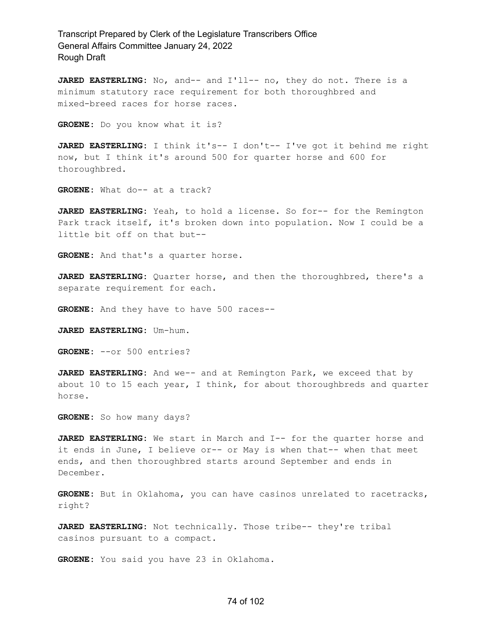**JARED EASTERLING:** No, and-- and I'll-- no, they do not. There is a minimum statutory race requirement for both thoroughbred and mixed-breed races for horse races.

**GROENE:** Do you know what it is?

**JARED EASTERLING:** I think it's-- I don't-- I've got it behind me right now, but I think it's around 500 for quarter horse and 600 for thoroughbred.

**GROENE:** What do-- at a track?

**JARED EASTERLING:** Yeah, to hold a license. So for-- for the Remington Park track itself, it's broken down into population. Now I could be a little bit off on that but--

**GROENE:** And that's a quarter horse.

**JARED EASTERLING:** Quarter horse, and then the thoroughbred, there's a separate requirement for each.

**GROENE:** And they have to have 500 races--

**JARED EASTERLING:** Um-hum.

**GROENE:** --or 500 entries?

**JARED EASTERLING:** And we-- and at Remington Park, we exceed that by about 10 to 15 each year, I think, for about thoroughbreds and quarter horse.

**GROENE:** So how many days?

**JARED EASTERLING:** We start in March and I-- for the quarter horse and it ends in June, I believe or-- or May is when that-- when that meet ends, and then thoroughbred starts around September and ends in December.

**GROENE:** But in Oklahoma, you can have casinos unrelated to racetracks, right?

**JARED EASTERLING:** Not technically. Those tribe-- they're tribal casinos pursuant to a compact.

**GROENE:** You said you have 23 in Oklahoma.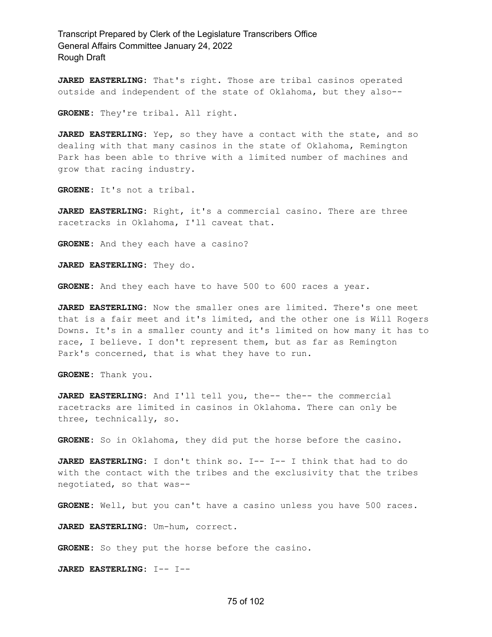**JARED EASTERLING:** That's right. Those are tribal casinos operated outside and independent of the state of Oklahoma, but they also--

**GROENE:** They're tribal. All right.

**JARED EASTERLING:** Yep, so they have a contact with the state, and so dealing with that many casinos in the state of Oklahoma, Remington Park has been able to thrive with a limited number of machines and grow that racing industry.

**GROENE:** It's not a tribal.

**JARED EASTERLING:** Right, it's a commercial casino. There are three racetracks in Oklahoma, I'll caveat that.

**GROENE:** And they each have a casino?

**JARED EASTERLING:** They do.

**GROENE:** And they each have to have 500 to 600 races a year.

**JARED EASTERLING:** Now the smaller ones are limited. There's one meet that is a fair meet and it's limited, and the other one is Will Rogers Downs. It's in a smaller county and it's limited on how many it has to race, I believe. I don't represent them, but as far as Remington Park's concerned, that is what they have to run.

**GROENE:** Thank you.

**JARED EASTERLING:** And I'll tell you, the-- the-- the commercial racetracks are limited in casinos in Oklahoma. There can only be three, technically, so.

**GROENE:** So in Oklahoma, they did put the horse before the casino.

**JARED EASTERLING:** I don't think so. I-- I-- I think that had to do with the contact with the tribes and the exclusivity that the tribes negotiated, so that was--

**GROENE:** Well, but you can't have a casino unless you have 500 races.

**JARED EASTERLING:** Um-hum, correct.

**GROENE:** So they put the horse before the casino.

**JARED EASTERLING:** I-- I--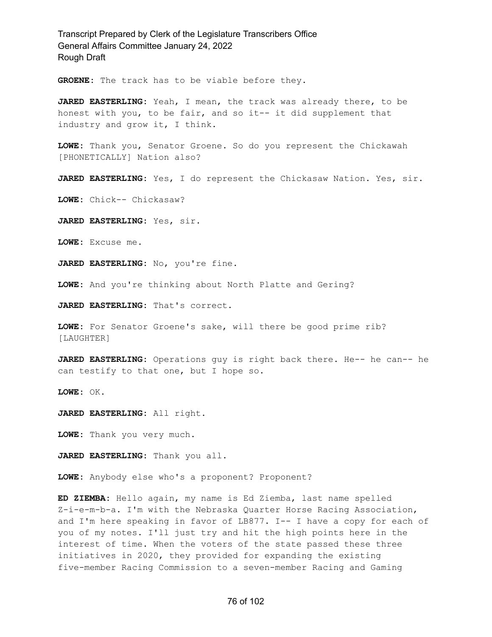**GROENE:** The track has to be viable before they.

**JARED EASTERLING:** Yeah, I mean, the track was already there, to be honest with you, to be fair, and so it-- it did supplement that industry and grow it, I think.

**LOWE:** Thank you, Senator Groene. So do you represent the Chickawah [PHONETICALLY] Nation also?

**JARED EASTERLING:** Yes, I do represent the Chickasaw Nation. Yes, sir.

**LOWE:** Chick-- Chickasaw?

**JARED EASTERLING:** Yes, sir.

**LOWE:** Excuse me.

**JARED EASTERLING:** No, you're fine.

**LOWE:** And you're thinking about North Platte and Gering?

**JARED EASTERLING:** That's correct.

**LOWE:** For Senator Groene's sake, will there be good prime rib? [LAUGHTER]

**JARED EASTERLING:** Operations guy is right back there. He-- he can-- he can testify to that one, but I hope so.

**LOWE:** OK.

**JARED EASTERLING:** All right.

**LOWE:** Thank you very much.

**JARED EASTERLING:** Thank you all.

**LOWE:** Anybody else who's a proponent? Proponent?

**ED ZIEMBA:** Hello again, my name is Ed Ziemba, last name spelled Z-i-e-m-b-a. I'm with the Nebraska Quarter Horse Racing Association, and I'm here speaking in favor of LB877. I-- I have a copy for each of you of my notes. I'll just try and hit the high points here in the interest of time. When the voters of the state passed these three initiatives in 2020, they provided for expanding the existing five-member Racing Commission to a seven-member Racing and Gaming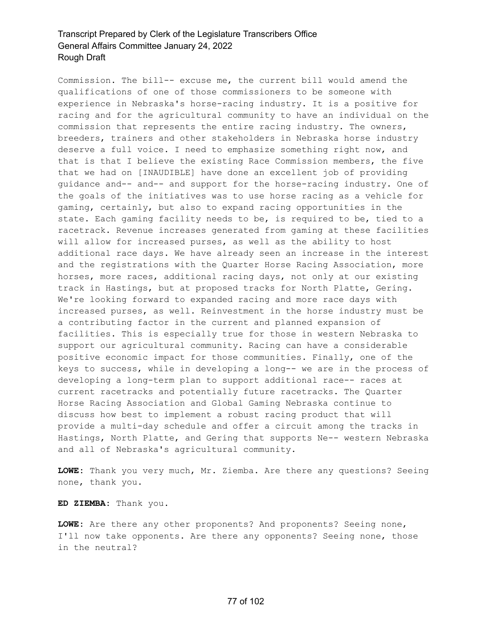Commission. The bill-- excuse me, the current bill would amend the qualifications of one of those commissioners to be someone with experience in Nebraska's horse-racing industry. It is a positive for racing and for the agricultural community to have an individual on the commission that represents the entire racing industry. The owners, breeders, trainers and other stakeholders in Nebraska horse industry deserve a full voice. I need to emphasize something right now, and that is that I believe the existing Race Commission members, the five that we had on [INAUDIBLE] have done an excellent job of providing guidance and-- and-- and support for the horse-racing industry. One of the goals of the initiatives was to use horse racing as a vehicle for gaming, certainly, but also to expand racing opportunities in the state. Each gaming facility needs to be, is required to be, tied to a racetrack. Revenue increases generated from gaming at these facilities will allow for increased purses, as well as the ability to host additional race days. We have already seen an increase in the interest and the registrations with the Quarter Horse Racing Association, more horses, more races, additional racing days, not only at our existing track in Hastings, but at proposed tracks for North Platte, Gering. We're looking forward to expanded racing and more race days with increased purses, as well. Reinvestment in the horse industry must be a contributing factor in the current and planned expansion of facilities. This is especially true for those in western Nebraska to support our agricultural community. Racing can have a considerable positive economic impact for those communities. Finally, one of the keys to success, while in developing a long-- we are in the process of developing a long-term plan to support additional race-- races at current racetracks and potentially future racetracks. The Quarter Horse Racing Association and Global Gaming Nebraska continue to discuss how best to implement a robust racing product that will provide a multi-day schedule and offer a circuit among the tracks in Hastings, North Platte, and Gering that supports Ne-- western Nebraska and all of Nebraska's agricultural community.

**LOWE:** Thank you very much, Mr. Ziemba. Are there any questions? Seeing none, thank you.

**ED ZIEMBA:** Thank you.

**LOWE:** Are there any other proponents? And proponents? Seeing none, I'll now take opponents. Are there any opponents? Seeing none, those in the neutral?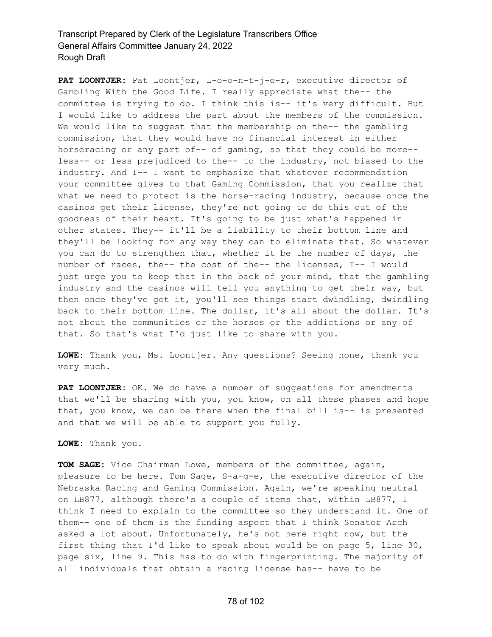**PAT LOONTJER:** Pat Loontjer, L-o-o-n-t-j-e-r, executive director of Gambling With the Good Life. I really appreciate what the-- the committee is trying to do. I think this is-- it's very difficult. But I would like to address the part about the members of the commission. We would like to suggest that the membership on the-- the gambling commission, that they would have no financial interest in either horseracing or any part of-- of gaming, so that they could be more- less-- or less prejudiced to the-- to the industry, not biased to the industry. And I-- I want to emphasize that whatever recommendation your committee gives to that Gaming Commission, that you realize that what we need to protect is the horse-racing industry, because once the casinos get their license, they're not going to do this out of the goodness of their heart. It's going to be just what's happened in other states. They-- it'll be a liability to their bottom line and they'll be looking for any way they can to eliminate that. So whatever you can do to strengthen that, whether it be the number of days, the number of races, the-- the cost of the-- the licenses, I-- I would just urge you to keep that in the back of your mind, that the gambling industry and the casinos will tell you anything to get their way, but then once they've got it, you'll see things start dwindling, dwindling back to their bottom line. The dollar, it's all about the dollar. It's not about the communities or the horses or the addictions or any of that. So that's what I'd just like to share with you.

**LOWE:** Thank you, Ms. Loontjer. Any questions? Seeing none, thank you very much.

**PAT LOONTJER:** OK. We do have a number of suggestions for amendments that we'll be sharing with you, you know, on all these phases and hope that, you know, we can be there when the final bill is-- is presented and that we will be able to support you fully.

**LOWE:** Thank you.

**TOM SAGE:** Vice Chairman Lowe, members of the committee, again, pleasure to be here. Tom Sage, S-a-g-e, the executive director of the Nebraska Racing and Gaming Commission. Again, we're speaking neutral on LB877, although there's a couple of items that, within LB877, I think I need to explain to the committee so they understand it. One of them-- one of them is the funding aspect that I think Senator Arch asked a lot about. Unfortunately, he's not here right now, but the first thing that I'd like to speak about would be on page 5, line 30, page six, line 9. This has to do with fingerprinting. The majority of all individuals that obtain a racing license has-- have to be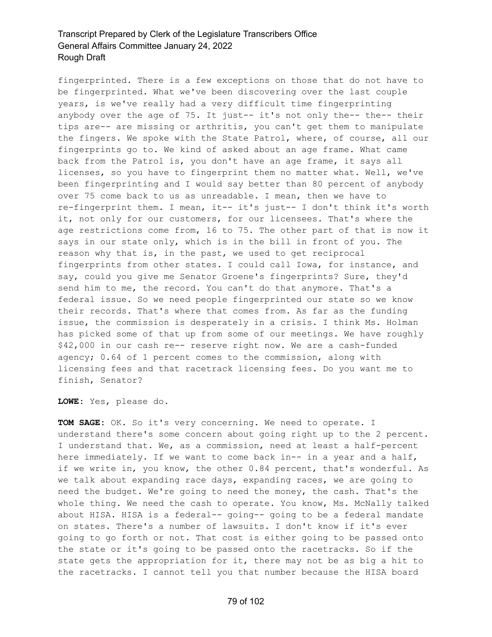fingerprinted. There is a few exceptions on those that do not have to be fingerprinted. What we've been discovering over the last couple years, is we've really had a very difficult time fingerprinting anybody over the age of 75. It just-- it's not only the-- the-- their tips are-- are missing or arthritis, you can't get them to manipulate the fingers. We spoke with the State Patrol, where, of course, all our fingerprints go to. We kind of asked about an age frame. What came back from the Patrol is, you don't have an age frame, it says all licenses, so you have to fingerprint them no matter what. Well, we've been fingerprinting and I would say better than 80 percent of anybody over 75 come back to us as unreadable. I mean, then we have to re-fingerprint them. I mean, it-- it's just-- I don't think it's worth it, not only for our customers, for our licensees. That's where the age restrictions come from, 16 to 75. The other part of that is now it says in our state only, which is in the bill in front of you. The reason why that is, in the past, we used to get reciprocal fingerprints from other states. I could call Iowa, for instance, and say, could you give me Senator Groene's fingerprints? Sure, they'd send him to me, the record. You can't do that anymore. That's a federal issue. So we need people fingerprinted our state so we know their records. That's where that comes from. As far as the funding issue, the commission is desperately in a crisis. I think Ms. Holman has picked some of that up from some of our meetings. We have roughly \$42,000 in our cash re-- reserve right now. We are a cash-funded agency; 0.64 of 1 percent comes to the commission, along with licensing fees and that racetrack licensing fees. Do you want me to finish, Senator?

**LOWE:** Yes, please do.

**TOM SAGE:** OK. So it's very concerning. We need to operate. I understand there's some concern about going right up to the 2 percent. I understand that. We, as a commission, need at least a half-percent here immediately. If we want to come back in-- in a year and a half, if we write in, you know, the other 0.84 percent, that's wonderful. As we talk about expanding race days, expanding races, we are going to need the budget. We're going to need the money, the cash. That's the whole thing. We need the cash to operate. You know, Ms. McNally talked about HISA. HISA is a federal-- going-- going to be a federal mandate on states. There's a number of lawsuits. I don't know if it's ever going to go forth or not. That cost is either going to be passed onto the state or it's going to be passed onto the racetracks. So if the state gets the appropriation for it, there may not be as big a hit to the racetracks. I cannot tell you that number because the HISA board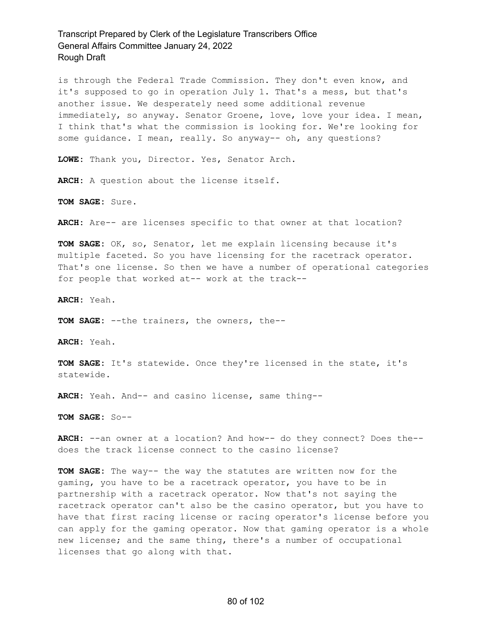is through the Federal Trade Commission. They don't even know, and it's supposed to go in operation July 1. That's a mess, but that's another issue. We desperately need some additional revenue immediately, so anyway. Senator Groene, love, love your idea. I mean, I think that's what the commission is looking for. We're looking for some guidance. I mean, really. So anyway-- oh, any questions?

**LOWE:** Thank you, Director. Yes, Senator Arch.

**ARCH:** A question about the license itself.

**TOM SAGE:** Sure.

**ARCH:** Are-- are licenses specific to that owner at that location?

**TOM SAGE:** OK, so, Senator, let me explain licensing because it's multiple faceted. So you have licensing for the racetrack operator. That's one license. So then we have a number of operational categories for people that worked at-- work at the track--

**ARCH:** Yeah.

**TOM SAGE:** --the trainers, the owners, the--

**ARCH:** Yeah.

**TOM SAGE:** It's statewide. Once they're licensed in the state, it's statewide.

**ARCH:** Yeah. And-- and casino license, same thing--

**TOM SAGE:** So--

**ARCH:** --an owner at a location? And how-- do they connect? Does the- does the track license connect to the casino license?

**TOM SAGE:** The way-- the way the statutes are written now for the gaming, you have to be a racetrack operator, you have to be in partnership with a racetrack operator. Now that's not saying the racetrack operator can't also be the casino operator, but you have to have that first racing license or racing operator's license before you can apply for the gaming operator. Now that gaming operator is a whole new license; and the same thing, there's a number of occupational licenses that go along with that.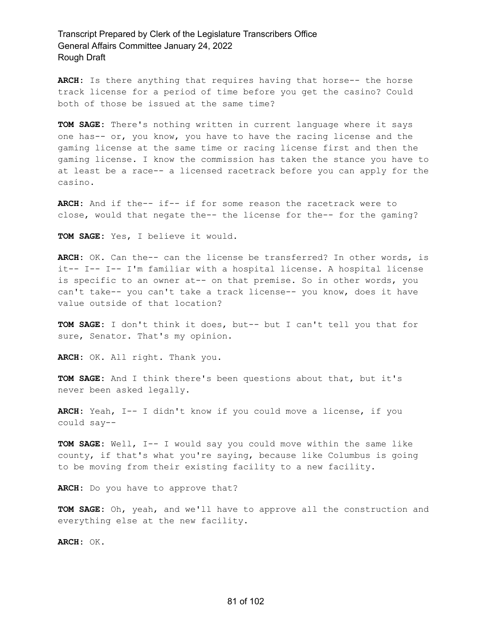**ARCH:** Is there anything that requires having that horse-- the horse track license for a period of time before you get the casino? Could both of those be issued at the same time?

**TOM SAGE:** There's nothing written in current language where it says one has-- or, you know, you have to have the racing license and the gaming license at the same time or racing license first and then the gaming license. I know the commission has taken the stance you have to at least be a race-- a licensed racetrack before you can apply for the casino.

**ARCH:** And if the-- if-- if for some reason the racetrack were to close, would that negate the-- the license for the-- for the gaming?

**TOM SAGE:** Yes, I believe it would.

**ARCH:** OK. Can the-- can the license be transferred? In other words, is it-- I-- I-- I'm familiar with a hospital license. A hospital license is specific to an owner at-- on that premise. So in other words, you can't take-- you can't take a track license-- you know, does it have value outside of that location?

**TOM SAGE:** I don't think it does, but-- but I can't tell you that for sure, Senator. That's my opinion.

**ARCH:** OK. All right. Thank you.

**TOM SAGE:** And I think there's been questions about that, but it's never been asked legally.

**ARCH:** Yeah, I-- I didn't know if you could move a license, if you could say--

**TOM SAGE:** Well, I-- I would say you could move within the same like county, if that's what you're saying, because like Columbus is going to be moving from their existing facility to a new facility.

**ARCH:** Do you have to approve that?

**TOM SAGE:** Oh, yeah, and we'll have to approve all the construction and everything else at the new facility.

**ARCH:** OK.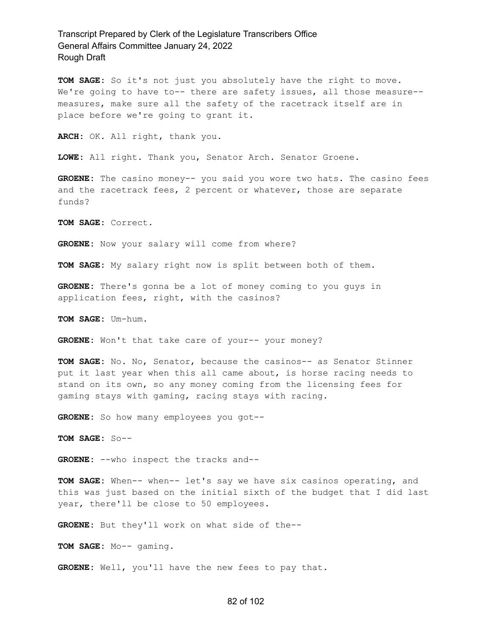**TOM SAGE:** So it's not just you absolutely have the right to move. We're going to have to-- there are safety issues, all those measure-measures, make sure all the safety of the racetrack itself are in place before we're going to grant it.

**ARCH:** OK. All right, thank you.

**LOWE:** All right. Thank you, Senator Arch. Senator Groene.

**GROENE:** The casino money-- you said you wore two hats. The casino fees and the racetrack fees, 2 percent or whatever, those are separate funds?

**TOM SAGE:** Correct.

**GROENE:** Now your salary will come from where?

**TOM SAGE:** My salary right now is split between both of them.

**GROENE:** There's gonna be a lot of money coming to you guys in application fees, right, with the casinos?

**TOM SAGE:** Um-hum.

GROENE: Won't that take care of your-- your money?

**TOM SAGE:** No. No, Senator, because the casinos-- as Senator Stinner put it last year when this all came about, is horse racing needs to stand on its own, so any money coming from the licensing fees for gaming stays with gaming, racing stays with racing.

**GROENE:** So how many employees you got--

**TOM SAGE:** So--

**GROENE:** --who inspect the tracks and--

**TOM SAGE:** When-- when-- let's say we have six casinos operating, and this was just based on the initial sixth of the budget that I did last year, there'll be close to 50 employees.

**GROENE:** But they'll work on what side of the--

**TOM SAGE:** Mo-- gaming.

**GROENE:** Well, you'll have the new fees to pay that.

#### 82 of 102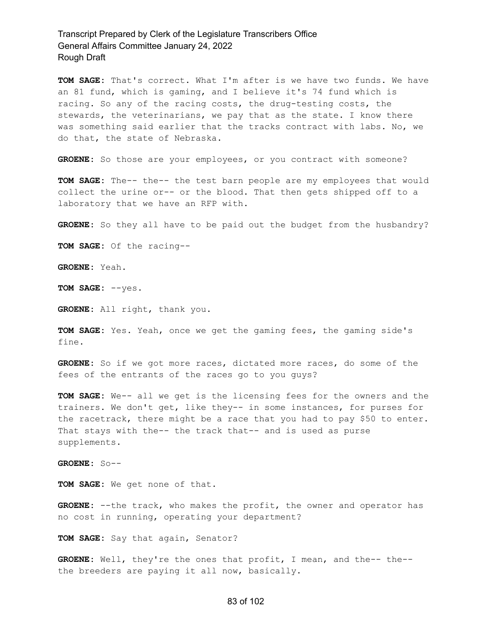**TOM SAGE:** That's correct. What I'm after is we have two funds. We have an 81 fund, which is gaming, and I believe it's 74 fund which is racing. So any of the racing costs, the drug-testing costs, the stewards, the veterinarians, we pay that as the state. I know there was something said earlier that the tracks contract with labs. No, we do that, the state of Nebraska.

**GROENE:** So those are your employees, or you contract with someone?

**TOM SAGE:** The-- the-- the test barn people are my employees that would collect the urine or-- or the blood. That then gets shipped off to a laboratory that we have an RFP with.

**GROENE:** So they all have to be paid out the budget from the husbandry?

**TOM SAGE:** Of the racing--

**GROENE:** Yeah.

**TOM SAGE:** --yes.

**GROENE:** All right, thank you.

**TOM SAGE:** Yes. Yeah, once we get the gaming fees, the gaming side's fine.

**GROENE:** So if we got more races, dictated more races, do some of the fees of the entrants of the races go to you guys?

**TOM SAGE:** We-- all we get is the licensing fees for the owners and the trainers. We don't get, like they-- in some instances, for purses for the racetrack, there might be a race that you had to pay \$50 to enter. That stays with the-- the track that-- and is used as purse supplements.

**GROENE:** So--

**TOM SAGE:** We get none of that.

**GROENE:** --the track, who makes the profit, the owner and operator has no cost in running, operating your department?

**TOM SAGE:** Say that again, Senator?

**GROENE:** Well, they're the ones that profit, I mean, and the-- the- the breeders are paying it all now, basically.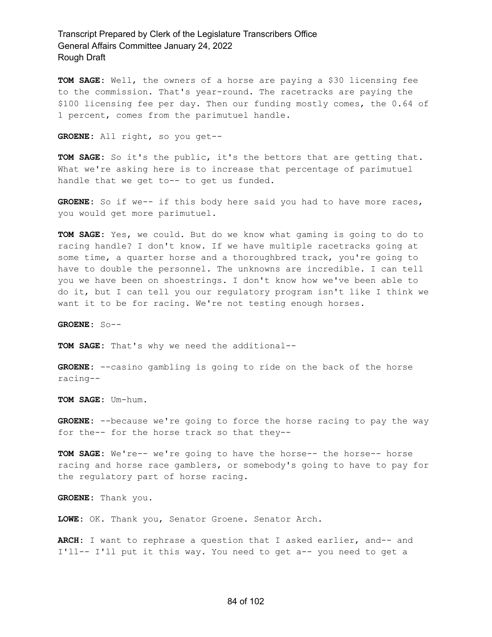**TOM SAGE:** Well, the owners of a horse are paying a \$30 licensing fee to the commission. That's year-round. The racetracks are paying the \$100 licensing fee per day. Then our funding mostly comes, the 0.64 of 1 percent, comes from the parimutuel handle.

**GROENE:** All right, so you get--

**TOM SAGE:** So it's the public, it's the bettors that are getting that. What we're asking here is to increase that percentage of parimutuel handle that we get to-- to get us funded.

**GROENE:** So if we-- if this body here said you had to have more races, you would get more parimutuel.

**TOM SAGE:** Yes, we could. But do we know what gaming is going to do to racing handle? I don't know. If we have multiple racetracks going at some time, a quarter horse and a thoroughbred track, you're going to have to double the personnel. The unknowns are incredible. I can tell you we have been on shoestrings. I don't know how we've been able to do it, but I can tell you our regulatory program isn't like I think we want it to be for racing. We're not testing enough horses.

**GROENE:** So--

**TOM SAGE:** That's why we need the additional--

**GROENE:** --casino gambling is going to ride on the back of the horse racing--

**TOM SAGE:** Um-hum.

**GROENE:** --because we're going to force the horse racing to pay the way for the-- for the horse track so that they--

**TOM SAGE:** We're-- we're going to have the horse-- the horse-- horse racing and horse race gamblers, or somebody's going to have to pay for the regulatory part of horse racing.

**GROENE:** Thank you.

**LOWE:** OK. Thank you, Senator Groene. Senator Arch.

**ARCH:** I want to rephrase a question that I asked earlier, and-- and I'll-- I'll put it this way. You need to get a-- you need to get a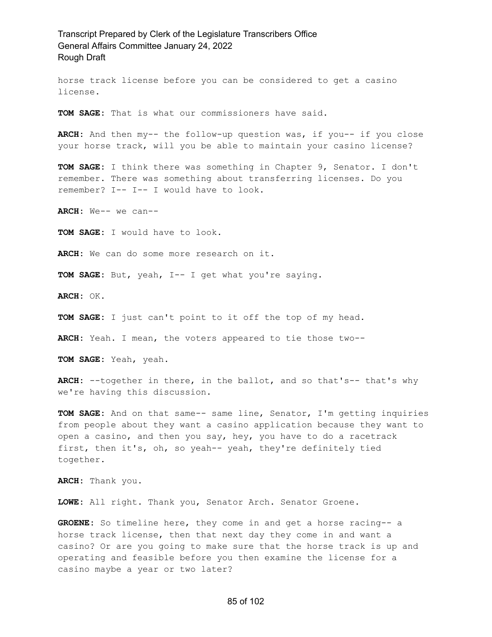horse track license before you can be considered to get a casino license.

**TOM SAGE:** That is what our commissioners have said.

**ARCH:** And then my-- the follow-up question was, if you-- if you close your horse track, will you be able to maintain your casino license?

**TOM SAGE:** I think there was something in Chapter 9, Senator. I don't remember. There was something about transferring licenses. Do you remember? I-- I-- I would have to look.

**ARCH:** We-- we can--

**TOM SAGE:** I would have to look.

**ARCH:** We can do some more research on it.

**TOM SAGE:** But, yeah, I-- I get what you're saying.

**ARCH:** OK.

**TOM SAGE:** I just can't point to it off the top of my head.

**ARCH:** Yeah. I mean, the voters appeared to tie those two--

**TOM SAGE:** Yeah, yeah.

ARCH: --together in there, in the ballot, and so that's-- that's why we're having this discussion.

**TOM SAGE:** And on that same-- same line, Senator, I'm getting inquiries from people about they want a casino application because they want to open a casino, and then you say, hey, you have to do a racetrack first, then it's, oh, so yeah-- yeah, they're definitely tied together.

**ARCH:** Thank you.

**LOWE:** All right. Thank you, Senator Arch. Senator Groene.

**GROENE:** So timeline here, they come in and get a horse racing-- a horse track license, then that next day they come in and want a casino? Or are you going to make sure that the horse track is up and operating and feasible before you then examine the license for a casino maybe a year or two later?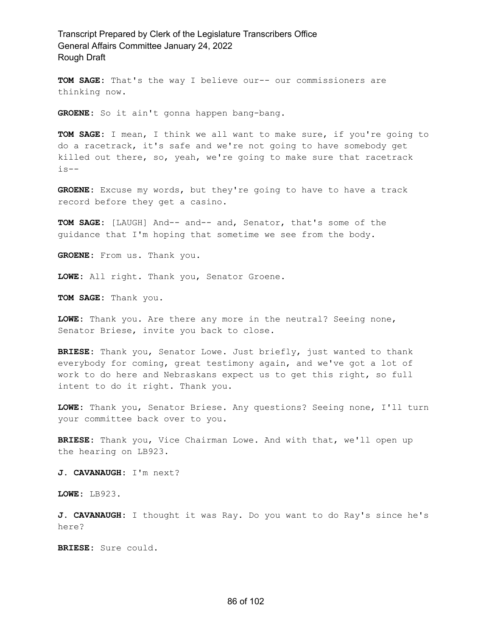**TOM SAGE:** That's the way I believe our-- our commissioners are thinking now.

**GROENE:** So it ain't gonna happen bang-bang.

**TOM SAGE:** I mean, I think we all want to make sure, if you're going to do a racetrack, it's safe and we're not going to have somebody get killed out there, so, yeah, we're going to make sure that racetrack is--

**GROENE:** Excuse my words, but they're going to have to have a track record before they get a casino.

**TOM SAGE:** [LAUGH] And-- and-- and, Senator, that's some of the guidance that I'm hoping that sometime we see from the body.

**GROENE:** From us. Thank you.

**LOWE:** All right. Thank you, Senator Groene.

**TOM SAGE:** Thank you.

**LOWE:** Thank you. Are there any more in the neutral? Seeing none, Senator Briese, invite you back to close.

**BRIESE:** Thank you, Senator Lowe. Just briefly, just wanted to thank everybody for coming, great testimony again, and we've got a lot of work to do here and Nebraskans expect us to get this right, so full intent to do it right. Thank you.

**LOWE:** Thank you, Senator Briese. Any questions? Seeing none, I'll turn your committee back over to you.

**BRIESE:** Thank you, Vice Chairman Lowe. And with that, we'll open up the hearing on LB923.

**J. CAVANAUGH:** I'm next?

**LOWE:** LB923.

**J. CAVANAUGH:** I thought it was Ray. Do you want to do Ray's since he's here?

**BRIESE:** Sure could.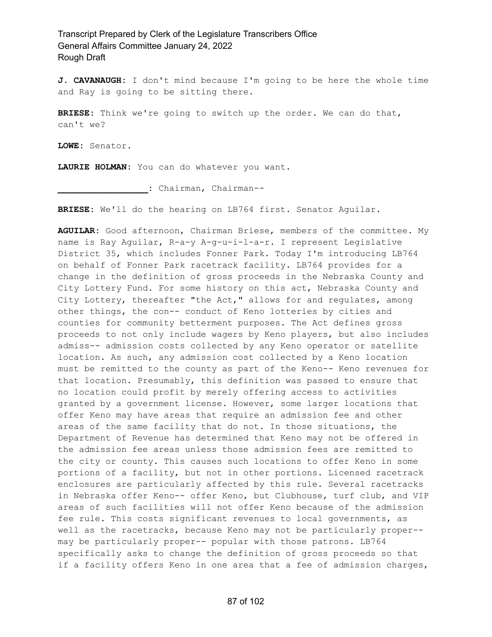**J. CAVANAUGH:** I don't mind because I'm going to be here the whole time and Ray is going to be sitting there.

**BRIESE:** Think we're going to switch up the order. We can do that, can't we?

**LOWE:** Senator.

**LAURIE HOLMAN:** You can do whatever you want.

**\_\_\_\_\_\_\_\_\_\_\_\_\_\_\_\_\_:** Chairman, Chairman--

**BRIESE:** We'll do the hearing on LB764 first. Senator Aguilar.

**AGUILAR:** Good afternoon, Chairman Briese, members of the committee. My name is Ray Aguilar, R-a-y A-g-u-i-l-a-r. I represent Legislative District 35, which includes Fonner Park. Today I'm introducing LB764 on behalf of Fonner Park racetrack facility. LB764 provides for a change in the definition of gross proceeds in the Nebraska County and City Lottery Fund. For some history on this act, Nebraska County and City Lottery, thereafter "the Act," allows for and regulates, among other things, the con-- conduct of Keno lotteries by cities and counties for community betterment purposes. The Act defines gross proceeds to not only include wagers by Keno players, but also includes admiss-- admission costs collected by any Keno operator or satellite location. As such, any admission cost collected by a Keno location must be remitted to the county as part of the Keno-- Keno revenues for that location. Presumably, this definition was passed to ensure that no location could profit by merely offering access to activities granted by a government license. However, some larger locations that offer Keno may have areas that require an admission fee and other areas of the same facility that do not. In those situations, the Department of Revenue has determined that Keno may not be offered in the admission fee areas unless those admission fees are remitted to the city or county. This causes such locations to offer Keno in some portions of a facility, but not in other portions. Licensed racetrack enclosures are particularly affected by this rule. Several racetracks in Nebraska offer Keno-- offer Keno, but Clubhouse, turf club, and VIP areas of such facilities will not offer Keno because of the admission fee rule. This costs significant revenues to local governments, as well as the racetracks, because Keno may not be particularly proper- may be particularly proper-- popular with those patrons. LB764 specifically asks to change the definition of gross proceeds so that if a facility offers Keno in one area that a fee of admission charges,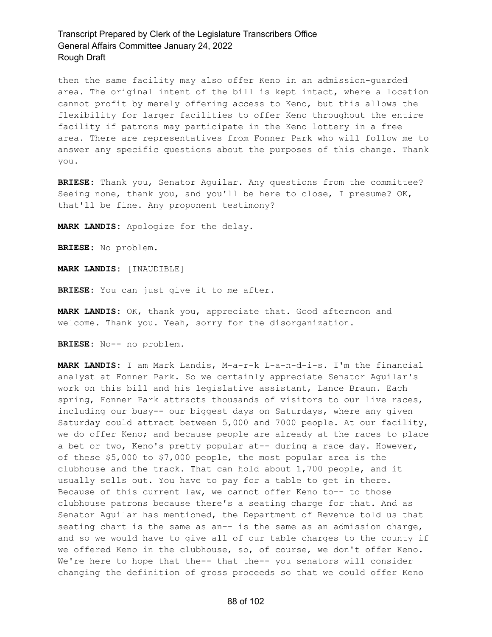then the same facility may also offer Keno in an admission-guarded area. The original intent of the bill is kept intact, where a location cannot profit by merely offering access to Keno, but this allows the flexibility for larger facilities to offer Keno throughout the entire facility if patrons may participate in the Keno lottery in a free area. There are representatives from Fonner Park who will follow me to answer any specific questions about the purposes of this change. Thank you.

**BRIESE:** Thank you, Senator Aguilar. Any questions from the committee? Seeing none, thank you, and you'll be here to close, I presume? OK, that'll be fine. Any proponent testimony?

**MARK LANDIS:** Apologize for the delay.

**BRIESE:** No problem.

**MARK LANDIS:** [INAUDIBLE]

**BRIESE:** You can just give it to me after.

**MARK LANDIS:** OK, thank you, appreciate that. Good afternoon and welcome. Thank you. Yeah, sorry for the disorganization.

**BRIESE:** No-- no problem.

**MARK LANDIS:** I am Mark Landis, M-a-r-k L-a-n-d-i-s. I'm the financial analyst at Fonner Park. So we certainly appreciate Senator Aguilar's work on this bill and his legislative assistant, Lance Braun. Each spring, Fonner Park attracts thousands of visitors to our live races, including our busy-- our biggest days on Saturdays, where any given Saturday could attract between 5,000 and 7000 people. At our facility, we do offer Keno; and because people are already at the races to place a bet or two, Keno's pretty popular at-- during a race day. However, of these \$5,000 to \$7,000 people, the most popular area is the clubhouse and the track. That can hold about 1,700 people, and it usually sells out. You have to pay for a table to get in there. Because of this current law, we cannot offer Keno to-- to those clubhouse patrons because there's a seating charge for that. And as Senator Aguilar has mentioned, the Department of Revenue told us that seating chart is the same as an-- is the same as an admission charge, and so we would have to give all of our table charges to the county if we offered Keno in the clubhouse, so, of course, we don't offer Keno. We're here to hope that the-- that the-- you senators will consider changing the definition of gross proceeds so that we could offer Keno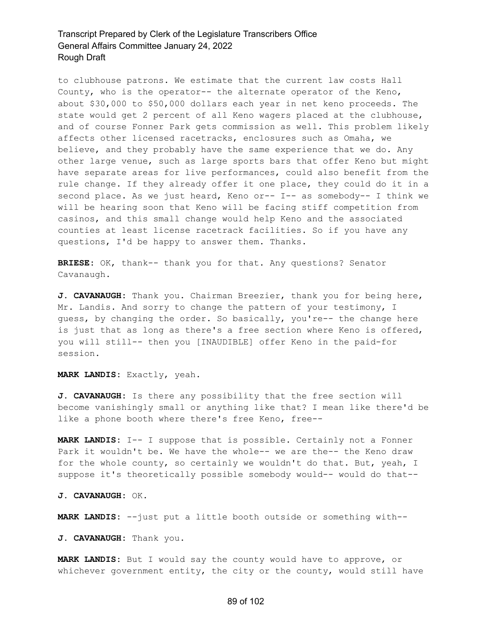to clubhouse patrons. We estimate that the current law costs Hall County, who is the operator-- the alternate operator of the Keno, about \$30,000 to \$50,000 dollars each year in net keno proceeds. The state would get 2 percent of all Keno wagers placed at the clubhouse, and of course Fonner Park gets commission as well. This problem likely affects other licensed racetracks, enclosures such as Omaha, we believe, and they probably have the same experience that we do. Any other large venue, such as large sports bars that offer Keno but might have separate areas for live performances, could also benefit from the rule change. If they already offer it one place, they could do it in a second place. As we just heard, Keno or-- I-- as somebody-- I think we will be hearing soon that Keno will be facing stiff competition from casinos, and this small change would help Keno and the associated counties at least license racetrack facilities. So if you have any questions, I'd be happy to answer them. Thanks.

**BRIESE:** OK, thank-- thank you for that. Any questions? Senator Cavanaugh.

**J. CAVANAUGH:** Thank you. Chairman Breezier, thank you for being here, Mr. Landis. And sorry to change the pattern of your testimony, I guess, by changing the order. So basically, you're-- the change here is just that as long as there's a free section where Keno is offered, you will still-- then you [INAUDIBLE] offer Keno in the paid-for session.

**MARK LANDIS:** Exactly, yeah.

**J. CAVANAUGH:** Is there any possibility that the free section will become vanishingly small or anything like that? I mean like there'd be like a phone booth where there's free Keno, free--

**MARK LANDIS:** I-- I suppose that is possible. Certainly not a Fonner Park it wouldn't be. We have the whole-- we are the-- the Keno draw for the whole county, so certainly we wouldn't do that. But, yeah, I suppose it's theoretically possible somebody would-- would do that--

**J. CAVANAUGH:** OK.

**MARK LANDIS:** --just put a little booth outside or something with--

**J. CAVANAUGH:** Thank you.

**MARK LANDIS:** But I would say the county would have to approve, or whichever government entity, the city or the county, would still have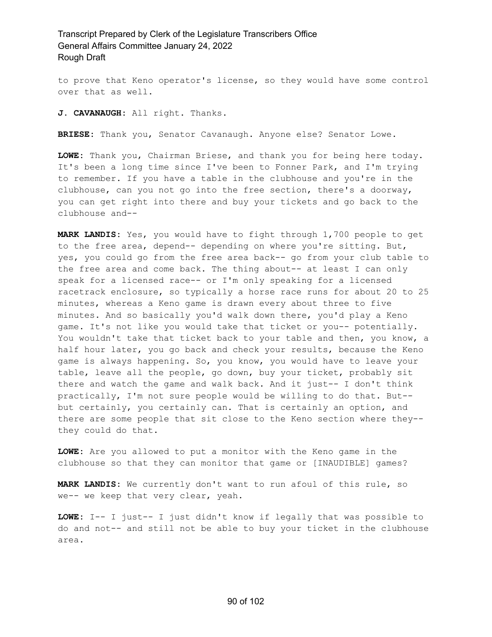to prove that Keno operator's license, so they would have some control over that as well.

**J. CAVANAUGH:** All right. Thanks.

**BRIESE:** Thank you, Senator Cavanaugh. Anyone else? Senator Lowe.

**LOWE:** Thank you, Chairman Briese, and thank you for being here today. It's been a long time since I've been to Fonner Park, and I'm trying to remember. If you have a table in the clubhouse and you're in the clubhouse, can you not go into the free section, there's a doorway, you can get right into there and buy your tickets and go back to the clubhouse and--

**MARK LANDIS:** Yes, you would have to fight through 1,700 people to get to the free area, depend-- depending on where you're sitting. But, yes, you could go from the free area back-- go from your club table to the free area and come back. The thing about-- at least I can only speak for a licensed race-- or I'm only speaking for a licensed racetrack enclosure, so typically a horse race runs for about 20 to 25 minutes, whereas a Keno game is drawn every about three to five minutes. And so basically you'd walk down there, you'd play a Keno game. It's not like you would take that ticket or you-- potentially. You wouldn't take that ticket back to your table and then, you know, a half hour later, you go back and check your results, because the Keno game is always happening. So, you know, you would have to leave your table, leave all the people, go down, buy your ticket, probably sit there and watch the game and walk back. And it just-- I don't think practically, I'm not sure people would be willing to do that. But- but certainly, you certainly can. That is certainly an option, and there are some people that sit close to the Keno section where they- they could do that.

**LOWE:** Are you allowed to put a monitor with the Keno game in the clubhouse so that they can monitor that game or [INAUDIBLE] games?

**MARK LANDIS:** We currently don't want to run afoul of this rule, so we-- we keep that very clear, yeah.

**LOWE:** I-- I just-- I just didn't know if legally that was possible to do and not-- and still not be able to buy your ticket in the clubhouse area.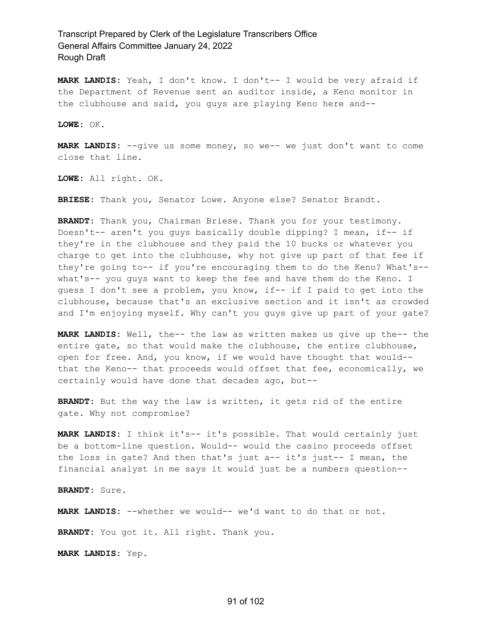**MARK LANDIS:** Yeah, I don't know. I don't-- I would be very afraid if the Department of Revenue sent an auditor inside, a Keno monitor in the clubhouse and said, you guys are playing Keno here and--

**LOWE:** OK.

**MARK LANDIS:** --give us some money, so we-- we just don't want to come close that line.

**LOWE:** All right. OK.

**BRIESE:** Thank you, Senator Lowe. Anyone else? Senator Brandt.

**BRANDT:** Thank you, Chairman Briese. Thank you for your testimony. Doesn't-- aren't you guys basically double dipping? I mean, if-- if they're in the clubhouse and they paid the 10 bucks or whatever you charge to get into the clubhouse, why not give up part of that fee if they're going to-- if you're encouraging them to do the Keno? What's- what's-- you guys want to keep the fee and have them do the Keno. I guess I don't see a problem, you know, if-- if I paid to get into the clubhouse, because that's an exclusive section and it isn't as crowded and I'm enjoying myself. Why can't you guys give up part of your gate?

**MARK LANDIS:** Well, the-- the law as written makes us give up the-- the entire gate, so that would make the clubhouse, the entire clubhouse, open for free. And, you know, if we would have thought that would- that the Keno-- that proceeds would offset that fee, economically, we certainly would have done that decades ago, but--

**BRANDT:** But the way the law is written, it gets rid of the entire gate. Why not compromise?

**MARK LANDIS:** I think it's-- it's possible. That would certainly just be a bottom-line question. Would-- would the casino proceeds offset the loss in gate? And then that's just a-- it's just-- I mean, the financial analyst in me says it would just be a numbers question--

**BRANDT:** Sure.

**MARK LANDIS:** --whether we would-- we'd want to do that or not.

**BRANDT:** You got it. All right. Thank you.

**MARK LANDIS:** Yep.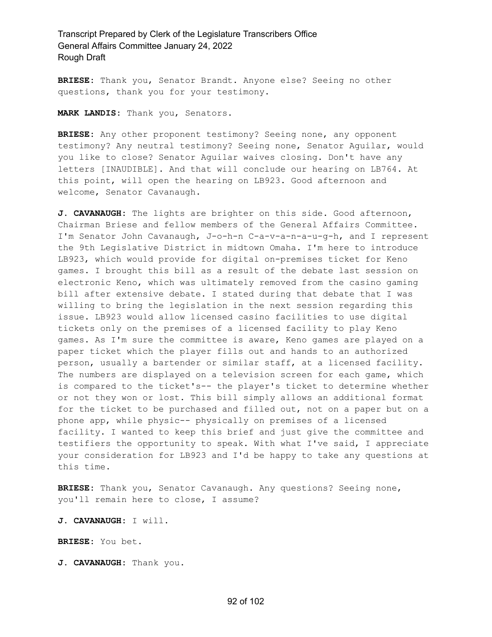**BRIESE:** Thank you, Senator Brandt. Anyone else? Seeing no other questions, thank you for your testimony.

**MARK LANDIS:** Thank you, Senators.

**BRIESE:** Any other proponent testimony? Seeing none, any opponent testimony? Any neutral testimony? Seeing none, Senator Aguilar, would you like to close? Senator Aguilar waives closing. Don't have any letters [INAUDIBLE]. And that will conclude our hearing on LB764. At this point, will open the hearing on LB923. Good afternoon and welcome, Senator Cavanaugh.

**J. CAVANAUGH:** The lights are brighter on this side. Good afternoon, Chairman Briese and fellow members of the General Affairs Committee. I'm Senator John Cavanaugh, J-o-h-n C-a-v-a-n-a-u-g-h, and I represent the 9th Legislative District in midtown Omaha. I'm here to introduce LB923, which would provide for digital on-premises ticket for Keno games. I brought this bill as a result of the debate last session on electronic Keno, which was ultimately removed from the casino gaming bill after extensive debate. I stated during that debate that I was willing to bring the legislation in the next session regarding this issue. LB923 would allow licensed casino facilities to use digital tickets only on the premises of a licensed facility to play Keno games. As I'm sure the committee is aware, Keno games are played on a paper ticket which the player fills out and hands to an authorized person, usually a bartender or similar staff, at a licensed facility. The numbers are displayed on a television screen for each game, which is compared to the ticket's-- the player's ticket to determine whether or not they won or lost. This bill simply allows an additional format for the ticket to be purchased and filled out, not on a paper but on a phone app, while physic-- physically on premises of a licensed facility. I wanted to keep this brief and just give the committee and testifiers the opportunity to speak. With what I've said, I appreciate your consideration for LB923 and I'd be happy to take any questions at this time.

**BRIESE:** Thank you, Senator Cavanaugh. Any questions? Seeing none, you'll remain here to close, I assume?

**J. CAVANAUGH:** I will.

**BRIESE:** You bet.

**J. CAVANAUGH:** Thank you.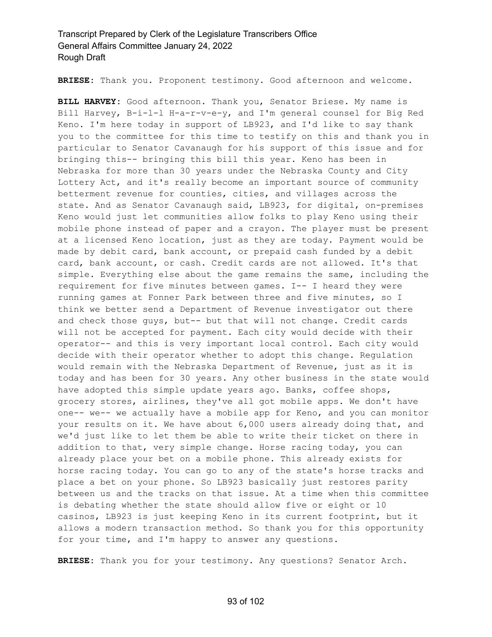**BRIESE:** Thank you. Proponent testimony. Good afternoon and welcome.

**BILL HARVEY:** Good afternoon. Thank you, Senator Briese. My name is Bill Harvey, B-i-l-l H-a-r-v-e-y, and I'm general counsel for Big Red Keno. I'm here today in support of LB923, and I'd like to say thank you to the committee for this time to testify on this and thank you in particular to Senator Cavanaugh for his support of this issue and for bringing this-- bringing this bill this year. Keno has been in Nebraska for more than 30 years under the Nebraska County and City Lottery Act, and it's really become an important source of community betterment revenue for counties, cities, and villages across the state. And as Senator Cavanaugh said, LB923, for digital, on-premises Keno would just let communities allow folks to play Keno using their mobile phone instead of paper and a crayon. The player must be present at a licensed Keno location, just as they are today. Payment would be made by debit card, bank account, or prepaid cash funded by a debit card, bank account, or cash. Credit cards are not allowed. It's that simple. Everything else about the game remains the same, including the requirement for five minutes between games. I-- I heard they were running games at Fonner Park between three and five minutes, so I think we better send a Department of Revenue investigator out there and check those guys, but-- but that will not change. Credit cards will not be accepted for payment. Each city would decide with their operator-- and this is very important local control. Each city would decide with their operator whether to adopt this change. Regulation would remain with the Nebraska Department of Revenue, just as it is today and has been for 30 years. Any other business in the state would have adopted this simple update years ago. Banks, coffee shops, grocery stores, airlines, they've all got mobile apps. We don't have one-- we-- we actually have a mobile app for Keno, and you can monitor your results on it. We have about 6,000 users already doing that, and we'd just like to let them be able to write their ticket on there in addition to that, very simple change. Horse racing today, you can already place your bet on a mobile phone. This already exists for horse racing today. You can go to any of the state's horse tracks and place a bet on your phone. So LB923 basically just restores parity between us and the tracks on that issue. At a time when this committee is debating whether the state should allow five or eight or 10 casinos, LB923 is just keeping Keno in its current footprint, but it allows a modern transaction method. So thank you for this opportunity for your time, and I'm happy to answer any questions.

**BRIESE:** Thank you for your testimony. Any questions? Senator Arch.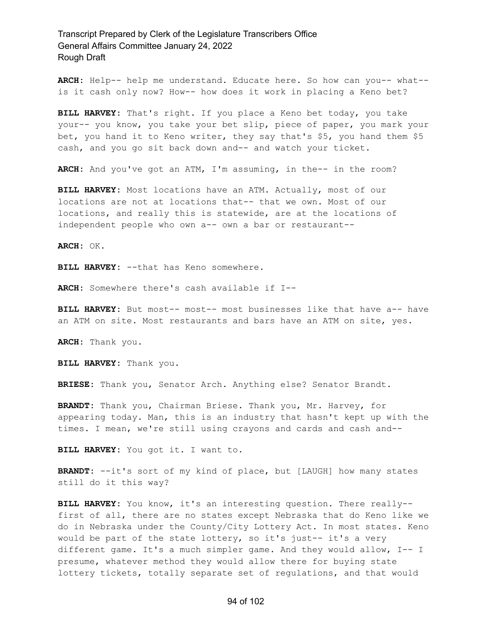**ARCH:** Help-- help me understand. Educate here. So how can you-- what- is it cash only now? How-- how does it work in placing a Keno bet?

**BILL HARVEY:** That's right. If you place a Keno bet today, you take your-- you know, you take your bet slip, piece of paper, you mark your bet, you hand it to Keno writer, they say that's \$5, you hand them \$5 cash, and you go sit back down and-- and watch your ticket.

**ARCH:** And you've got an ATM, I'm assuming, in the-- in the room?

**BILL HARVEY:** Most locations have an ATM. Actually, most of our locations are not at locations that-- that we own. Most of our locations, and really this is statewide, are at the locations of independent people who own a-- own a bar or restaurant--

**ARCH:** OK.

**BILL HARVEY:** --that has Keno somewhere.

**ARCH:** Somewhere there's cash available if I--

**BILL HARVEY:** But most-- most-- most businesses like that have a-- have an ATM on site. Most restaurants and bars have an ATM on site, yes.

**ARCH:** Thank you.

**BILL HARVEY:** Thank you.

**BRIESE:** Thank you, Senator Arch. Anything else? Senator Brandt.

**BRANDT:** Thank you, Chairman Briese. Thank you, Mr. Harvey, for appearing today. Man, this is an industry that hasn't kept up with the times. I mean, we're still using crayons and cards and cash and--

**BILL HARVEY:** You got it. I want to.

**BRANDT:** --it's sort of my kind of place, but [LAUGH] how many states still do it this way?

**BILL HARVEY:** You know, it's an interesting question. There really- first of all, there are no states except Nebraska that do Keno like we do in Nebraska under the County/City Lottery Act. In most states. Keno would be part of the state lottery, so it's just-- it's a very different game. It's a much simpler game. And they would allow, I-- I presume, whatever method they would allow there for buying state lottery tickets, totally separate set of regulations, and that would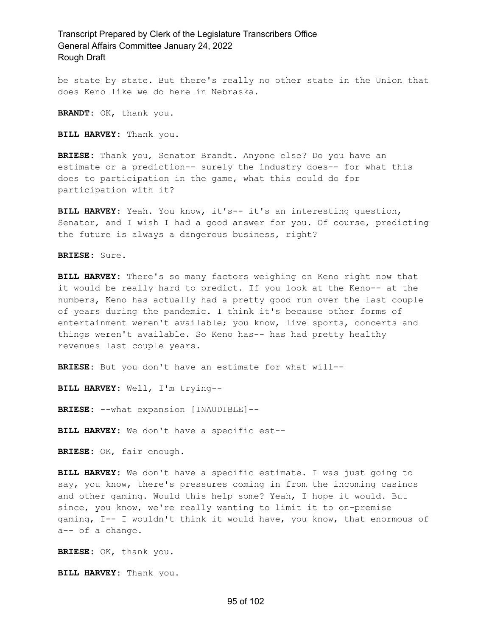be state by state. But there's really no other state in the Union that does Keno like we do here in Nebraska.

**BRANDT:** OK, thank you.

**BILL HARVEY:** Thank you.

**BRIESE:** Thank you, Senator Brandt. Anyone else? Do you have an estimate or a prediction-- surely the industry does-- for what this does to participation in the game, what this could do for participation with it?

**BILL HARVEY:** Yeah. You know, it's-- it's an interesting question, Senator, and I wish I had a good answer for you. Of course, predicting the future is always a dangerous business, right?

**BRIESE:** Sure.

**BILL HARVEY:** There's so many factors weighing on Keno right now that it would be really hard to predict. If you look at the Keno-- at the numbers, Keno has actually had a pretty good run over the last couple of years during the pandemic. I think it's because other forms of entertainment weren't available; you know, live sports, concerts and things weren't available. So Keno has-- has had pretty healthy revenues last couple years.

**BRIESE:** But you don't have an estimate for what will--

**BILL HARVEY:** Well, I'm trying--

**BRIESE:** --what expansion [INAUDIBLE]--

**BILL HARVEY:** We don't have a specific est--

**BRIESE:** OK, fair enough.

**BILL HARVEY:** We don't have a specific estimate. I was just going to say, you know, there's pressures coming in from the incoming casinos and other gaming. Would this help some? Yeah, I hope it would. But since, you know, we're really wanting to limit it to on-premise gaming, I-- I wouldn't think it would have, you know, that enormous of a-- of a change.

**BRIESE:** OK, thank you.

**BILL HARVEY:** Thank you.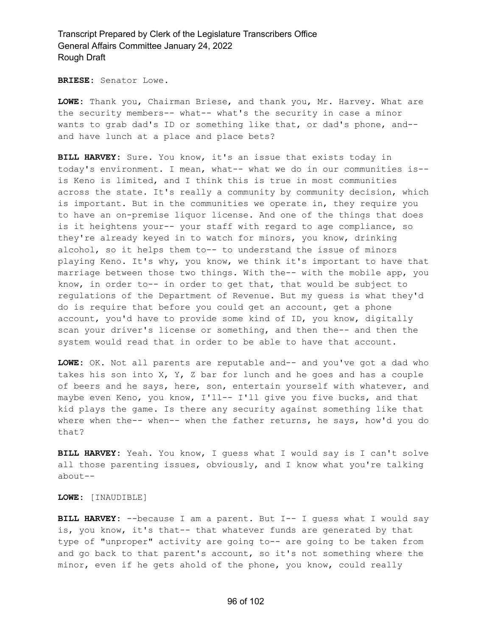**BRIESE:** Senator Lowe.

**LOWE:** Thank you, Chairman Briese, and thank you, Mr. Harvey. What are the security members-- what-- what's the security in case a minor wants to grab dad's ID or something like that, or dad's phone, and- and have lunch at a place and place bets?

**BILL HARVEY:** Sure. You know, it's an issue that exists today in today's environment. I mean, what-- what we do in our communities is- is Keno is limited, and I think this is true in most communities across the state. It's really a community by community decision, which is important. But in the communities we operate in, they require you to have an on-premise liquor license. And one of the things that does is it heightens your-- your staff with regard to age compliance, so they're already keyed in to watch for minors, you know, drinking alcohol, so it helps them to-- to understand the issue of minors playing Keno. It's why, you know, we think it's important to have that marriage between those two things. With the-- with the mobile app, you know, in order to-- in order to get that, that would be subject to regulations of the Department of Revenue. But my guess is what they'd do is require that before you could get an account, get a phone account, you'd have to provide some kind of ID, you know, digitally scan your driver's license or something, and then the-- and then the system would read that in order to be able to have that account.

**LOWE:** OK. Not all parents are reputable and-- and you've got a dad who takes his son into X, Y, Z bar for lunch and he goes and has a couple of beers and he says, here, son, entertain yourself with whatever, and maybe even Keno, you know, I'll-- I'll give you five bucks, and that kid plays the game. Is there any security against something like that where when the-- when-- when the father returns, he says, how'd you do that?

**BILL HARVEY:** Yeah. You know, I guess what I would say is I can't solve all those parenting issues, obviously, and I know what you're talking about--

#### **LOWE:** [INAUDIBLE]

**BILL HARVEY:** --because I am a parent. But I-- I guess what I would say is, you know, it's that-- that whatever funds are generated by that type of "unproper" activity are going to-- are going to be taken from and go back to that parent's account, so it's not something where the minor, even if he gets ahold of the phone, you know, could really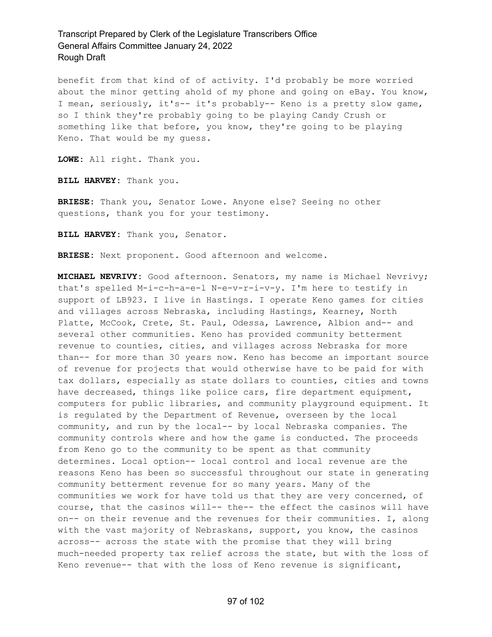benefit from that kind of of activity. I'd probably be more worried about the minor getting ahold of my phone and going on eBay. You know, I mean, seriously, it's-- it's probably-- Keno is a pretty slow game, so I think they're probably going to be playing Candy Crush or something like that before, you know, they're going to be playing Keno. That would be my guess.

**LOWE:** All right. Thank you.

**BILL HARVEY:** Thank you.

**BRIESE:** Thank you, Senator Lowe. Anyone else? Seeing no other questions, thank you for your testimony.

**BILL HARVEY:** Thank you, Senator.

**BRIESE:** Next proponent. Good afternoon and welcome.

**MICHAEL NEVRIVY:** Good afternoon. Senators, my name is Michael Nevrivy; that's spelled M-i-c-h-a-e-l N-e-v-r-i-v-y. I'm here to testify in support of LB923. I live in Hastings. I operate Keno games for cities and villages across Nebraska, including Hastings, Kearney, North Platte, McCook, Crete, St. Paul, Odessa, Lawrence, Albion and-- and several other communities. Keno has provided community betterment revenue to counties, cities, and villages across Nebraska for more than-- for more than 30 years now. Keno has become an important source of revenue for projects that would otherwise have to be paid for with tax dollars, especially as state dollars to counties, cities and towns have decreased, things like police cars, fire department equipment, computers for public libraries, and community playground equipment. It is regulated by the Department of Revenue, overseen by the local community, and run by the local-- by local Nebraska companies. The community controls where and how the game is conducted. The proceeds from Keno go to the community to be spent as that community determines. Local option-- local control and local revenue are the reasons Keno has been so successful throughout our state in generating community betterment revenue for so many years. Many of the communities we work for have told us that they are very concerned, of course, that the casinos will-- the-- the effect the casinos will have on-- on their revenue and the revenues for their communities. I, along with the vast majority of Nebraskans, support, you know, the casinos across-- across the state with the promise that they will bring much-needed property tax relief across the state, but with the loss of Keno revenue-- that with the loss of Keno revenue is significant,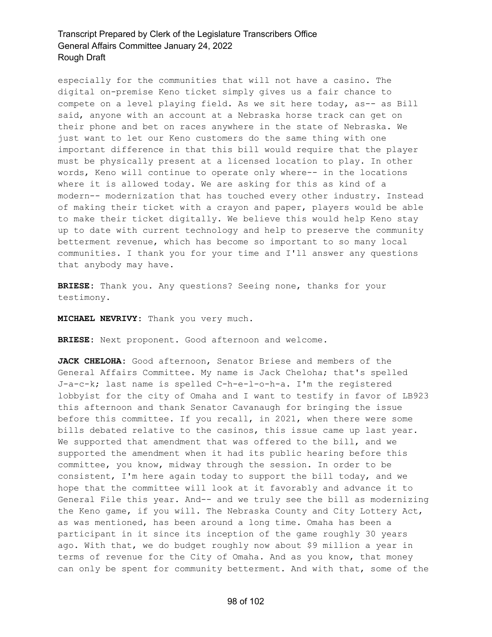especially for the communities that will not have a casino. The digital on-premise Keno ticket simply gives us a fair chance to compete on a level playing field. As we sit here today, as-- as Bill said, anyone with an account at a Nebraska horse track can get on their phone and bet on races anywhere in the state of Nebraska. We just want to let our Keno customers do the same thing with one important difference in that this bill would require that the player must be physically present at a licensed location to play. In other words, Keno will continue to operate only where-- in the locations where it is allowed today. We are asking for this as kind of a modern-- modernization that has touched every other industry. Instead of making their ticket with a crayon and paper, players would be able to make their ticket digitally. We believe this would help Keno stay up to date with current technology and help to preserve the community betterment revenue, which has become so important to so many local communities. I thank you for your time and I'll answer any questions that anybody may have.

**BRIESE:** Thank you. Any questions? Seeing none, thanks for your testimony.

**MICHAEL NEVRIVY:** Thank you very much.

**BRIESE:** Next proponent. Good afternoon and welcome.

**JACK CHELOHA:** Good afternoon, Senator Briese and members of the General Affairs Committee. My name is Jack Cheloha; that's spelled J-a-c-k; last name is spelled C-h-e-l-o-h-a. I'm the registered lobbyist for the city of Omaha and I want to testify in favor of LB923 this afternoon and thank Senator Cavanaugh for bringing the issue before this committee. If you recall, in 2021, when there were some bills debated relative to the casinos, this issue came up last year. We supported that amendment that was offered to the bill, and we supported the amendment when it had its public hearing before this committee, you know, midway through the session. In order to be consistent, I'm here again today to support the bill today, and we hope that the committee will look at it favorably and advance it to General File this year. And-- and we truly see the bill as modernizing the Keno game, if you will. The Nebraska County and City Lottery Act, as was mentioned, has been around a long time. Omaha has been a participant in it since its inception of the game roughly 30 years ago. With that, we do budget roughly now about \$9 million a year in terms of revenue for the City of Omaha. And as you know, that money can only be spent for community betterment. And with that, some of the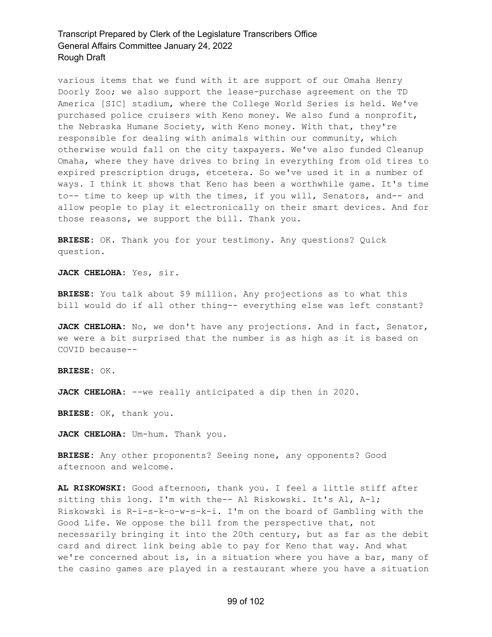various items that we fund with it are support of our Omaha Henry Doorly Zoo; we also support the lease-purchase agreement on the TD America [SIC] stadium, where the College World Series is held. We've purchased police cruisers with Keno money. We also fund a nonprofit, the Nebraska Humane Society, with Keno money. With that, they're responsible for dealing with animals within our community, which otherwise would fall on the city taxpayers. We've also funded Cleanup Omaha, where they have drives to bring in everything from old tires to expired prescription drugs, etcetera. So we've used it in a number of ways. I think it shows that Keno has been a worthwhile game. It's time to-- time to keep up with the times, if you will, Senators, and-- and allow people to play it electronically on their smart devices. And for those reasons, we support the bill. Thank you.

**BRIESE:** OK. Thank you for your testimony. Any questions? Quick question.

**JACK CHELOHA:** Yes, sir.

**BRIESE:** You talk about \$9 million. Any projections as to what this bill would do if all other thing-- everything else was left constant?

**JACK CHELOHA:** No, we don't have any projections. And in fact, Senator, we were a bit surprised that the number is as high as it is based on COVID because--

**BRIESE:** OK.

**JACK CHELOHA:** --we really anticipated a dip then in 2020.

**BRIESE:** OK, thank you.

**JACK CHELOHA:** Um-hum. Thank you.

**BRIESE:** Any other proponents? Seeing none, any opponents? Good afternoon and welcome.

**AL RISKOWSKI:** Good afternoon, thank you. I feel a little stiff after sitting this long. I'm with the-- Al Riskowski. It's Al, A-l; Riskowski is R-i-s-k-o-w-s-k-i. I'm on the board of Gambling with the Good Life. We oppose the bill from the perspective that, not necessarily bringing it into the 20th century, but as far as the debit card and direct link being able to pay for Keno that way. And what we're concerned about is, in a situation where you have a bar, many of the casino games are played in a restaurant where you have a situation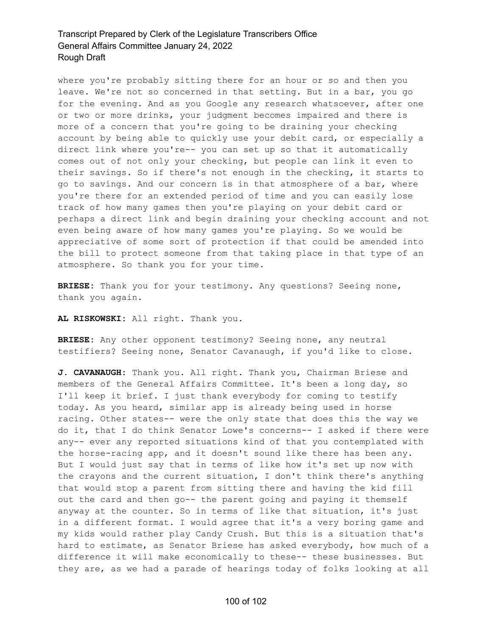where you're probably sitting there for an hour or so and then you leave. We're not so concerned in that setting. But in a bar, you go for the evening. And as you Google any research whatsoever, after one or two or more drinks, your judgment becomes impaired and there is more of a concern that you're going to be draining your checking account by being able to quickly use your debit card, or especially a direct link where you're-- you can set up so that it automatically comes out of not only your checking, but people can link it even to their savings. So if there's not enough in the checking, it starts to go to savings. And our concern is in that atmosphere of a bar, where you're there for an extended period of time and you can easily lose track of how many games then you're playing on your debit card or perhaps a direct link and begin draining your checking account and not even being aware of how many games you're playing. So we would be appreciative of some sort of protection if that could be amended into the bill to protect someone from that taking place in that type of an atmosphere. So thank you for your time.

**BRIESE:** Thank you for your testimony. Any questions? Seeing none, thank you again.

**AL RISKOWSKI:** All right. Thank you.

**BRIESE:** Any other opponent testimony? Seeing none, any neutral testifiers? Seeing none, Senator Cavanaugh, if you'd like to close.

**J. CAVANAUGH:** Thank you. All right. Thank you, Chairman Briese and members of the General Affairs Committee. It's been a long day, so I'll keep it brief. I just thank everybody for coming to testify today. As you heard, similar app is already being used in horse racing. Other states-- were the only state that does this the way we do it, that I do think Senator Lowe's concerns-- I asked if there were any-- ever any reported situations kind of that you contemplated with the horse-racing app, and it doesn't sound like there has been any. But I would just say that in terms of like how it's set up now with the crayons and the current situation, I don't think there's anything that would stop a parent from sitting there and having the kid fill out the card and then go-- the parent going and paying it themself anyway at the counter. So in terms of like that situation, it's just in a different format. I would agree that it's a very boring game and my kids would rather play Candy Crush. But this is a situation that's hard to estimate, as Senator Briese has asked everybody, how much of a difference it will make economically to these-- these businesses. But they are, as we had a parade of hearings today of folks looking at all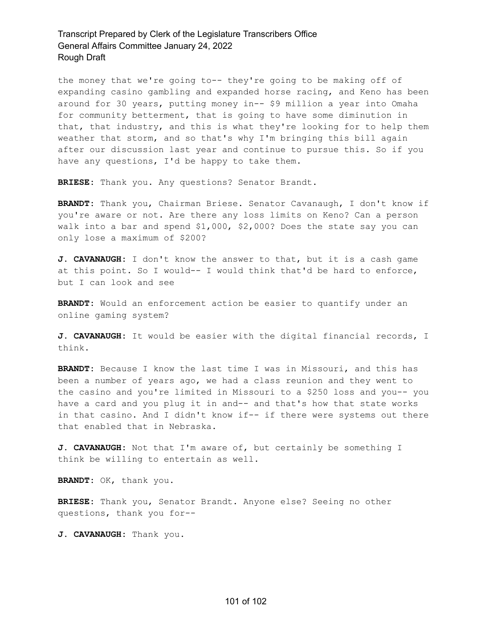the money that we're going to-- they're going to be making off of expanding casino gambling and expanded horse racing, and Keno has been around for 30 years, putting money in-- \$9 million a year into Omaha for community betterment, that is going to have some diminution in that, that industry, and this is what they're looking for to help them weather that storm, and so that's why I'm bringing this bill again after our discussion last year and continue to pursue this. So if you have any questions, I'd be happy to take them.

**BRIESE:** Thank you. Any questions? Senator Brandt.

**BRANDT:** Thank you, Chairman Briese. Senator Cavanaugh, I don't know if you're aware or not. Are there any loss limits on Keno? Can a person walk into a bar and spend \$1,000, \$2,000? Does the state say you can only lose a maximum of \$200?

**J. CAVANAUGH:** I don't know the answer to that, but it is a cash game at this point. So I would-- I would think that'd be hard to enforce, but I can look and see

**BRANDT:** Would an enforcement action be easier to quantify under an online gaming system?

**J. CAVANAUGH:** It would be easier with the digital financial records, I think.

**BRANDT:** Because I know the last time I was in Missouri, and this has been a number of years ago, we had a class reunion and they went to the casino and you're limited in Missouri to a \$250 loss and you-- you have a card and you plug it in and-- and that's how that state works in that casino. And I didn't know if-- if there were systems out there that enabled that in Nebraska.

**J. CAVANAUGH:** Not that I'm aware of, but certainly be something I think be willing to entertain as well.

**BRANDT:** OK, thank you.

**BRIESE:** Thank you, Senator Brandt. Anyone else? Seeing no other questions, thank you for--

**J. CAVANAUGH:** Thank you.